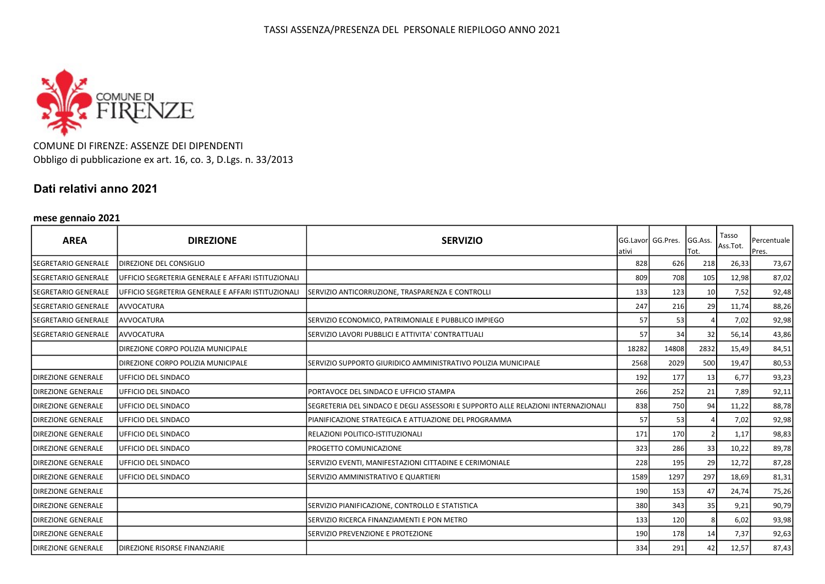

COMUNE DI FIRENZE: ASSENZE DEI DIPENDENTI Obbligo di pubblicazione ex art. 16, co. 3, D.Lgs. n. 33/2013

## Dati relativi anno 2021

### mese gennaio 2021

| <b>AREA</b>                  | <b>DIREZIONE</b>                                   | <b>SERVIZIO</b>                                                                   | ativi | <b>GG.Lavorl GG.Pres.</b> | GG.Ass.<br>Tot. | Tasso<br>Ass.Tot. | Percentuale<br>Pres. |
|------------------------------|----------------------------------------------------|-----------------------------------------------------------------------------------|-------|---------------------------|-----------------|-------------------|----------------------|
| SEGRETARIO GENERALE          | DIREZIONE DEL CONSIGLIO                            |                                                                                   | 828   | 626                       | 218             | 26,33             | 73,67                |
| <b>ISEGRETARIO GENERALE</b>  | UFFICIO SEGRETERIA GENERALE E AFFARI ISTITUZIONALI |                                                                                   | 809   | 708                       | 105             | 12,98             | 87,02                |
| <b>SEGRETARIO GENERALE</b>   | UFFICIO SEGRETERIA GENERALE E AFFARI ISTITUZIONALI | SERVIZIO ANTICORRUZIONE, TRASPARENZA E CONTROLLI                                  | 133   | 123                       | 10              | 7,52              | 92,48                |
| <b>SEGRETARIO GENERALE</b>   | <b>AVVOCATURA</b>                                  |                                                                                   | 247   | 216                       | 29              | 11,74             | 88,26                |
| <b>I</b> SEGRETARIO GENERALE | <b>AVVOCATURA</b>                                  | SERVIZIO ECONOMICO, PATRIMONIALE E PUBBLICO IMPIEGO                               | 57    | 53                        |                 | 7,02              | 92,98                |
| SEGRETARIO GENERALE          | <b>AVVOCATURA</b>                                  | SERVIZIO LAVORI PUBBLICI E ATTIVITA' CONTRATTUALI                                 | 57    | 34                        | 32              | 56,14             | 43,86                |
|                              | DIREZIONE CORPO POLIZIA MUNICIPALE                 |                                                                                   | 18282 | 14808                     | 2832            | 15,49             | 84,51                |
|                              | DIREZIONE CORPO POLIZIA MUNICIPALE                 | SERVIZIO SUPPORTO GIURIDICO AMMINISTRATIVO POLIZIA MUNICIPALE                     | 2568  | 2029                      | 500             | 19,47             | 80,53                |
| <b>DIREZIONE GENERALE</b>    | UFFICIO DEL SINDACO                                |                                                                                   | 192   | 177                       | 13              | 6,77              | 93,23                |
| <b>DIREZIONE GENERALE</b>    | UFFICIO DEL SINDACO                                | PORTAVOCE DEL SINDACO E UFFICIO STAMPA                                            | 266   | 252                       | 21              | 7,89              | 92,11                |
| <b>DIREZIONE GENERALE</b>    | UFFICIO DEL SINDACO                                | SEGRETERIA DEL SINDACO E DEGLI ASSESSORI E SUPPORTO ALLE RELAZIONI INTERNAZIONALI | 838   | 750                       | 94              | 11,22             | 88,78                |
| <b>DIREZIONE GENERALE</b>    | UFFICIO DEL SINDACO                                | PIANIFICAZIONE STRATEGICA E ATTUAZIONE DEL PROGRAMMA                              | 57    | 53                        |                 | 7,02              | 92,98                |
| <b>DIREZIONE GENERALE</b>    | UFFICIO DEL SINDACO                                | RELAZIONI POLITICO-ISTITUZIONALI                                                  | 171   | 170                       |                 | 1,17              | 98,83                |
| <b>DIREZIONE GENERALE</b>    | UFFICIO DEL SINDACO                                | PROGETTO COMUNICAZIONE                                                            | 323   | 286                       | 33              | 10,22             | 89,78                |
| <b>IDIREZIONE GENERALE</b>   | UFFICIO DEL SINDACO                                | SERVIZIO EVENTI, MANIFESTAZIONI CITTADINE E CERIMONIALE                           | 228   | 195                       | 29              | 12,72             | 87,28                |
| <b>DIREZIONE GENERALE</b>    | UFFICIO DEL SINDACO                                | SERVIZIO AMMINISTRATIVO E QUARTIERI                                               | 1589  | 1297                      | 297             | 18,69             | 81,31                |
| <b>DIREZIONE GENERALE</b>    |                                                    |                                                                                   | 190   | 153                       | 47              | 24,74             | 75,26                |
| <b>DIREZIONE GENERALE</b>    |                                                    | SERVIZIO PIANIFICAZIONE, CONTROLLO E STATISTICA                                   | 380   | 343                       | 35              | 9,21              | 90,79                |
| <b>DIREZIONE GENERALE</b>    |                                                    | SERVIZIO RICERCA FINANZIAMENTI E PON METRO                                        | 133   | 120                       |                 | 6,02              | 93,98                |
| <b>DIREZIONE GENERALE</b>    |                                                    | SERVIZIO PREVENZIONE E PROTEZIONE                                                 | 190   | 178                       | 14              | 7,37              | 92,63                |
| <b>DIREZIONE GENERALE</b>    | DIREZIONE RISORSE FINANZIARIE                      |                                                                                   | 334   | 291                       | 42              | 12,57             | 87,43                |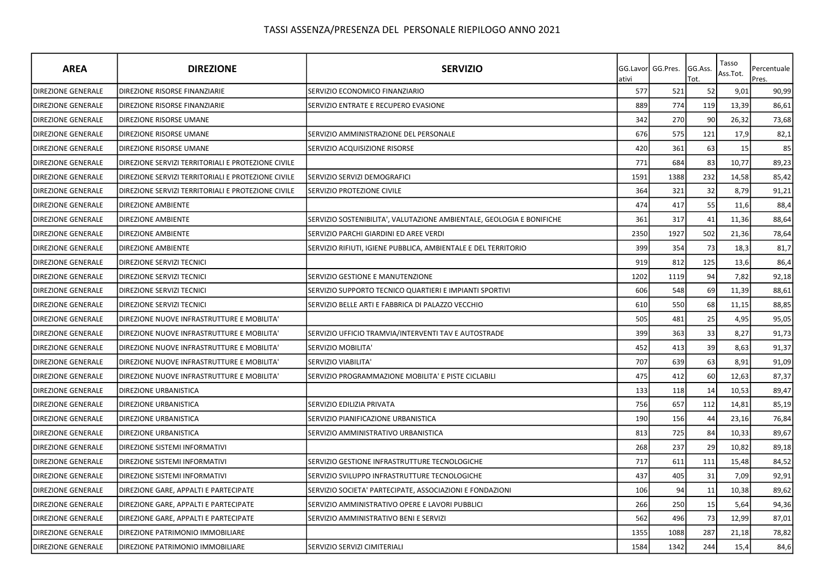| <b>AREA</b>               | <b>DIREZIONE</b>                                   | <b>SERVIZIO</b>                                                       | ativi | GG.Lavor GG.Pres. | GG.Ass.<br>Tot. | Tasso<br>Ass.Tot. | Percentuale<br>Pres. |
|---------------------------|----------------------------------------------------|-----------------------------------------------------------------------|-------|-------------------|-----------------|-------------------|----------------------|
| <b>DIREZIONE GENERALE</b> | <b>DIREZIONE RISORSE FINANZIARIE</b>               | SERVIZIO ECONOMICO FINANZIARIO                                        | 577   | 521               | 52              | 9,01              | 90,99                |
| DIREZIONE GENERALE        | <b>DIREZIONE RISORSE FINANZIARIE</b>               | SERVIZIO ENTRATE E RECUPERO EVASIONE                                  | 889   | 774               | 119             | 13,39             | 86,61                |
| <b>DIREZIONE GENERALE</b> | DIREZIONE RISORSE UMANE                            |                                                                       | 342   | 270               | 90              | 26,32             | 73,68                |
| <b>DIREZIONE GENERALE</b> | <b>DIREZIONE RISORSE UMANE</b>                     | SERVIZIO AMMINISTRAZIONE DEL PERSONALE                                | 676   | 575               | 121             | 17,9              | 82,1                 |
| <b>DIREZIONE GENERALE</b> | <b>DIREZIONE RISORSE UMANE</b>                     | SERVIZIO ACQUISIZIONE RISORSE                                         | 420   | 361               | 63              | 15                | 85                   |
| DIREZIONE GENERALE        | DIREZIONE SERVIZI TERRITORIALI E PROTEZIONE CIVILE |                                                                       | 771   | 684               | 83              | 10,77             | 89,23                |
| <b>DIREZIONE GENERALE</b> | DIREZIONE SERVIZI TERRITORIALI E PROTEZIONE CIVILE | SERVIZIO SERVIZI DEMOGRAFICI                                          | 1591  | 1388              | 232             | 14,58             | 85,42                |
| <b>DIREZIONE GENERALE</b> | DIREZIONE SERVIZI TERRITORIALI E PROTEZIONE CIVILE | SERVIZIO PROTEZIONE CIVILE                                            | 364   | 321               | 32              | 8,79              | 91,21                |
| <b>DIREZIONE GENERALE</b> | <b>DIREZIONE AMBIENTE</b>                          |                                                                       | 474   | 417               | 55              | 11,6              | 88,4                 |
| DIREZIONE GENERALE        | <b>DIREZIONE AMBIENTE</b>                          | SERVIZIO SOSTENIBILITA', VALUTAZIONE AMBIENTALE, GEOLOGIA E BONIFICHE | 361   | 317               | 41              | 11,36             | 88,64                |
| DIREZIONE GENERALE        | DIREZIONE AMBIENTE                                 | SERVIZIO PARCHI GIARDINI ED AREE VERDI                                | 2350  | 1927              | 502             | 21,36             | 78,64                |
| DIREZIONE GENERALE        | <b>DIREZIONE AMBIENTE</b>                          | SERVIZIO RIFIUTI, IGIENE PUBBLICA, AMBIENTALE E DEL TERRITORIO        | 399   | 354               | 73              | 18,3              | 81,7                 |
| <b>DIREZIONE GENERALE</b> | DIREZIONE SERVIZI TECNICI                          |                                                                       | 919   | 812               | 125             | 13,6              | 86,4                 |
| DIREZIONE GENERALE        | DIREZIONE SERVIZI TECNICI                          | SERVIZIO GESTIONE E MANUTENZIONE                                      | 1202  | 1119              | 94              | 7,82              | 92,18                |
| <b>DIREZIONE GENERALE</b> | DIREZIONE SERVIZI TECNICI                          | SERVIZIO SUPPORTO TECNICO QUARTIERI E IMPIANTI SPORTIVI               | 606   | 548               | 69              | 11,39             | 88,61                |
| <b>DIREZIONE GENERALE</b> | DIREZIONE SERVIZI TECNICI                          | SERVIZIO BELLE ARTI E FABBRICA DI PALAZZO VECCHIO                     | 610   | 550               | 68              | 11,15             | 88,85                |
| <b>DIREZIONE GENERALE</b> | DIREZIONE NUOVE INFRASTRUTTURE E MOBILITA'         |                                                                       | 505   | 481               | 25              | 4,95              | 95,05                |
| <b>DIREZIONE GENERALE</b> | DIREZIONE NUOVE INFRASTRUTTURE E MOBILITA'         | SERVIZIO UFFICIO TRAMVIA/INTERVENTI TAV E AUTOSTRADE                  | 399   | 363               | 33              | 8,27              | 91,73                |
| DIREZIONE GENERALE        | DIREZIONE NUOVE INFRASTRUTTURE E MOBILITA'         | SERVIZIO MOBILITA'                                                    | 452   | 413               | 39              | 8,63              | 91,37                |
| <b>DIREZIONE GENERALE</b> | DIREZIONE NUOVE INFRASTRUTTURE E MOBILITA'         | SERVIZIO VIABILITA'                                                   | 707   | 639               | 63              | 8,91              | 91,09                |
| <b>DIREZIONE GENERALE</b> | DIREZIONE NUOVE INFRASTRUTTURE E MOBILITA'         | SERVIZIO PROGRAMMAZIONE MOBILITA' E PISTE CICLABILI                   | 475   | 412               | 60              | 12,63             | 87,37                |
| <b>DIREZIONE GENERALE</b> | <b>DIREZIONE URBANISTICA</b>                       |                                                                       | 133   | 118               | 14              | 10,53             | 89,47                |
| <b>DIREZIONE GENERALE</b> | DIREZIONE URBANISTICA                              | SERVIZIO EDILIZIA PRIVATA                                             | 756   | 657               | 112             | 14,81             | 85,19                |
| <b>DIREZIONE GENERALE</b> | <b>DIREZIONE URBANISTICA</b>                       | SERVIZIO PIANIFICAZIONE URBANISTICA                                   | 190   | 156               | 44              | 23,16             | 76,84                |
| <b>DIREZIONE GENERALE</b> | <b>DIREZIONE URBANISTICA</b>                       | SERVIZIO AMMINISTRATIVO URBANISTICA                                   | 813   | 725               | 84              | 10,33             | 89,67                |
| <b>DIREZIONE GENERALE</b> | <b>DIREZIONE SISTEMI INFORMATIVI</b>               |                                                                       | 268   | 237               | 29              | 10,82             | 89,18                |
| <b>DIREZIONE GENERALE</b> | DIREZIONE SISTEMI INFORMATIVI                      | SERVIZIO GESTIONE INFRASTRUTTURE TECNOLOGICHE                         | 717   | 611               | 111             | 15,48             | 84,52                |
| <b>DIREZIONE GENERALE</b> | DIREZIONE SISTEMI INFORMATIVI                      | SERVIZIO SVILUPPO INFRASTRUTTURE TECNOLOGICHE                         | 437   | 405               | 31              | 7,09              | 92,91                |
| DIREZIONE GENERALE        | DIREZIONE GARE, APPALTI E PARTECIPATE              | SERVIZIO SOCIETA' PARTECIPATE, ASSOCIAZIONI E FONDAZIONI              | 106   | 94                | 11              | 10,38             | 89,62                |
| <b>DIREZIONE GENERALE</b> | DIREZIONE GARE, APPALTI E PARTECIPATE              | SERVIZIO AMMINISTRATIVO OPERE E LAVORI PUBBLICI                       | 266   | 250               | 15              | 5,64              | 94,36                |
| <b>DIREZIONE GENERALE</b> | DIREZIONE GARE, APPALTI E PARTECIPATE              | SERVIZIO AMMINISTRATIVO BENI E SERVIZI                                | 562   | 496               | 73              | 12,99             | 87,01                |
| <b>DIREZIONE GENERALE</b> | DIREZIONE PATRIMONIO IMMOBILIARE                   |                                                                       | 1355  | 1088              | 287             | 21,18             | 78,82                |
| <b>DIREZIONE GENERALE</b> | DIREZIONE PATRIMONIO IMMOBILIARE                   | SERVIZIO SERVIZI CIMITERIALI                                          | 1584  | 1342              | 244             | 15,4              | 84,6                 |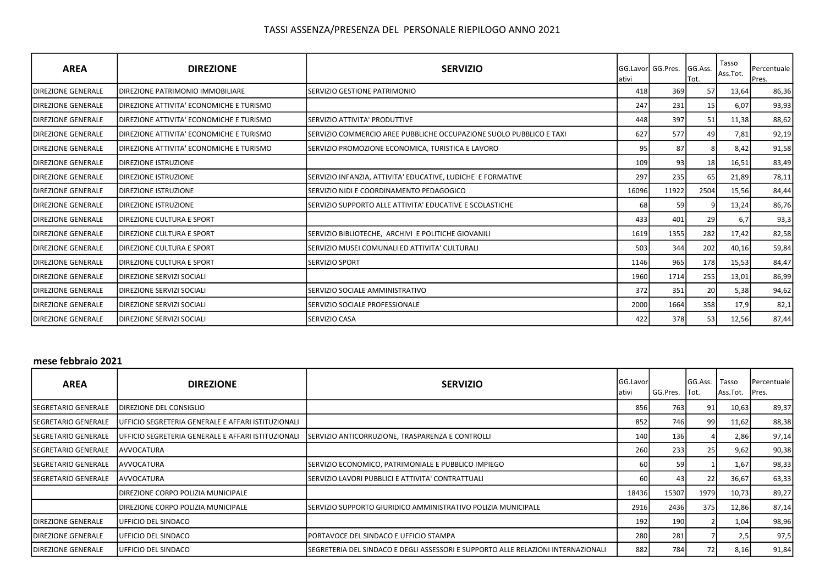| <b>AREA</b>                | <b>DIREZIONE</b>                         | <b>SERVIZIO</b>                                                     | lativi | <b>IGG.Lavorl GG.Pres.</b> | GG.Ass.<br>Tot. | Tasso<br>Ass.Tot. | Percentuale<br>Pres. |
|----------------------------|------------------------------------------|---------------------------------------------------------------------|--------|----------------------------|-----------------|-------------------|----------------------|
| <b>IDIREZIONE GENERALE</b> | <b>IDIREZIONE PATRIMONIO IMMOBILIARE</b> | SERVIZIO GESTIONE PATRIMONIO                                        | 418    | 369                        | 57              | 13,64             | 86,36                |
| <b>IDIREZIONE GENERALE</b> | DIREZIONE ATTIVITA' ECONOMICHE E TURISMO |                                                                     | 247    | 231                        | 15              | 6,07              | 93,93                |
| <b>IDIREZIONE GENERALE</b> | DIREZIONE ATTIVITA' ECONOMICHE E TURISMO | SERVIZIO ATTIVITA' PRODUTTIVE                                       | 448    | 397                        | 51              | 11,38             | 88,62                |
| <b>IDIREZIONE GENERALE</b> | DIREZIONE ATTIVITA' ECONOMICHE E TURISMO | SERVIZIO COMMERCIO AREE PUBBLICHE OCCUPAZIONE SUOLO PUBBLICO E TAXI | 627    | 577                        | 49              | 7,81              | 92,19                |
| <b>IDIREZIONE GENERALE</b> | DIREZIONE ATTIVITA' ECONOMICHE E TURISMO | SERVIZIO PROMOZIONE ECONOMICA, TURISTICA E LAVORO                   | 95     | 87                         |                 | 8,42              | 91,58                |
| <b>IDIREZIONE GENERALE</b> | <b>DIREZIONE ISTRUZIONE</b>              |                                                                     | 109    | 93                         | 18              | 16,51             | 83,49                |
| <b>DIREZIONE GENERALE</b>  | <b>DIREZIONE ISTRUZIONE</b>              | SERVIZIO INFANZIA, ATTIVITA' EDUCATIVE, LUDICHE E FORMATIVE         | 297    | 235                        | 65              | 21,89             | 78,11                |
| <b>DIREZIONE GENERALE</b>  | <b>DIREZIONE ISTRUZIONE</b>              | SERVIZIO NIDI E COORDINAMENTO PEDAGOGICO                            | 16096  | 11922                      | 2504            | 15,56             | 84,44                |
| <b>DIREZIONE GENERALE</b>  | <b>DIREZIONE ISTRUZIONE</b>              | SERVIZIO SUPPORTO ALLE ATTIVITA' EDUCATIVE E SCOLASTICHE            | 68     | -59 <b>I</b>               |                 | 13,24             | 86,76                |
| <b>IDIREZIONE GENERALE</b> | <b>IDIREZIONE CULTURA E SPORT</b>        |                                                                     | 433    | 401                        | 29              | 6,7               | 93,3                 |
| <b>IDIREZIONE GENERALE</b> | <b>DIREZIONE CULTURA E SPORT</b>         | SERVIZIO BIBLIOTECHE, ARCHIVI E POLITICHE GIOVANILI                 | 1619   | 1355                       | 282             | 17,42             | 82,58                |
| <b>IDIREZIONE GENERALE</b> | <b>IDIREZIONE CULTURA E SPORT</b>        | SERVIZIO MUSEI COMUNALI ED ATTIVITA' CULTURALI                      | 503    | 344                        | 202             | 40,16             | 59,84                |
| <b>IDIREZIONE GENERALE</b> | <b>IDIREZIONE CULTURA E SPORT</b>        | <b>SERVIZIO SPORT</b>                                               | 1146   | 965                        | 178             | 15,53             | 84,47                |
| <b>IDIREZIONE GENERALE</b> | <b>IDIREZIONE SERVIZI SOCIALI</b>        |                                                                     | 1960   | 1714                       | 255             | 13,01             | 86,99                |
| <b>IDIREZIONE GENERALE</b> | <b>DIREZIONE SERVIZI SOCIALI</b>         | SERVIZIO SOCIALE AMMINISTRATIVO                                     | 372    | 351                        | 20              | 5,38              | 94,62                |
| <b>DIREZIONE GENERALE</b>  | <b>DIREZIONE SERVIZI SOCIALI</b>         | SERVIZIO SOCIALE PROFESSIONALE                                      | 2000   | 1664                       | 358             | 17,9              | 82,1                 |
| <b>IDIREZIONE GENERALE</b> | DIREZIONE SERVIZI SOCIALI                | <b>SERVIZIO CASA</b>                                                | 422    | 378                        | 53              | 12,56             | 87,44                |

#### mese febbraio 2021

| <b>AREA</b>               | <b>DIREZIONE</b>                                   | <b>SERVIZIO</b>                                                                    | GG.Lavor<br>ativi | GG.Pres.   | <b>IGG.Ass.</b> I<br>Tot. | Tasso<br>Ass.Tot. | Percentuale<br>Pres. |
|---------------------------|----------------------------------------------------|------------------------------------------------------------------------------------|-------------------|------------|---------------------------|-------------------|----------------------|
| ISEGRETARIO GENERALE      | DIREZIONE DEL CONSIGLIO                            |                                                                                    | 856               | 763 l      | 91                        | 10,63             | 89,37                |
| ISEGRETARIO GENERALE      | UFFICIO SEGRETERIA GENERALE E AFFARI ISTITUZIONALI |                                                                                    | 852               | 746        | 99                        | 11,62             | 88,38                |
| ISEGRETARIO GENERALE      | UFFICIO SEGRETERIA GENERALE E AFFARI ISTITUZIONALI | SERVIZIO ANTICORRUZIONE, TRASPARENZA E CONTROLLI                                   | 140               | <b>136</b> |                           | 2,86              | 97,14                |
| ISEGRETARIO GENERALE      | <b>AVVOCATURA</b>                                  |                                                                                    | 260               | 233        | 25                        | 9,62              | 90,38                |
| ISEGRETARIO GENERALE      | <b>AVVOCATURA</b>                                  | SERVIZIO ECONOMICO, PATRIMONIALE E PUBBLICO IMPIEGO                                | 60                | 59         |                           | 1,67              | 98,33                |
| ISEGRETARIO GENERALE      | IAVVOCATURA                                        | ISERVIZIO LAVORI PUBBLICI E ATTIVITA' CONTRATTUALI                                 | 60                | 43 I       | 22                        | 36,67             | 63,33                |
|                           | IDIREZIONE CORPO POLIZIA MUNICIPALE                |                                                                                    | 18436             | 15307      | 1979                      | 10,73             | 89,27                |
|                           | IDIREZIONE CORPO POLIZIA MUNICIPALE                | ISERVIZIO SUPPORTO GIURIDICO AMMINISTRATIVO POLIZIA MUNICIPALE                     | 2916              | 2436       | 375                       | 12,86             | 87,14                |
| DIREZIONE GENERALE        | IUFFICIO DEL SINDACO                               |                                                                                    | 192               | 190        |                           | 1,04              | 98,96                |
| DIREZIONE GENERALE        | UFFICIO DEL SINDACO                                | PORTAVOCE DEL SINDACO E UFFICIO STAMPA                                             | 280               | 281        |                           | 2,5               | 97,5                 |
| <b>DIREZIONE GENERALE</b> | IUFFICIO DEL SINDACO                               | ISEGRETERIA DEL SINDACO E DEGLI ASSESSORI E SUPPORTO ALLE RELAZIONI INTERNAZIONALI | 882               | 784        | 72                        | 8,16              | 91,84                |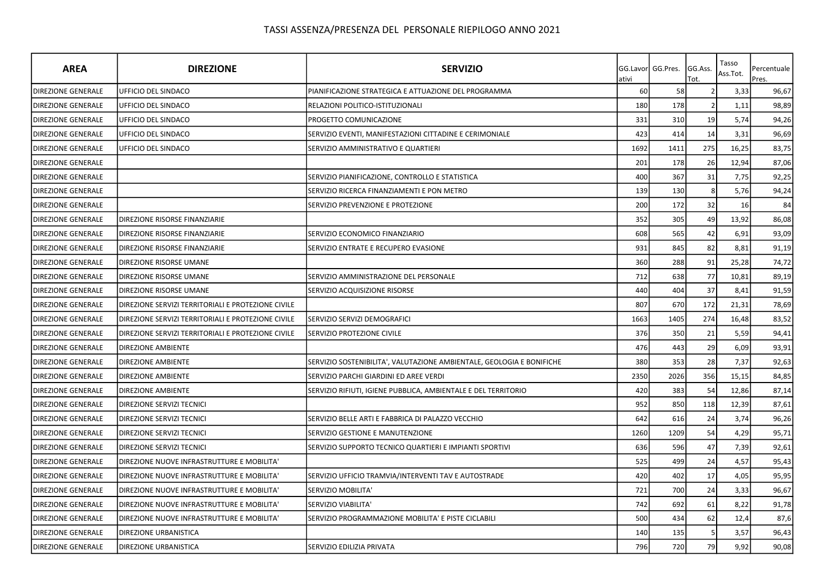| <b>AREA</b>               | <b>DIREZIONE</b>                                   | <b>SERVIZIO</b>                                                       | GG.Lavor<br>ativi | GG.Pres. | GG.Ass.<br>Tot. | Tasso<br>Ass.Tot. | Percentuale<br>Pres. |
|---------------------------|----------------------------------------------------|-----------------------------------------------------------------------|-------------------|----------|-----------------|-------------------|----------------------|
| <b>DIREZIONE GENERALE</b> | UFFICIO DEL SINDACO                                | PIANIFICAZIONE STRATEGICA E ATTUAZIONE DEL PROGRAMMA                  | 60                | 58       |                 | 3,33              | 96,67                |
| <b>DIREZIONE GENERALE</b> | UFFICIO DEL SINDACO                                | RELAZIONI POLITICO-ISTITUZIONALI                                      | 180               | 178      |                 | 1,11              | 98,89                |
| <b>DIREZIONE GENERALE</b> | UFFICIO DEL SINDACO                                | PROGETTO COMUNICAZIONE                                                | 331               | 310      | 19              | 5,74              | 94,26                |
| <b>DIREZIONE GENERALE</b> | UFFICIO DEL SINDACO                                | SERVIZIO EVENTI, MANIFESTAZIONI CITTADINE E CERIMONIALE               | 423               | 414      | 14              | 3,31              | 96,69                |
| <b>DIREZIONE GENERALE</b> | UFFICIO DEL SINDACO                                | SERVIZIO AMMINISTRATIVO E QUARTIERI                                   | 1692              | 1411     | 275             | 16,25             | 83,75                |
| <b>DIREZIONE GENERALE</b> |                                                    |                                                                       | 201               | 178      | 26              | 12,94             | 87,06                |
| DIREZIONE GENERALE        |                                                    | SERVIZIO PIANIFICAZIONE, CONTROLLO E STATISTICA                       | 400               | 367      | 31              | 7,75              | 92,25                |
| <b>DIREZIONE GENERALE</b> |                                                    | SERVIZIO RICERCA FINANZIAMENTI E PON METRO                            | 139               | 130      |                 | 5,76              | 94,24                |
| <b>DIREZIONE GENERALE</b> |                                                    | SERVIZIO PREVENZIONE E PROTEZIONE                                     | 200               | 172      | 32              | 16                | 84                   |
| <b>DIREZIONE GENERALE</b> | DIREZIONE RISORSE FINANZIARIE                      |                                                                       | 352               | 305      | 49              | 13,92             | 86,08                |
| DIREZIONE GENERALE        | DIREZIONE RISORSE FINANZIARIE                      | SERVIZIO ECONOMICO FINANZIARIO                                        | 608               | 565      | 42              | 6,91              | 93,09                |
| DIREZIONE GENERALE        | DIREZIONE RISORSE FINANZIARIE                      | SERVIZIO ENTRATE E RECUPERO EVASIONE                                  | 931               | 845      | 82              | 8,81              | 91,19                |
| DIREZIONE GENERALE        | DIREZIONE RISORSE UMANE                            |                                                                       | 360               | 288      | 91              | 25,28             | 74,72                |
| <b>DIREZIONE GENERALE</b> | DIREZIONE RISORSE UMANE                            | SERVIZIO AMMINISTRAZIONE DEL PERSONALE                                | 712               | 638      | 77              | 10,81             | 89,19                |
| <b>DIREZIONE GENERALE</b> | DIREZIONE RISORSE UMANE                            | <b>SERVIZIO ACQUISIZIONE RISORSE</b>                                  | 440               | 404      | 37              | 8,41              | 91,59                |
| <b>DIREZIONE GENERALE</b> | DIREZIONE SERVIZI TERRITORIALI E PROTEZIONE CIVILE |                                                                       | 807               | 670      | 172             | 21,31             | 78,69                |
| <b>DIREZIONE GENERALE</b> | DIREZIONE SERVIZI TERRITORIALI E PROTEZIONE CIVILE | SERVIZIO SERVIZI DEMOGRAFICI                                          | 1663              | 1405     | 274             | 16,48             | 83,52                |
| <b>DIREZIONE GENERALE</b> | DIREZIONE SERVIZI TERRITORIALI E PROTEZIONE CIVILE | SERVIZIO PROTEZIONE CIVILE                                            | 376               | 350      | 21              | 5,59              | 94,41                |
| <b>DIREZIONE GENERALE</b> | DIREZIONE AMBIENTE                                 |                                                                       | 476               | 443      | 29              | 6,09              | 93,91                |
| <b>DIREZIONE GENERALE</b> | DIREZIONE AMBIENTE                                 | SERVIZIO SOSTENIBILITA', VALUTAZIONE AMBIENTALE, GEOLOGIA E BONIFICHE | 380               | 353      | 28              | 7,37              | 92,63                |
| <b>DIREZIONE GENERALE</b> | <b>DIREZIONE AMBIENTE</b>                          | SERVIZIO PARCHI GIARDINI ED AREE VERDI                                | 2350              | 2026     | 356             | 15,15             | 84,85                |
| DIREZIONE GENERALE        | DIREZIONE AMBIENTE                                 | SERVIZIO RIFIUTI, IGIENE PUBBLICA, AMBIENTALE E DEL TERRITORIO        | 420               | 383      | 54              | 12,86             | 87,14                |
| <b>DIREZIONE GENERALE</b> | DIREZIONE SERVIZI TECNICI                          |                                                                       | 952               | 850      | 118             | 12,39             | 87,61                |
| <b>DIREZIONE GENERALE</b> | DIREZIONE SERVIZI TECNICI                          | SERVIZIO BELLE ARTI E FABBRICA DI PALAZZO VECCHIO                     | 642               | 616      | 24              | 3,74              | 96,26                |
| <b>DIREZIONE GENERALE</b> | DIREZIONE SERVIZI TECNICI                          | SERVIZIO GESTIONE E MANUTENZIONE                                      | 1260              | 1209     | 54              | 4,29              | 95,71                |
| <b>DIREZIONE GENERALE</b> | DIREZIONE SERVIZI TECNICI                          | SERVIZIO SUPPORTO TECNICO QUARTIERI E IMPIANTI SPORTIVI               | 636               | 596      | 47              | 7,39              | 92,61                |
| <b>DIREZIONE GENERALE</b> | DIREZIONE NUOVE INFRASTRUTTURE E MOBILITA'         |                                                                       | 525               | 499      | 24              | 4,57              | 95,43                |
| <b>DIREZIONE GENERALE</b> | DIREZIONE NUOVE INFRASTRUTTURE E MOBILITA'         | SERVIZIO UFFICIO TRAMVIA/INTERVENTI TAV E AUTOSTRADE                  | 420               | 402      | 17              | 4,05              | 95,95                |
| <b>DIREZIONE GENERALE</b> | DIREZIONE NUOVE INFRASTRUTTURE E MOBILITA'         | SERVIZIO MOBILITA'                                                    | 721               | 700      | 24              | 3,33              | 96,67                |
| <b>DIREZIONE GENERALE</b> | DIREZIONE NUOVE INFRASTRUTTURE E MOBILITA'         | SERVIZIO VIABILITA'                                                   | 742               | 692      | 61              | 8,22              | 91,78                |
| <b>DIREZIONE GENERALE</b> | DIREZIONE NUOVE INFRASTRUTTURE E MOBILITA'         | SERVIZIO PROGRAMMAZIONE MOBILITA' E PISTE CICLABILI                   | 500               | 434      | 62              | 12,4              | 87,6                 |
| <b>DIREZIONE GENERALE</b> | DIREZIONE URBANISTICA                              |                                                                       | 140               | 135      |                 | 3,57              | 96,43                |
| <b>DIREZIONE GENERALE</b> | DIREZIONE URBANISTICA                              | SERVIZIO EDILIZIA PRIVATA                                             | 796               | 720      | 79              | 9,92              | 90,08                |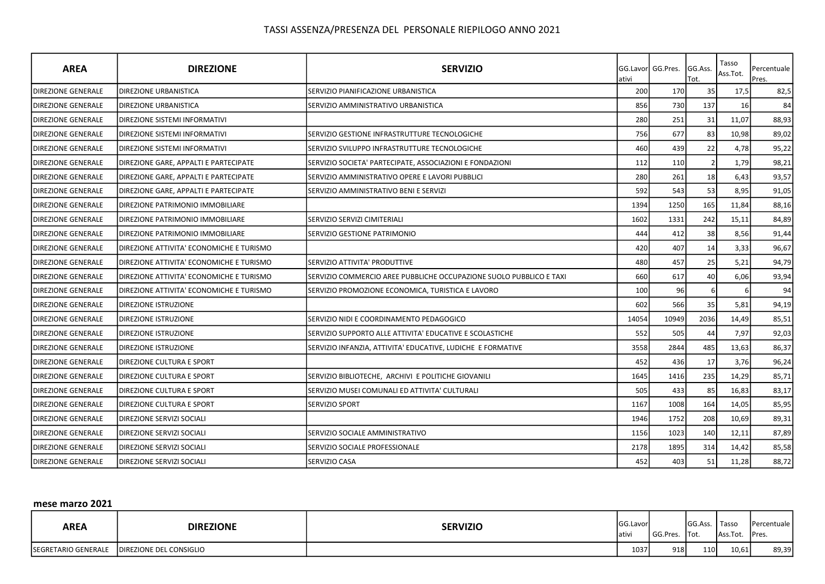| <b>AREA</b>               | <b>DIREZIONE</b>                         | <b>SERVIZIO</b>                                                     | ativi | GG.Lavor GG.Pres. | GG.Ass.<br>Tot. | Tasso<br>Ass.Tot. | Percentuale<br>Pres. |
|---------------------------|------------------------------------------|---------------------------------------------------------------------|-------|-------------------|-----------------|-------------------|----------------------|
| <b>DIREZIONE GENERALE</b> | DIREZIONE URBANISTICA                    | SERVIZIO PIANIFICAZIONE URBANISTICA                                 | 200   | 170               | 35              | 17,5              | 82,5                 |
| <b>DIREZIONE GENERALE</b> | DIREZIONE URBANISTICA                    | SERVIZIO AMMINISTRATIVO URBANISTICA                                 | 856   | 730               | 137             | 16                | 84                   |
| <b>DIREZIONE GENERALE</b> | DIREZIONE SISTEMI INFORMATIVI            |                                                                     | 280   | 251               | 31              | 11,07             | 88,93                |
| <b>DIREZIONE GENERALE</b> | DIREZIONE SISTEMI INFORMATIVI            | SERVIZIO GESTIONE INFRASTRUTTURE TECNOLOGICHE                       | 756   | 677               | 83              | 10,98             | 89,02                |
| <b>DIREZIONE GENERALE</b> | DIREZIONE SISTEMI INFORMATIVI            | SERVIZIO SVILUPPO INFRASTRUTTURE TECNOLOGICHE                       | 460   | 439               | 22              | 4,78              | 95,22                |
| <b>DIREZIONE GENERALE</b> | DIREZIONE GARE, APPALTI E PARTECIPATE    | SERVIZIO SOCIETA' PARTECIPATE, ASSOCIAZIONI E FONDAZIONI            | 112   | 110               |                 | 1,79              | 98,21                |
| <b>DIREZIONE GENERALE</b> | DIREZIONE GARE, APPALTI E PARTECIPATE    | SERVIZIO AMMINISTRATIVO OPERE E LAVORI PUBBLICI                     | 280   | 261               | 18              | 6,43              | 93,57                |
| <b>DIREZIONE GENERALE</b> | DIREZIONE GARE, APPALTI E PARTECIPATE    | SERVIZIO AMMINISTRATIVO BENI E SERVIZI                              | 592   | 543               | 53              | 8,95              | 91,05                |
| <b>DIREZIONE GENERALE</b> | DIREZIONE PATRIMONIO IMMOBILIARE         |                                                                     | 1394  | 1250              | 165             | 11,84             | 88,16                |
| <b>DIREZIONE GENERALE</b> | DIREZIONE PATRIMONIO IMMOBILIARE         | SERVIZIO SERVIZI CIMITERIALI                                        | 1602  | 1331              | 242             | 15,11             | 84,89                |
| <b>DIREZIONE GENERALE</b> | DIREZIONE PATRIMONIO IMMOBILIARE         | SERVIZIO GESTIONE PATRIMONIO                                        | 444   | 412               | 38              | 8,56              | 91,44                |
| <b>DIREZIONE GENERALE</b> | DIREZIONE ATTIVITA' ECONOMICHE E TURISMO |                                                                     | 420   | 407               | 14              | 3,33              | 96,67                |
| <b>DIREZIONE GENERALE</b> | DIREZIONE ATTIVITA' ECONOMICHE E TURISMO | SERVIZIO ATTIVITA' PRODUTTIVE                                       | 480   | 457               | 25              | 5,21              | 94,79                |
| <b>DIREZIONE GENERALE</b> | DIREZIONE ATTIVITA' ECONOMICHE E TURISMO | SERVIZIO COMMERCIO AREE PUBBLICHE OCCUPAZIONE SUOLO PUBBLICO E TAXI | 660   | 617               | 40              | 6,06              | 93,94                |
| <b>DIREZIONE GENERALE</b> | DIREZIONE ATTIVITA' ECONOMICHE E TURISMO | SERVIZIO PROMOZIONE ECONOMICA, TURISTICA E LAVORO                   | 100   | 96                | 6               | 6                 | 94                   |
| <b>DIREZIONE GENERALE</b> | DIREZIONE ISTRUZIONE                     |                                                                     | 602   | 566               | 35              | 5,81              | 94,19                |
| <b>DIREZIONE GENERALE</b> | DIREZIONE ISTRUZIONE                     | SERVIZIO NIDI E COORDINAMENTO PEDAGOGICO                            | 14054 | 10949             | 2036            | 14,49             | 85,51                |
| <b>DIREZIONE GENERALE</b> | DIREZIONE ISTRUZIONE                     | SERVIZIO SUPPORTO ALLE ATTIVITA' EDUCATIVE E SCOLASTICHE            | 552   | 505               | 44              | 7,97              | 92,03                |
| <b>DIREZIONE GENERALE</b> | <b>DIREZIONE ISTRUZIONE</b>              | SERVIZIO INFANZIA, ATTIVITA' EDUCATIVE, LUDICHE E FORMATIVE         | 3558  | 2844              | 485             | 13,63             | 86,37                |
| <b>DIREZIONE GENERALE</b> | DIREZIONE CULTURA E SPORT                |                                                                     | 452   | 436               | 17              | 3,76              | 96,24                |
| <b>DIREZIONE GENERALE</b> | DIREZIONE CULTURA E SPORT                | SERVIZIO BIBLIOTECHE, ARCHIVI E POLITICHE GIOVANILI                 | 1645  | 1416              | 235             | 14,29             | 85,71                |
| <b>DIREZIONE GENERALE</b> | DIREZIONE CULTURA E SPORT                | SERVIZIO MUSEI COMUNALI ED ATTIVITA' CULTURALI                      | 505   | 433               | 85              | 16,83             | 83,17                |
| DIREZIONE GENERALE        | DIREZIONE CULTURA E SPORT                | SERVIZIO SPORT                                                      | 1167  | 1008              | 164             | 14,05             | 85,95                |
| <b>DIREZIONE GENERALE</b> | DIREZIONE SERVIZI SOCIALI                |                                                                     | 1946  | 1752              | 208             | 10,69             | 89,31                |
| <b>DIREZIONE GENERALE</b> | DIREZIONE SERVIZI SOCIALI                | SERVIZIO SOCIALE AMMINISTRATIVO                                     | 1156  | 1023              | 140             | 12,11             | 87,89                |
| <b>DIREZIONE GENERALE</b> | DIREZIONE SERVIZI SOCIALI                | SERVIZIO SOCIALE PROFESSIONALE                                      | 2178  | 1895              | 314             | 14,42             | 85,58                |
| <b>DIREZIONE GENERALE</b> | DIREZIONE SERVIZI SOCIALI                | SERVIZIO CASA                                                       | 452   | 403               | 51              | 11,28             | 88,72                |

mese marzo 2021

| <b>AREA</b>                | <b>DIREZIONE</b>                | <b>SERVIZIO</b> | <b>GG.Lavor</b><br>lativ. | GG.Pres. | GG.Ass.   Tasso<br>Tot. | Ass.Tot. | Percentuale  <br>Pres. |
|----------------------------|---------------------------------|-----------------|---------------------------|----------|-------------------------|----------|------------------------|
| <b>SEGRETARIO GENERALE</b> | <b>IDIREZIONE DEL CONSIGLIO</b> |                 | 1037                      | 918      | 110                     | 10,61    | 89,39                  |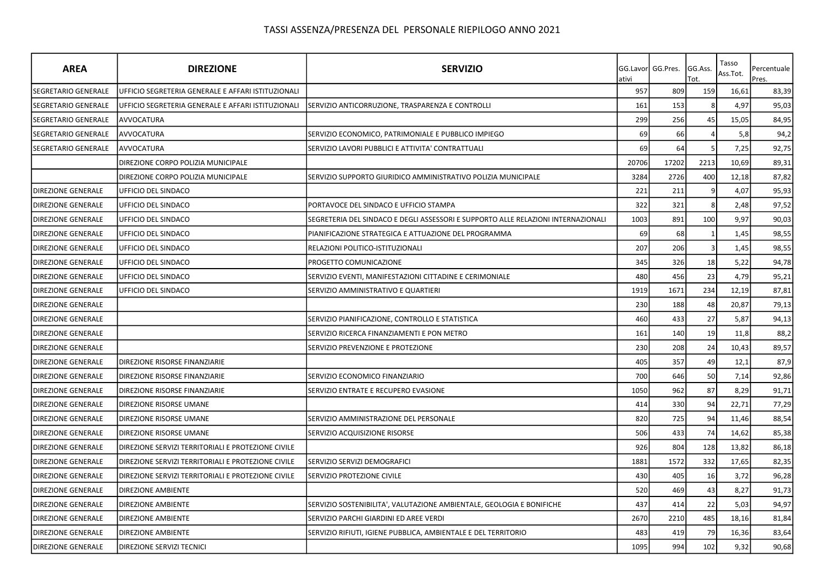| <b>AREA</b>                | <b>DIREZIONE</b>                                   | <b>SERVIZIO</b>                                                                   | ativi | GG.Lavor GG.Pres. | GG.Ass.<br>Tot. | Tasso<br>Ass.Tot. | Percentuale<br>Pres. |
|----------------------------|----------------------------------------------------|-----------------------------------------------------------------------------------|-------|-------------------|-----------------|-------------------|----------------------|
| SEGRETARIO GENERALE        | UFFICIO SEGRETERIA GENERALE E AFFARI ISTITUZIONALI |                                                                                   | 957   | 809               | 159             | 16,61             | 83,39                |
| <b>SEGRETARIO GENERALE</b> | UFFICIO SEGRETERIA GENERALE E AFFARI ISTITUZIONALI | SERVIZIO ANTICORRUZIONE, TRASPARENZA E CONTROLLI                                  | 161   | 153               |                 | 4,97              | 95,03                |
| SEGRETARIO GENERALE        | AVVOCATURA                                         |                                                                                   | 299   | 256               | 45              | 15,05             | 84,95                |
| SEGRETARIO GENERALE        | <b>AVVOCATURA</b>                                  | SERVIZIO ECONOMICO, PATRIMONIALE E PUBBLICO IMPIEGO                               | 69    | 66                |                 | 5,8               | 94,2                 |
| SEGRETARIO GENERALE        | <b>AVVOCATURA</b>                                  | SERVIZIO LAVORI PUBBLICI E ATTIVITA' CONTRATTUALI                                 | 69    | 64                |                 | 7,25              | 92,75                |
|                            | DIREZIONE CORPO POLIZIA MUNICIPALE                 |                                                                                   | 20706 | 17202             | 2213            | 10,69             | 89,31                |
|                            | DIREZIONE CORPO POLIZIA MUNICIPALE                 | SERVIZIO SUPPORTO GIURIDICO AMMINISTRATIVO POLIZIA MUNICIPALE                     | 3284  | 2726              | 400             | 12,18             | 87,82                |
| <b>DIREZIONE GENERALE</b>  | UFFICIO DEL SINDACO                                |                                                                                   | 221   | 211               |                 | 4,07              | 95,93                |
| <b>DIREZIONE GENERALE</b>  | UFFICIO DEL SINDACO                                | PORTAVOCE DEL SINDACO E UFFICIO STAMPA                                            | 322   | 321               |                 | 2,48              | 97,52                |
| <b>DIREZIONE GENERALE</b>  | UFFICIO DEL SINDACO                                | SEGRETERIA DEL SINDACO E DEGLI ASSESSORI E SUPPORTO ALLE RELAZIONI INTERNAZIONALI | 1003  | 891               | 100             | 9,97              | 90,03                |
| <b>DIREZIONE GENERALE</b>  | UFFICIO DEL SINDACO                                | PIANIFICAZIONE STRATEGICA E ATTUAZIONE DEL PROGRAMMA                              | 69    | 68                |                 | 1,45              | 98,55                |
| <b>DIREZIONE GENERALE</b>  | UFFICIO DEL SINDACO                                | RELAZIONI POLITICO-ISTITUZIONALI                                                  | 207   | 206               |                 | 1,45              | 98,55                |
| <b>DIREZIONE GENERALE</b>  | UFFICIO DEL SINDACO                                | PROGETTO COMUNICAZIONE                                                            | 345   | 326               | 18              | 5,22              | 94,78                |
| <b>DIREZIONE GENERALE</b>  | UFFICIO DEL SINDACO                                | SERVIZIO EVENTI, MANIFESTAZIONI CITTADINE E CERIMONIALE                           | 480   | 456               | 23              | 4,79              | 95,21                |
| <b>DIREZIONE GENERALE</b>  | UFFICIO DEL SINDACO                                | SERVIZIO AMMINISTRATIVO E QUARTIERI                                               | 1919  | 1671              | 234             | 12,19             | 87,81                |
| <b>DIREZIONE GENERALE</b>  |                                                    |                                                                                   | 230   | 188               | 48              | 20,87             | 79,13                |
| <b>DIREZIONE GENERALE</b>  |                                                    | SERVIZIO PIANIFICAZIONE, CONTROLLO E STATISTICA                                   | 460   | 433               | 27              | 5,87              | 94,13                |
| <b>DIREZIONE GENERALE</b>  |                                                    | SERVIZIO RICERCA FINANZIAMENTI E PON METRO                                        | 161   | 140               | 19              | 11,8              | 88,2                 |
| <b>DIREZIONE GENERALE</b>  |                                                    | SERVIZIO PREVENZIONE E PROTEZIONE                                                 | 230   | 208               | 24              | 10,43             | 89,57                |
| <b>DIREZIONE GENERALE</b>  | DIREZIONE RISORSE FINANZIARIE                      |                                                                                   | 405   | 357               | 49              | 12,1              | 87,9                 |
| <b>DIREZIONE GENERALE</b>  | DIREZIONE RISORSE FINANZIARIE                      | SERVIZIO ECONOMICO FINANZIARIO                                                    | 700   | 646               | 50              | 7,14              | 92,86                |
| <b>DIREZIONE GENERALE</b>  | DIREZIONE RISORSE FINANZIARIE                      | SERVIZIO ENTRATE E RECUPERO EVASIONE                                              | 1050  | 962               | 87              | 8,29              | 91,71                |
| <b>DIREZIONE GENERALE</b>  | DIREZIONE RISORSE UMANE                            |                                                                                   | 414   | 330               | 94              | 22,71             | 77,29                |
| <b>DIREZIONE GENERALE</b>  | DIREZIONE RISORSE UMANE                            | SERVIZIO AMMINISTRAZIONE DEL PERSONALE                                            | 820   | 725               | 94              | 11,46             | 88,54                |
| <b>DIREZIONE GENERALE</b>  | DIREZIONE RISORSE UMANE                            | SERVIZIO ACQUISIZIONE RISORSE                                                     | 506   | 433               | 74              | 14,62             | 85,38                |
| <b>DIREZIONE GENERALE</b>  | DIREZIONE SERVIZI TERRITORIALI E PROTEZIONE CIVILE |                                                                                   | 926   | 804               | 128             | 13,82             | 86,18                |
| <b>DIREZIONE GENERALE</b>  | DIREZIONE SERVIZI TERRITORIALI E PROTEZIONE CIVILE | SERVIZIO SERVIZI DEMOGRAFICI                                                      | 1881  | 1572              | 332             | 17,65             | 82,35                |
| <b>DIREZIONE GENERALE</b>  | DIREZIONE SERVIZI TERRITORIALI E PROTEZIONE CIVILE | SERVIZIO PROTEZIONE CIVILE                                                        | 430   | 405               | 16              | 3,72              | 96,28                |
| <b>DIREZIONE GENERALE</b>  | <b>DIREZIONE AMBIENTE</b>                          |                                                                                   | 520   | 469               | 43              | 8,27              | 91,73                |
| <b>DIREZIONE GENERALE</b>  | <b>DIREZIONE AMBIENTE</b>                          | SERVIZIO SOSTENIBILITA', VALUTAZIONE AMBIENTALE, GEOLOGIA E BONIFICHE             | 437   | 414               | 22              | 5,03              | 94,97                |
| <b>DIREZIONE GENERALE</b>  | <b>DIREZIONE AMBIENTE</b>                          | SERVIZIO PARCHI GIARDINI ED AREE VERDI                                            | 2670  | 2210              | 485             | 18,16             | 81,84                |
| <b>DIREZIONE GENERALE</b>  | <b>DIREZIONE AMBIENTE</b>                          | SERVIZIO RIFIUTI, IGIENE PUBBLICA, AMBIENTALE E DEL TERRITORIO                    | 483   | 419               | 79              | 16,36             | 83,64                |
| <b>DIREZIONE GENERALE</b>  | DIREZIONE SERVIZI TECNICI                          |                                                                                   | 1095  | 994               | 102             | 9,32              | 90,68                |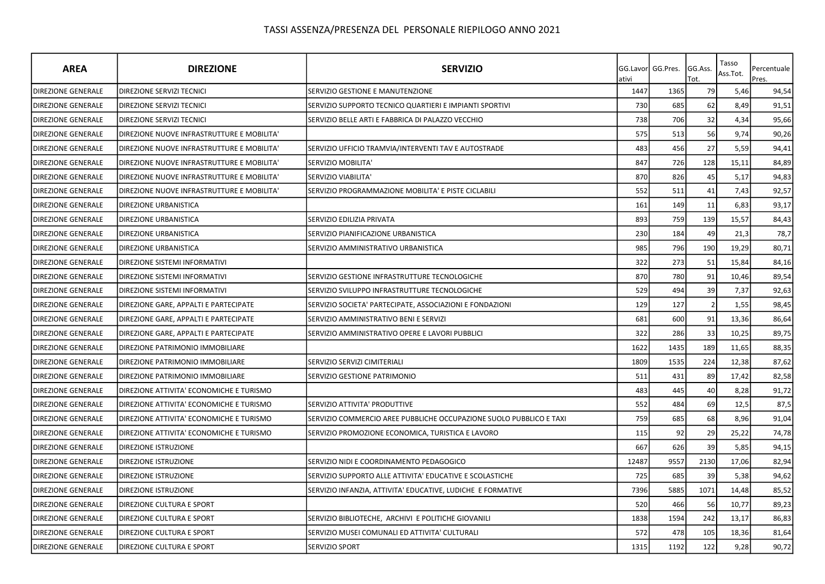| <b>AREA</b>               | <b>DIREZIONE</b>                           | <b>SERVIZIO</b>                                                     | ativi | GG.Lavorl GG.Pres. | GG.Ass.<br>Tot. | Tasso<br>Ass.Tot. | Percentuale<br>Pres. |
|---------------------------|--------------------------------------------|---------------------------------------------------------------------|-------|--------------------|-----------------|-------------------|----------------------|
| DIREZIONE GENERALE        | <b>DIREZIONE SERVIZI TECNICI</b>           | SERVIZIO GESTIONE E MANUTENZIONE                                    | 1447  | 1365               | 79              | 5,46              | 94,54                |
| <b>DIREZIONE GENERALE</b> | <b>DIREZIONE SERVIZI TECNICI</b>           | SERVIZIO SUPPORTO TECNICO QUARTIERI E IMPIANTI SPORTIVI             | 730   | 685                | 62              | 8,49              | 91,51                |
| <b>DIREZIONE GENERALE</b> | <b>DIREZIONE SERVIZI TECNICI</b>           | SERVIZIO BELLE ARTI E FABBRICA DI PALAZZO VECCHIO                   | 738   | 706                | 32              | 4,34              | 95,66                |
| <b>DIREZIONE GENERALE</b> | DIREZIONE NUOVE INFRASTRUTTURE E MOBILITA' |                                                                     | 575   | 513                | 56              | 9,74              | 90,26                |
| <b>DIREZIONE GENERALE</b> | DIREZIONE NUOVE INFRASTRUTTURE E MOBILITA' | SERVIZIO UFFICIO TRAMVIA/INTERVENTI TAV E AUTOSTRADE                | 483   | 456                | 27              | 5,59              | 94,41                |
| <b>DIREZIONE GENERALE</b> | DIREZIONE NUOVE INFRASTRUTTURE E MOBILITA' | SERVIZIO MOBILITA'                                                  | 847   | 726                | 128             | 15,11             | 84,89                |
| <b>DIREZIONE GENERALE</b> | DIREZIONE NUOVE INFRASTRUTTURE E MOBILITA' | SERVIZIO VIABILITA'                                                 | 870   | 826                | 45              | 5,17              | 94,83                |
| <b>DIREZIONE GENERALE</b> | DIREZIONE NUOVE INFRASTRUTTURE E MOBILITA' | SERVIZIO PROGRAMMAZIONE MOBILITA' E PISTE CICLABILI                 | 552   | 511                | 41              | 7,43              | 92,57                |
| <b>DIREZIONE GENERALE</b> | DIREZIONE URBANISTICA                      |                                                                     | 161   | 149                | 11              | 6,83              | 93,17                |
| <b>DIREZIONE GENERALE</b> | <b>DIREZIONE URBANISTICA</b>               | SERVIZIO EDILIZIA PRIVATA                                           | 893   | 759                | 139             | 15,57             | 84,43                |
| DIREZIONE GENERALE        | DIREZIONE URBANISTICA                      | SERVIZIO PIANIFICAZIONE URBANISTICA                                 | 230   | 184                | 49              | 21,3              | 78,7                 |
| <b>DIREZIONE GENERALE</b> | DIREZIONE URBANISTICA                      | SERVIZIO AMMINISTRATIVO URBANISTICA                                 | 985   | 796                | 190             | 19,29             | 80,71                |
| DIREZIONE GENERALE        | DIREZIONE SISTEMI INFORMATIVI              |                                                                     | 322   | 273                | 51              | 15,84             | 84,16                |
| DIREZIONE GENERALE        | DIREZIONE SISTEMI INFORMATIVI              | SERVIZIO GESTIONE INFRASTRUTTURE TECNOLOGICHE                       | 870   | 780                | 91              | 10,46             | 89,54                |
| DIREZIONE GENERALE        | DIREZIONE SISTEMI INFORMATIVI              | SERVIZIO SVILUPPO INFRASTRUTTURE TECNOLOGICHE                       | 529   | 494                | 39              | 7,37              | 92,63                |
| <b>DIREZIONE GENERALE</b> | DIREZIONE GARE, APPALTI E PARTECIPATE      | SERVIZIO SOCIETA' PARTECIPATE, ASSOCIAZIONI E FONDAZIONI            | 129   | 127                |                 | 1,55              | 98,45                |
| <b>DIREZIONE GENERALE</b> | DIREZIONE GARE, APPALTI E PARTECIPATE      | SERVIZIO AMMINISTRATIVO BENI E SERVIZI                              | 681   | 600                | 91              | 13,36             | 86,64                |
| <b>DIREZIONE GENERALE</b> | DIREZIONE GARE, APPALTI E PARTECIPATE      | SERVIZIO AMMINISTRATIVO OPERE E LAVORI PUBBLICI                     | 322   | 286                | 33              | 10,25             | 89,75                |
| DIREZIONE GENERALE        | DIREZIONE PATRIMONIO IMMOBILIARE           |                                                                     | 1622  | 1435               | 189             | 11,65             | 88,35                |
| DIREZIONE GENERALE        | DIREZIONE PATRIMONIO IMMOBILIARE           | SERVIZIO SERVIZI CIMITERIALI                                        | 1809  | 1535               | 224             | 12,38             | 87,62                |
| <b>DIREZIONE GENERALE</b> | DIREZIONE PATRIMONIO IMMOBILIARE           | SERVIZIO GESTIONE PATRIMONIO                                        | 511   | 431                | 89              | 17,42             | 82,58                |
| <b>DIREZIONE GENERALE</b> | DIREZIONE ATTIVITA' ECONOMICHE E TURISMO   |                                                                     | 483   | 445                | 40              | 8,28              | 91,72                |
| <b>DIREZIONE GENERALE</b> | DIREZIONE ATTIVITA' ECONOMICHE E TURISMO   | SERVIZIO ATTIVITA' PRODUTTIVE                                       | 552   | 484                | 69              | 12,5              | 87,5                 |
| <b>DIREZIONE GENERALE</b> | DIREZIONE ATTIVITA' ECONOMICHE E TURISMO   | SERVIZIO COMMERCIO AREE PUBBLICHE OCCUPAZIONE SUOLO PUBBLICO E TAXI | 759   | 685                | 68              | 8,96              | 91,04                |
| <b>DIREZIONE GENERALE</b> | DIREZIONE ATTIVITA' ECONOMICHE E TURISMO   | SERVIZIO PROMOZIONE ECONOMICA, TURISTICA E LAVORO                   | 115   | 92                 | 29              | 25,22             | 74,78                |
| <b>DIREZIONE GENERALE</b> | <b>DIREZIONE ISTRUZIONE</b>                |                                                                     | 667   | 626                | 39              | 5,85              | 94,15                |
| <b>DIREZIONE GENERALE</b> | <b>DIREZIONE ISTRUZIONE</b>                | SERVIZIO NIDI E COORDINAMENTO PEDAGOGICO                            | 12487 | 9557               | 2130            | 17,06             | 82,94                |
| DIREZIONE GENERALE        | DIREZIONE ISTRUZIONE                       | SERVIZIO SUPPORTO ALLE ATTIVITA' EDUCATIVE E SCOLASTICHE            | 725   | 685                | 39              | 5,38              | 94,62                |
| DIREZIONE GENERALE        | DIREZIONE ISTRUZIONE                       | SERVIZIO INFANZIA, ATTIVITA' EDUCATIVE, LUDICHE E FORMATIVE         | 7396  | 5885               | 1071            | 14,48             | 85,52                |
| <b>DIREZIONE GENERALE</b> | DIREZIONE CULTURA E SPORT                  |                                                                     | 520   | 466                | 56              | 10,77             | 89,23                |
| <b>DIREZIONE GENERALE</b> | DIREZIONE CULTURA E SPORT                  | SERVIZIO BIBLIOTECHE, ARCHIVI E POLITICHE GIOVANILI                 | 1838  | 1594               | 242             | 13,17             | 86,83                |
| <b>DIREZIONE GENERALE</b> | DIREZIONE CULTURA E SPORT                  | SERVIZIO MUSEI COMUNALI ED ATTIVITA' CULTURALI                      | 572   | 478                | 105             | 18,36             | 81,64                |
| <b>DIREZIONE GENERALE</b> | DIREZIONE CULTURA E SPORT                  | SERVIZIO SPORT                                                      | 1315  | 1192               | 122             | 9,28              | 90,72                |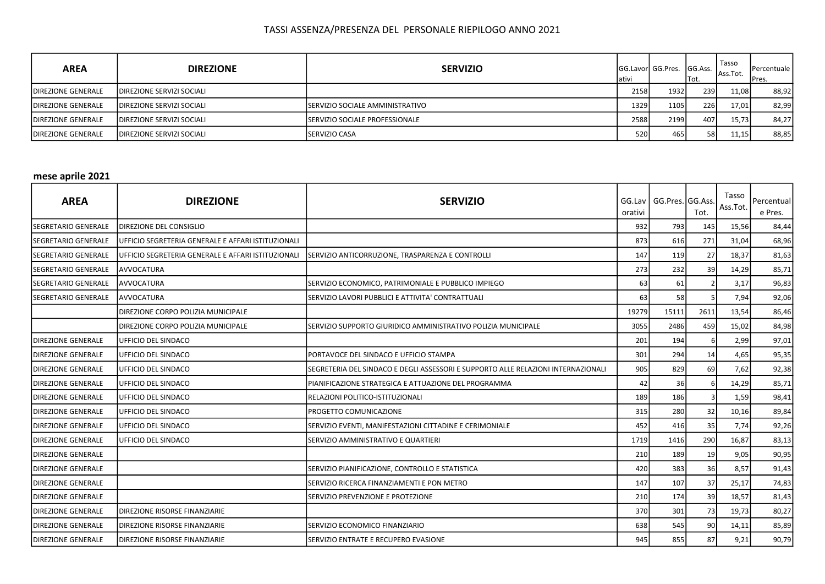| <b>AREA</b>               | <b>DIREZIONE</b>                  | <b>SERVIZIO</b>                         | ativi | <b>GG.Lavorl GG.Pres.</b> | <b>GG.Ass.</b><br>Tot. | Tasso<br>Ass.Tot. | Percentuale  <br><b>Pres.</b> |
|---------------------------|-----------------------------------|-----------------------------------------|-------|---------------------------|------------------------|-------------------|-------------------------------|
| <b>DIREZIONE GENERALE</b> | <b>IDIREZIONE SERVIZI SOCIALI</b> |                                         | 2158  | 1932                      | <b>239</b>             | 11,08             | 88,92                         |
| <b>DIREZIONE GENERALE</b> | <b>IDIREZIONE SERVIZI SOCIALI</b> | <b>ISERVIZIO SOCIALE AMMINISTRATIVO</b> | 1329  | 1105 <b>1</b>             | 226                    | 17,01             | 82,99                         |
| <b>DIREZIONE GENERALE</b> | <b>IDIREZIONE SERVIZI SOCIALI</b> | <b>ISERVIZIO SOCIALE PROFESSIONALE</b>  | 2588  | 2199                      | 407                    | 15,73             | 84,27                         |
| <b>DIREZIONE GENERALE</b> | <b>IDIREZIONE SERVIZI SOCIALI</b> | <b>ISERVIZIO CASA</b>                   | 520   | 465                       | <b>58</b>              | 11,15             | 88,85                         |

#### mese aprile 2021

| <b>AREA</b>                | <b>DIREZIONE</b>                                   | <b>SERVIZIO</b>                                                                   | orativi | GG.Lav   GG.Pres. GG.Ass. | Tot. | Tasso<br>Ass.Tot. | Percentual<br>e Pres. |
|----------------------------|----------------------------------------------------|-----------------------------------------------------------------------------------|---------|---------------------------|------|-------------------|-----------------------|
| <b>SEGRETARIO GENERALE</b> | <b>DIREZIONE DEL CONSIGLIO</b>                     |                                                                                   | 932     | 793                       | 145  | 15,56             | 84,44                 |
| <b>SEGRETARIO GENERALE</b> | UFFICIO SEGRETERIA GENERALE E AFFARI ISTITUZIONALI |                                                                                   | 873     | 616                       | 271  | 31,04             | 68,96                 |
| <b>SEGRETARIO GENERALE</b> | UFFICIO SEGRETERIA GENERALE E AFFARI ISTITUZIONALI | SERVIZIO ANTICORRUZIONE, TRASPARENZA E CONTROLLI                                  | 147     | 119                       | 27   | 18,37             | 81,63                 |
| SEGRETARIO GENERALE        | AVVOCATURA                                         |                                                                                   | 273     | 232                       | 39   | 14,29             | 85,71                 |
| SEGRETARIO GENERALE        | AVVOCATURA                                         | SERVIZIO ECONOMICO, PATRIMONIALE E PUBBLICO IMPIEGO                               | 63      | 61                        |      | 3,17              | 96,83                 |
| SEGRETARIO GENERALE        | <b>AVVOCATURA</b>                                  | SERVIZIO LAVORI PUBBLICI E ATTIVITA' CONTRATTUALI                                 | 63      | 58                        |      | 7,94              | 92,06                 |
|                            | DIREZIONE CORPO POLIZIA MUNICIPALE                 |                                                                                   | 19279   | 15111                     | 2611 | 13,54             | 86,46                 |
|                            | <b>DIREZIONE CORPO POLIZIA MUNICIPALE</b>          | SERVIZIO SUPPORTO GIURIDICO AMMINISTRATIVO POLIZIA MUNICIPALE                     | 3055    | 2486                      | 459  | 15,02             | 84,98                 |
| <b>DIREZIONE GENERALE</b>  | UFFICIO DEL SINDACO                                |                                                                                   | 201     | 194                       |      | 2,99              | 97,01                 |
| <b>DIREZIONE GENERALE</b>  | UFFICIO DEL SINDACO                                | PORTAVOCE DEL SINDACO E UFFICIO STAMPA                                            | 301     | 294                       | 14   | 4,65              | 95,35                 |
| <b>DIREZIONE GENERALE</b>  | UFFICIO DEL SINDACO                                | SEGRETERIA DEL SINDACO E DEGLI ASSESSORI E SUPPORTO ALLE RELAZIONI INTERNAZIONALI | 905     | 829                       | 69   | 7,62              | 92,38                 |
| <b>DIREZIONE GENERALE</b>  | UFFICIO DEL SINDACO                                | PIANIFICAZIONE STRATEGICA E ATTUAZIONE DEL PROGRAMMA                              | 42      | 36                        |      | 14,29             | 85,71                 |
| <b>DIREZIONE GENERALE</b>  | IUFFICIO DEL SINDACO                               | RELAZIONI POLITICO-ISTITUZIONALI                                                  | 189     | 186                       |      | 1,59              | 98,41                 |
| <b>DIREZIONE GENERALE</b>  | UFFICIO DEL SINDACO                                | PROGETTO COMUNICAZIONE                                                            | 315     | 280                       | 32   | 10,16             | 89,84                 |
| <b>DIREZIONE GENERALE</b>  | UFFICIO DEL SINDACO                                | SERVIZIO EVENTI, MANIFESTAZIONI CITTADINE E CERIMONIALE                           | 452     | 416                       | 35   | 7,74              | 92,26                 |
| <b>DIREZIONE GENERALE</b>  | UFFICIO DEL SINDACO                                | SERVIZIO AMMINISTRATIVO E QUARTIERI                                               | 1719    | 1416                      | 290  | 16,87             | 83,13                 |
| <b>DIREZIONE GENERALE</b>  |                                                    |                                                                                   | 210     | 189                       | 19   | 9,05              | 90,95                 |
| <b>DIREZIONE GENERALE</b>  |                                                    | SERVIZIO PIANIFICAZIONE, CONTROLLO E STATISTICA                                   | 420     | 383                       | 36   | 8,57              | 91,43                 |
| <b>DIREZIONE GENERALE</b>  |                                                    | SERVIZIO RICERCA FINANZIAMENTI E PON METRO                                        | 147     | 107                       | 37   | 25,17             | 74,83                 |
| <b>DIREZIONE GENERALE</b>  |                                                    | SERVIZIO PREVENZIONE E PROTEZIONE                                                 | 210     | 174                       | 39   | 18,57             | 81,43                 |
| <b>DIREZIONE GENERALE</b>  | <b>DIREZIONE RISORSE FINANZIARIE</b>               |                                                                                   | 370     | 301                       | 73   | 19,73             | 80,27                 |
| <b>DIREZIONE GENERALE</b>  | DIREZIONE RISORSE FINANZIARIE                      | SERVIZIO ECONOMICO FINANZIARIO                                                    | 638     | 545                       | 90   | 14,11             | 85,89                 |
| <b>DIREZIONE GENERALE</b>  | <b>DIREZIONE RISORSE FINANZIARIE</b>               | SERVIZIO ENTRATE E RECUPERO EVASIONE                                              | 945     | 855                       | 87   | 9,21              | 90,79                 |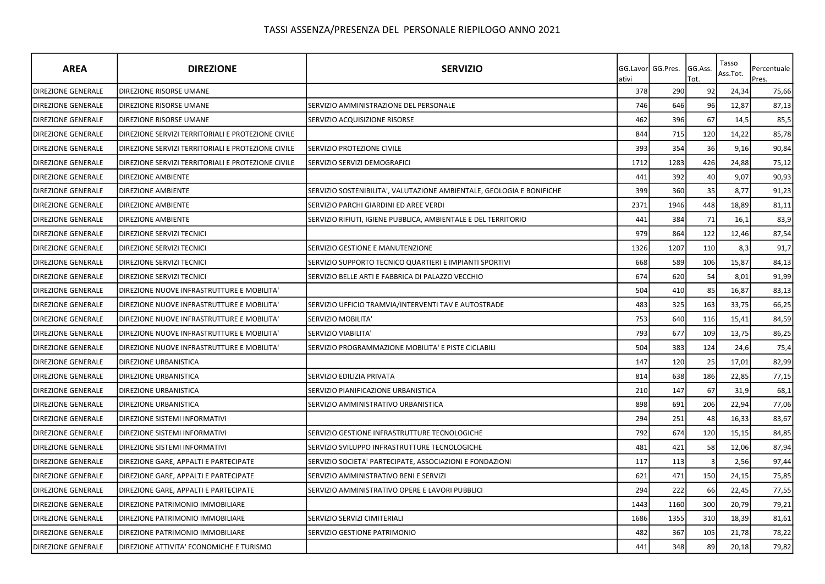| <b>AREA</b>               | <b>DIREZIONE</b>                                   | <b>SERVIZIO</b>                                                       | ativi | GG.Lavor GG.Pres. | GG.Ass.<br>Tot. | Tasso<br>Ass.Tot. | Percentuale<br>Pres. |
|---------------------------|----------------------------------------------------|-----------------------------------------------------------------------|-------|-------------------|-----------------|-------------------|----------------------|
| <b>DIREZIONE GENERALE</b> | DIREZIONE RISORSE UMANE                            |                                                                       | 378   | 290               | 92              | 24,34             | 75,66                |
| <b>DIREZIONE GENERALE</b> | DIREZIONE RISORSE UMANE                            | SERVIZIO AMMINISTRAZIONE DEL PERSONALE                                | 746   | 646               | 96              | 12,87             | 87,13                |
| <b>DIREZIONE GENERALE</b> | DIREZIONE RISORSE UMANE                            | SERVIZIO ACQUISIZIONE RISORSE                                         | 462   | 396               | 67              | 14,5              | 85,5                 |
| DIREZIONE GENERALE        | DIREZIONE SERVIZI TERRITORIALI E PROTEZIONE CIVILE |                                                                       | 844   | 715               | 120             | 14,22             | 85,78                |
| DIREZIONE GENERALE        | DIREZIONE SERVIZI TERRITORIALI E PROTEZIONE CIVILE | SERVIZIO PROTEZIONE CIVILE                                            | 393   | 354               | 36              | 9,16              | 90,84                |
| <b>DIREZIONE GENERALE</b> | DIREZIONE SERVIZI TERRITORIALI E PROTEZIONE CIVILE | SERVIZIO SERVIZI DEMOGRAFICI                                          | 1712  | 1283              | 426             | 24,88             | 75,12                |
| <b>DIREZIONE GENERALE</b> | <b>DIREZIONE AMBIENTE</b>                          |                                                                       | 441   | 392               | 40              | 9,07              | 90,93                |
| <b>DIREZIONE GENERALE</b> | <b>DIREZIONE AMBIENTE</b>                          | SERVIZIO SOSTENIBILITA', VALUTAZIONE AMBIENTALE, GEOLOGIA E BONIFICHE | 399   | 360               | 35              | 8,77              | 91,23                |
| <b>DIREZIONE GENERALE</b> | <b>DIREZIONE AMBIENTE</b>                          | SERVIZIO PARCHI GIARDINI ED AREE VERDI                                | 2371  | 1946              | 448             | 18,89             | 81,11                |
| <b>DIREZIONE GENERALE</b> | <b>DIREZIONE AMBIENTE</b>                          | SERVIZIO RIFIUTI, IGIENE PUBBLICA, AMBIENTALE E DEL TERRITORIO        | 441   | 384               | 71              | 16,1              | 83,9                 |
| <b>DIREZIONE GENERALE</b> | DIREZIONE SERVIZI TECNICI                          |                                                                       | 979   | 864               | 122             | 12,46             | 87,54                |
| DIREZIONE GENERALE        | DIREZIONE SERVIZI TECNICI                          | SERVIZIO GESTIONE E MANUTENZIONE                                      | 1326  | 1207              | 110             | 8,3               | 91,7                 |
| <b>DIREZIONE GENERALE</b> | DIREZIONE SERVIZI TECNICI                          | SERVIZIO SUPPORTO TECNICO QUARTIERI E IMPIANTI SPORTIVI               | 668   | 589               | 106             | 15,87             | 84,13                |
| <b>DIREZIONE GENERALE</b> | DIREZIONE SERVIZI TECNICI                          | SERVIZIO BELLE ARTI E FABBRICA DI PALAZZO VECCHIO                     | 674   | 620               | 54              | 8,01              | 91,99                |
| <b>DIREZIONE GENERALE</b> | DIREZIONE NUOVE INFRASTRUTTURE E MOBILITA'         |                                                                       | 504   | 410               | 85              | 16,87             | 83,13                |
| <b>DIREZIONE GENERALE</b> | DIREZIONE NUOVE INFRASTRUTTURE E MOBILITA'         | SERVIZIO UFFICIO TRAMVIA/INTERVENTI TAV E AUTOSTRADE                  | 483   | 325               | 163             | 33,75             | 66,25                |
| <b>DIREZIONE GENERALE</b> | DIREZIONE NUOVE INFRASTRUTTURE E MOBILITA'         | SERVIZIO MOBILITA'                                                    | 753   | 640               | 116             | 15,41             | 84,59                |
| <b>DIREZIONE GENERALE</b> | DIREZIONE NUOVE INFRASTRUTTURE E MOBILITA'         | SERVIZIO VIABILITA'                                                   | 793   | 677               | 109             | 13,75             | 86,25                |
| <b>DIREZIONE GENERALE</b> | DIREZIONE NUOVE INFRASTRUTTURE E MOBILITA'         | SERVIZIO PROGRAMMAZIONE MOBILITA' E PISTE CICLABILI                   | 504   | 383               | 124             | 24,6              | 75,4                 |
| <b>DIREZIONE GENERALE</b> | DIREZIONE URBANISTICA                              |                                                                       | 147   | 120               | 25              | 17,01             | 82,99                |
| <b>DIREZIONE GENERALE</b> | DIREZIONE URBANISTICA                              | SERVIZIO EDILIZIA PRIVATA                                             | 814   | 638               | 186             | 22,85             | 77,15                |
| <b>DIREZIONE GENERALE</b> | <b>DIREZIONE URBANISTICA</b>                       | SERVIZIO PIANIFICAZIONE URBANISTICA                                   | 210   | 147               | 67              | 31,9              | 68,1                 |
| <b>DIREZIONE GENERALE</b> | DIREZIONE URBANISTICA                              | SERVIZIO AMMINISTRATIVO URBANISTICA                                   | 898   | 691               | 206             | 22,94             | 77,06                |
| <b>DIREZIONE GENERALE</b> | DIREZIONE SISTEMI INFORMATIVI                      |                                                                       | 294   | 251               | 48              | 16,33             | 83,67                |
| <b>DIREZIONE GENERALE</b> | DIREZIONE SISTEMI INFORMATIVI                      | SERVIZIO GESTIONE INFRASTRUTTURE TECNOLOGICHE                         | 792   | 674               | 120             | 15,15             | 84,85                |
| <b>DIREZIONE GENERALE</b> | DIREZIONE SISTEMI INFORMATIVI                      | SERVIZIO SVILUPPO INFRASTRUTTURE TECNOLOGICHE                         | 481   | 421               | 58              | 12,06             | 87,94                |
| <b>DIREZIONE GENERALE</b> | DIREZIONE GARE, APPALTI E PARTECIPATE              | SERVIZIO SOCIETA' PARTECIPATE, ASSOCIAZIONI E FONDAZIONI              | 117   | 113               |                 | 2,56              | 97,44                |
| DIREZIONE GENERALE        | DIREZIONE GARE, APPALTI E PARTECIPATE              | SERVIZIO AMMINISTRATIVO BENI E SERVIZI                                | 621   | 471               | 150             | 24,15             | 75,85                |
| <b>DIREZIONE GENERALE</b> | DIREZIONE GARE, APPALTI E PARTECIPATE              | SERVIZIO AMMINISTRATIVO OPERE E LAVORI PUBBLICI                       | 294   | 222               | 66              | 22,45             | 77,55                |
| <b>DIREZIONE GENERALE</b> | DIREZIONE PATRIMONIO IMMOBILIARE                   |                                                                       | 1443  | 1160              | 300             | 20,79             | 79,21                |
| <b>DIREZIONE GENERALE</b> | DIREZIONE PATRIMONIO IMMOBILIARE                   | SERVIZIO SERVIZI CIMITERIALI                                          | 1686  | 1355              | 310             | 18,39             | 81,61                |
| <b>DIREZIONE GENERALE</b> | DIREZIONE PATRIMONIO IMMOBILIARE                   | SERVIZIO GESTIONE PATRIMONIO                                          | 482   | 367               | 105             | 21,78             | 78,22                |
| <b>DIREZIONE GENERALE</b> | DIREZIONE ATTIVITA' ECONOMICHE E TURISMO           |                                                                       | 441   | 348               | 89              | 20,18             | 79,82                |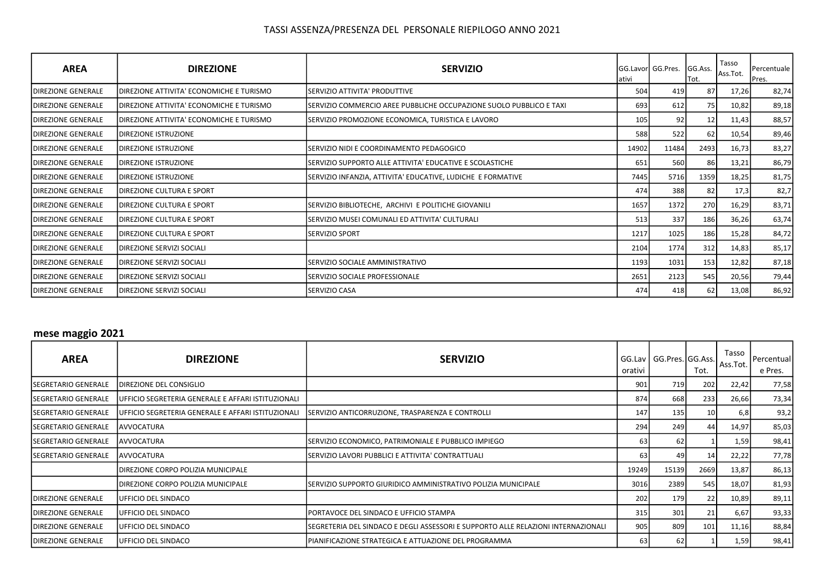| <b>AREA</b>                | <b>DIREZIONE</b>                          | <b>SERVIZIO</b>                                                     | lativi | <b>IGG.Lavorl GG.Pres.</b> | GG.Ass.<br>Tot. | Tasso<br>Ass.Tot. | Percentuale  <br>Pres. |
|----------------------------|-------------------------------------------|---------------------------------------------------------------------|--------|----------------------------|-----------------|-------------------|------------------------|
| <b>IDIREZIONE GENERALE</b> | DIREZIONE ATTIVITA' ECONOMICHE E TURISMO  | SERVIZIO ATTIVITA' PRODUTTIVE                                       | 504    | 419                        | 87              | 17,26             | 82,74                  |
| <b>IDIREZIONE GENERALE</b> | IDIREZIONE ATTIVITA' ECONOMICHE E TURISMO | SERVIZIO COMMERCIO AREE PUBBLICHE OCCUPAZIONE SUOLO PUBBLICO E TAXI | 693    | 612                        | 75              | 10,82             | 89,18                  |
| <b>IDIREZIONE GENERALE</b> | IDIREZIONE ATTIVITA' ECONOMICHE E TURISMO | SERVIZIO PROMOZIONE ECONOMICA, TURISTICA E LAVORO                   | 105    | 92                         | 12              | 11,43             | 88,57                  |
| <b>IDIREZIONE GENERALE</b> | DIREZIONE ISTRUZIONE                      |                                                                     | 588    | 522                        | 62              | 10,54             | 89,46                  |
| <b>IDIREZIONE GENERALE</b> | <b>DIREZIONE ISTRUZIONE</b>               | SERVIZIO NIDI E COORDINAMENTO PEDAGOGICO                            | 14902  | 11484                      | 2493            | 16,73             | 83,27                  |
| <b>IDIREZIONE GENERALE</b> | <b>IDIREZIONE ISTRUZIONE</b>              | SERVIZIO SUPPORTO ALLE ATTIVITA' EDUCATIVE E SCOLASTICHE            | 651    | 560                        | 86              | 13,21             | 86,79                  |
| <b>IDIREZIONE GENERALE</b> | <b>IDIREZIONE ISTRUZIONE</b>              | SERVIZIO INFANZIA, ATTIVITA' EDUCATIVE, LUDICHE E FORMATIVE         | 7445   | 5716                       | 1359            | 18,25             | 81,75                  |
| <b>DIREZIONE GENERALE</b>  | <b>DIREZIONE CULTURA E SPORT</b>          |                                                                     | 474    | 388                        | 82              | 17,3              | 82,7                   |
| <b>IDIREZIONE GENERALE</b> | <b>IDIREZIONE CULTURA E SPORT</b>         | SERVIZIO BIBLIOTECHE, ARCHIVI E POLITICHE GIOVANILI                 | 1657   | 1372                       | 270             | 16,29             | 83,71                  |
| <b>IDIREZIONE GENERALE</b> | IDIREZIONE CULTURA E SPORT                | SERVIZIO MUSEI COMUNALI ED ATTIVITA' CULTURALI                      | 513    | 337                        | 186             | 36,26             | 63,74                  |
| <b>IDIREZIONE GENERALE</b> | DIREZIONE CULTURA E SPORT                 | <b>SERVIZIO SPORT</b>                                               | 1217   | 1025                       | 186             | 15,28             | 84,72                  |
| <b>IDIREZIONE GENERALE</b> | <b>DIREZIONE SERVIZI SOCIALI</b>          |                                                                     | 2104   | 1774                       | 312             | 14,83             | 85,17                  |
| <b>DIREZIONE GENERALE</b>  | <b>DIREZIONE SERVIZI SOCIALI</b>          | SERVIZIO SOCIALE AMMINISTRATIVO                                     | 1193   | 1031                       | 153             | 12,82             | 87,18                  |
| <b>IDIREZIONE GENERALE</b> | <b>DIREZIONE SERVIZI SOCIALI</b>          | SERVIZIO SOCIALE PROFESSIONALE                                      | 2651   | 2123                       | 545             | 20,56             | 79,44                  |
| <b>IDIREZIONE GENERALE</b> | <b>IDIREZIONE SERVIZI SOCIALI</b>         | ISERVIZIO CASA                                                      | 474    | 418                        | 62              | 13,08             | 86,92                  |

### mese maggio 2021

| <b>AREA</b>                 | <b>DIREZIONE</b>                                   | <b>SERVIZIO</b>                                                                   | orativi | GG.Lav   GG.Pres. GG.Ass. | Tot. | Tasso<br>Ass.Tot. | Percentual<br>e Pres. |
|-----------------------------|----------------------------------------------------|-----------------------------------------------------------------------------------|---------|---------------------------|------|-------------------|-----------------------|
| <b>ISEGRETARIO GENERALE</b> | <b>IDIREZIONE DEL CONSIGLIO</b>                    |                                                                                   | 901     | 719                       | 202  | 22,42             | 77,58                 |
| <b>ISEGRETARIO GENERALE</b> | UFFICIO SEGRETERIA GENERALE E AFFARI ISTITUZIONALI |                                                                                   | 874     | 668                       | 233  | 26,66             | 73,34                 |
| <b>ISEGRETARIO GENERALE</b> | UFFICIO SEGRETERIA GENERALE E AFFARI ISTITUZIONALI | SERVIZIO ANTICORRUZIONE, TRASPARENZA E CONTROLLI                                  | 147     | 135                       | 10   | 6,8               | 93,2                  |
| <b>SEGRETARIO GENERALE</b>  | AVVOCATURA                                         |                                                                                   | 294     | 249                       | 44   | 14,97             | 85,03                 |
| ISEGRETARIO GENERALE        | AVVOCATURA                                         | ISERVIZIO ECONOMICO, PATRIMONIALE E PUBBLICO IMPIEGO                              | 63      | 62                        |      | 1,59              | 98,41                 |
| <b>ISEGRETARIO GENERALE</b> | <b>AVVOCATURA</b>                                  | SERVIZIO LAVORI PUBBLICI E ATTIVITA' CONTRATTUALI                                 | 63      | 49                        | 14   | 22,22             | 77,78                 |
|                             | <b>DIREZIONE CORPO POLIZIA MUNICIPALE</b>          |                                                                                   | 19249   | 15139                     | 2669 | 13,87             | 86,13                 |
|                             | DIREZIONE CORPO POLIZIA MUNICIPALE                 | SERVIZIO SUPPORTO GIURIDICO AMMINISTRATIVO POLIZIA MUNICIPALE                     | 3016    | 2389                      | 545  | 18,07             | 81,93                 |
| <b>IDIREZIONE GENERALE</b>  | <b>IUFFICIO DEL SINDACO</b>                        |                                                                                   | 202     | 179                       | 22   | 10,89             | 89,11                 |
| <b>IDIREZIONE GENERALE</b>  | IUFFICIO DEL SINDACO                               | <b>IPORTAVOCE DEL SINDACO E UFFICIO STAMPA</b>                                    | 315     | 301                       | 21   | 6,67              | 93,33                 |
| <b>IDIREZIONE GENERALE</b>  | <b>IUFFICIO DEL SINDACO</b>                        | SEGRETERIA DEL SINDACO E DEGLI ASSESSORI E SUPPORTO ALLE RELAZIONI INTERNAZIONALI | 905     | 809                       | 101  | 11,16             | 88,84                 |
| <b>IDIREZIONE GENERALE</b>  | <b>IUFFICIO DEL SINDACO</b>                        | IPIANIFICAZIONE STRATEGICA E ATTUAZIONE DEL PROGRAMMA                             | 63      | 62                        |      | 1,59              | 98,41                 |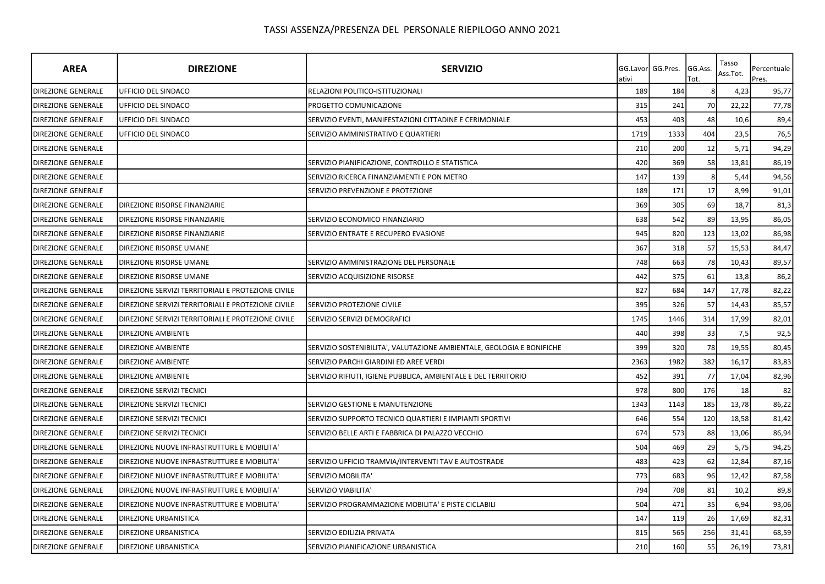| <b>AREA</b>               | <b>DIREZIONE</b>                                   | <b>SERVIZIO</b>                                                       | ativi | GG.Lavorl GG.Pres. | GG.Ass.<br>Tot. | Tasso<br>Ass.Tot. | Percentuale<br>Pres. |
|---------------------------|----------------------------------------------------|-----------------------------------------------------------------------|-------|--------------------|-----------------|-------------------|----------------------|
| <b>DIREZIONE GENERALE</b> | UFFICIO DEL SINDACO                                | RELAZIONI POLITICO-ISTITUZIONALI                                      | 189   | 184                |                 | 4,23              | 95,77                |
| <b>DIREZIONE GENERALE</b> | UFFICIO DEL SINDACO                                | PROGETTO COMUNICAZIONE                                                | 315   | 241                | 70              | 22,22             | 77,78                |
| <b>DIREZIONE GENERALE</b> | UFFICIO DEL SINDACO                                | SERVIZIO EVENTI, MANIFESTAZIONI CITTADINE E CERIMONIALE               | 453   | 403                | 48              | 10,6              | 89,4                 |
| <b>DIREZIONE GENERALE</b> | UFFICIO DEL SINDACO                                | SERVIZIO AMMINISTRATIVO E QUARTIERI                                   | 1719  | 1333               | 404             | 23,5              | 76,5                 |
| <b>DIREZIONE GENERALE</b> |                                                    |                                                                       | 210   | 200                | 12              | 5,71              | 94,29                |
| DIREZIONE GENERALE        |                                                    | SERVIZIO PIANIFICAZIONE, CONTROLLO E STATISTICA                       | 420   | 369                | 58              | 13,81             | 86,19                |
| DIREZIONE GENERALE        |                                                    | SERVIZIO RICERCA FINANZIAMENTI E PON METRO                            | 147   | 139                |                 | 5,44              | 94,56                |
| <b>DIREZIONE GENERALE</b> |                                                    | SERVIZIO PREVENZIONE E PROTEZIONE                                     | 189   | 171                | 17              | 8,99              | 91,01                |
| <b>DIREZIONE GENERALE</b> | DIREZIONE RISORSE FINANZIARIE                      |                                                                       | 369   | 305                | 69              | 18,7              | 81,3                 |
| <b>DIREZIONE GENERALE</b> | DIREZIONE RISORSE FINANZIARIE                      | SERVIZIO ECONOMICO FINANZIARIO                                        | 638   | 542                | 89              | 13,95             | 86,05                |
| DIREZIONE GENERALE        | DIREZIONE RISORSE FINANZIARIE                      | SERVIZIO ENTRATE E RECUPERO EVASIONE                                  | 945   | 820                | 123             | 13,02             | 86,98                |
| DIREZIONE GENERALE        | DIREZIONE RISORSE UMANE                            |                                                                       | 367   | 318                | 57              | 15,53             | 84,47                |
| <b>DIREZIONE GENERALE</b> | DIREZIONE RISORSE UMANE                            | SERVIZIO AMMINISTRAZIONE DEL PERSONALE                                | 748   | 663                | 78              | 10,43             | 89,57                |
| <b>DIREZIONE GENERALE</b> | DIREZIONE RISORSE UMANE                            | SERVIZIO ACQUISIZIONE RISORSE                                         | 442   | 375                | 61              | 13,8              | 86,2                 |
| <b>DIREZIONE GENERALE</b> | DIREZIONE SERVIZI TERRITORIALI E PROTEZIONE CIVILE |                                                                       | 827   | 684                | 147             | 17,78             | 82,22                |
| <b>DIREZIONE GENERALE</b> | DIREZIONE SERVIZI TERRITORIALI E PROTEZIONE CIVILE | SERVIZIO PROTEZIONE CIVILE                                            | 395   | 326                | 57              | 14,43             | 85,57                |
| <b>DIREZIONE GENERALE</b> | DIREZIONE SERVIZI TERRITORIALI E PROTEZIONE CIVILE | SERVIZIO SERVIZI DEMOGRAFICI                                          | 1745  | 1446               | 314             | 17,99             | 82,01                |
| <b>DIREZIONE GENERALE</b> | DIREZIONE AMBIENTE                                 |                                                                       | 440   | 398                | 33              | 7,5               | 92,5                 |
| <b>DIREZIONE GENERALE</b> | <b>DIREZIONE AMBIENTE</b>                          | SERVIZIO SOSTENIBILITA', VALUTAZIONE AMBIENTALE, GEOLOGIA E BONIFICHE | 399   | 320                | 78              | 19,55             | 80,45                |
| DIREZIONE GENERALE        | DIREZIONE AMBIENTE                                 | SERVIZIO PARCHI GIARDINI ED AREE VERDI                                | 2363  | 1982               | 382             | 16,17             | 83,83                |
| <b>DIREZIONE GENERALE</b> | DIREZIONE AMBIENTE                                 | SERVIZIO RIFIUTI, IGIENE PUBBLICA, AMBIENTALE E DEL TERRITORIO        | 452   | 391                | 77              | 17,04             | 82,96                |
| DIREZIONE GENERALE        | DIREZIONE SERVIZI TECNICI                          |                                                                       | 978   | 800                | 176             | 18                | 82                   |
| <b>DIREZIONE GENERALE</b> | DIREZIONE SERVIZI TECNICI                          | SERVIZIO GESTIONE E MANUTENZIONE                                      | 1343  | 1143               | 185             | 13,78             | 86,22                |
| <b>DIREZIONE GENERALE</b> | DIREZIONE SERVIZI TECNICI                          | SERVIZIO SUPPORTO TECNICO QUARTIERI E IMPIANTI SPORTIVI               | 646   | 554                | 120             | 18,58             | 81,42                |
| <b>DIREZIONE GENERALE</b> | DIREZIONE SERVIZI TECNICI                          | SERVIZIO BELLE ARTI E FABBRICA DI PALAZZO VECCHIO                     | 674   | 573                | 88              | 13,06             | 86,94                |
| <b>DIREZIONE GENERALE</b> | DIREZIONE NUOVE INFRASTRUTTURE E MOBILITA'         |                                                                       | 504   | 469                | 29              | 5,75              | 94,25                |
| <b>DIREZIONE GENERALE</b> | DIREZIONE NUOVE INFRASTRUTTURE E MOBILITA'         | SERVIZIO UFFICIO TRAMVIA/INTERVENTI TAV E AUTOSTRADE                  | 483   | 423                | 62              | 12,84             | 87,16                |
| <b>DIREZIONE GENERALE</b> | DIREZIONE NUOVE INFRASTRUTTURE E MOBILITA'         | SERVIZIO MOBILITA'                                                    | 773   | 683                | 96              | 12,42             | 87,58                |
| <b>DIREZIONE GENERALE</b> | DIREZIONE NUOVE INFRASTRUTTURE E MOBILITA'         | SERVIZIO VIABILITA'                                                   | 794   | 708                | 81              | 10,2              | 89,8                 |
| <b>DIREZIONE GENERALE</b> | DIREZIONE NUOVE INFRASTRUTTURE E MOBILITA'         | SERVIZIO PROGRAMMAZIONE MOBILITA' E PISTE CICLABILI                   | 504   | 471                | 35              | 6,94              | 93,06                |
| <b>DIREZIONE GENERALE</b> | DIREZIONE URBANISTICA                              |                                                                       | 147   | 119                | 26              | 17,69             | 82,31                |
| DIREZIONE GENERALE        | DIREZIONE URBANISTICA                              | SERVIZIO EDILIZIA PRIVATA                                             | 815   | 565                | 256             | 31,41             | 68,59                |
| <b>DIREZIONE GENERALE</b> | <b>DIREZIONE URBANISTICA</b>                       | SERVIZIO PIANIFICAZIONE URBANISTICA                                   | 210   | 160                | 55              | 26,19             | 73,81                |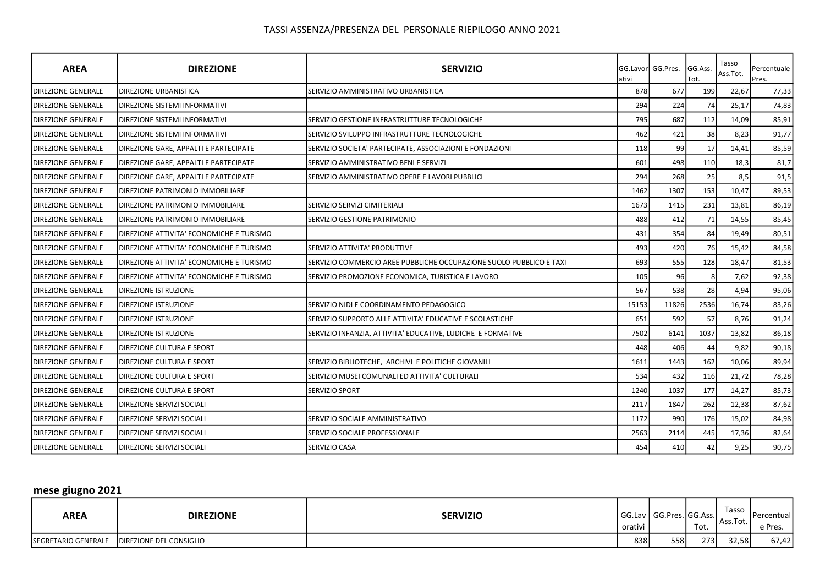| <b>AREA</b>               | <b>DIREZIONE</b>                         | <b>SERVIZIO</b>                                                     | ativi | GG.Lavor GG.Pres. | GG.Ass.<br>Tot. | Tasso<br>Ass.Tot. | Percentuale<br>Pres. |
|---------------------------|------------------------------------------|---------------------------------------------------------------------|-------|-------------------|-----------------|-------------------|----------------------|
| <b>DIREZIONE GENERALE</b> | <b>DIREZIONE URBANISTICA</b>             | SERVIZIO AMMINISTRATIVO URBANISTICA                                 | 878   | 677               | 199             | 22,67             | 77,33                |
| <b>DIREZIONE GENERALE</b> | <b>I</b> DIREZIONE SISTEMI INFORMATIVI   |                                                                     | 294   | 224               | 74              | 25,17             | 74,83                |
| <b>DIREZIONE GENERALE</b> | <b>DIREZIONE SISTEMI INFORMATIVI</b>     | SERVIZIO GESTIONE INFRASTRUTTURE TECNOLOGICHE                       | 795   | 687               | 112             | 14,09             | 85,91                |
| <b>DIREZIONE GENERALE</b> | DIREZIONE SISTEMI INFORMATIVI            | SERVIZIO SVILUPPO INFRASTRUTTURE TECNOLOGICHE                       | 462   | 421               | 38              | 8,23              | 91,77                |
| <b>DIREZIONE GENERALE</b> | DIREZIONE GARE, APPALTI E PARTECIPATE    | SERVIZIO SOCIETA' PARTECIPATE, ASSOCIAZIONI E FONDAZIONI            | 118   | 99                | 17              | 14,41             | 85,59                |
| <b>DIREZIONE GENERALE</b> | DIREZIONE GARE, APPALTI E PARTECIPATE    | SERVIZIO AMMINISTRATIVO BENI E SERVIZI                              | 601   | 498               | 110             | 18,3              | 81,7                 |
| <b>DIREZIONE GENERALE</b> | DIREZIONE GARE, APPALTI E PARTECIPATE    | SERVIZIO AMMINISTRATIVO OPERE E LAVORI PUBBLICI                     | 294   | 268               | 25              | 8,5               | 91,5                 |
| <b>DIREZIONE GENERALE</b> | <b>DIREZIONE PATRIMONIO IMMOBILIARE</b>  |                                                                     | 1462  | 1307              | 153             | 10,47             | 89,53                |
| <b>DIREZIONE GENERALE</b> | DIREZIONE PATRIMONIO IMMOBILIARE         | <b>SERVIZIO SERVIZI CIMITERIALI</b>                                 | 1673  | 1415              | 231             | 13,81             | 86,19                |
| <b>DIREZIONE GENERALE</b> | <b>DIREZIONE PATRIMONIO IMMOBILIARE</b>  | <b>SERVIZIO GESTIONE PATRIMONIO</b>                                 | 488   | 412               | 71              | 14,55             | 85,45                |
| <b>DIREZIONE GENERALE</b> | DIREZIONE ATTIVITA' ECONOMICHE E TURISMO |                                                                     | 431   | 354               | 84              | 19,49             | 80,51                |
| <b>DIREZIONE GENERALE</b> | DIREZIONE ATTIVITA' ECONOMICHE E TURISMO | SERVIZIO ATTIVITA' PRODUTTIVE                                       | 493   | 420               | 76              | 15,42             | 84,58                |
| DIREZIONE GENERALE        | DIREZIONE ATTIVITA' ECONOMICHE E TURISMO | SERVIZIO COMMERCIO AREE PUBBLICHE OCCUPAZIONE SUOLO PUBBLICO E TAXI | 693   | 555               | 128             | 18,47             | 81,53                |
| <b>DIREZIONE GENERALE</b> | DIREZIONE ATTIVITA' ECONOMICHE E TURISMO | SERVIZIO PROMOZIONE ECONOMICA, TURISTICA E LAVORO                   | 105   | 96                |                 | 7,62              | 92,38                |
| <b>DIREZIONE GENERALE</b> | <b>DIREZIONE ISTRUZIONE</b>              |                                                                     | 567   | 538               | 28              | 4,94              | 95,06                |
| <b>DIREZIONE GENERALE</b> | <b>DIREZIONE ISTRUZIONE</b>              | SERVIZIO NIDI E COORDINAMENTO PEDAGOGICO                            | 15153 | 11826             | 2536            | 16,74             | 83,26                |
| <b>DIREZIONE GENERALE</b> | <b>DIREZIONE ISTRUZIONE</b>              | SERVIZIO SUPPORTO ALLE ATTIVITA' EDUCATIVE E SCOLASTICHE            | 651   | 592               | 57              | 8,76              | 91,24                |
| <b>DIREZIONE GENERALE</b> | <b>DIREZIONE ISTRUZIONE</b>              | SERVIZIO INFANZIA, ATTIVITA' EDUCATIVE, LUDICHE E FORMATIVE         | 7502  | 6141              | 1037            | 13,82             | 86,18                |
| <b>DIREZIONE GENERALE</b> | <b>DIREZIONE CULTURA E SPORT</b>         |                                                                     | 448   | 406               | 44              | 9,82              | 90,18                |
| DIREZIONE GENERALE        | <b>DIREZIONE CULTURA E SPORT</b>         | SERVIZIO BIBLIOTECHE, ARCHIVI E POLITICHE GIOVANILI                 | 1611  | 1443              | 162             | 10,06             | 89,94                |
| <b>DIREZIONE GENERALE</b> | DIREZIONE CULTURA E SPORT                | SERVIZIO MUSEI COMUNALI ED ATTIVITA' CULTURALI                      | 534   | 432               | 116             | 21,72             | 78,28                |
| <b>DIREZIONE GENERALE</b> | <b>DIREZIONE CULTURA E SPORT</b>         | <b>SERVIZIO SPORT</b>                                               | 1240  | 1037              | 177             | 14,27             | 85,73                |
| <b>DIREZIONE GENERALE</b> | DIREZIONE SERVIZI SOCIALI                |                                                                     | 2117  | 1847              | 262             | 12,38             | 87,62                |
| <b>DIREZIONE GENERALE</b> | DIREZIONE SERVIZI SOCIALI                | SERVIZIO SOCIALE AMMINISTRATIVO                                     | 1172  | 990               | 176             | 15,02             | 84,98                |
| <b>DIREZIONE GENERALE</b> | <b>DIREZIONE SERVIZI SOCIALI</b>         | SERVIZIO SOCIALE PROFESSIONALE                                      | 2563  | 2114              | 445             | 17,36             | 82,64                |
| <b>DIREZIONE GENERALE</b> | <b>DIREZIONE SERVIZI SOCIALI</b>         | <b>SERVIZIO CASA</b>                                                | 454   | 410               | 42              | 9,25              | 90,75                |

# mese giugno 2021

| AREA                       | <b>DIREZIONE</b>        | <b>SERVIZIO</b> | I orativi | GG.Lav   GG.Pres. GG.Ass. | Tot. | Tasso<br>Ass.Tot. | <b>Percentual</b><br>e Pres. |
|----------------------------|-------------------------|-----------------|-----------|---------------------------|------|-------------------|------------------------------|
| <b>SEGRETARIO GENERALE</b> | DIREZIONE DEL CONSIGLIO |                 | 838       | 558                       | 273  | 32.58             | 67,42                        |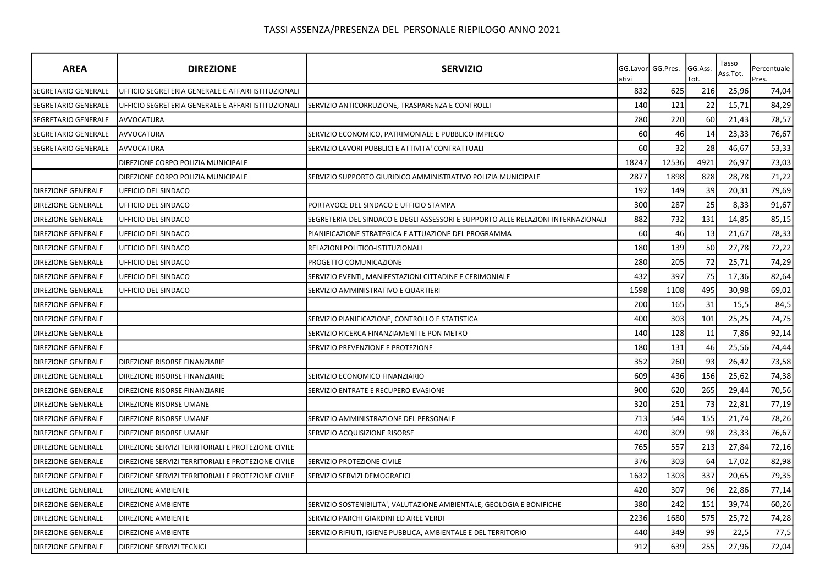| <b>AREA</b>                | <b>DIREZIONE</b>                                   | <b>SERVIZIO</b>                                                                   | ativi | GG.Lavor GG.Pres. | GG.Ass.<br>Tot. | Tasso<br>Ass.Tot. | Percentuale<br>Pres. |
|----------------------------|----------------------------------------------------|-----------------------------------------------------------------------------------|-------|-------------------|-----------------|-------------------|----------------------|
| <b>SEGRETARIO GENERALE</b> | UFFICIO SEGRETERIA GENERALE E AFFARI ISTITUZIONALI |                                                                                   | 832   | 625               | 216             | 25,96             | 74,04                |
| <b>SEGRETARIO GENERALE</b> | UFFICIO SEGRETERIA GENERALE E AFFARI ISTITUZIONALI | SERVIZIO ANTICORRUZIONE, TRASPARENZA E CONTROLLI                                  | 140   | 121               | 22              | 15,71             | 84,29                |
| SEGRETARIO GENERALE        | <b>AVVOCATURA</b>                                  |                                                                                   | 280   | 220               | 60              | 21,43             | 78,57                |
| <b>SEGRETARIO GENERALE</b> | <b>AVVOCATURA</b>                                  | SERVIZIO ECONOMICO, PATRIMONIALE E PUBBLICO IMPIEGO                               | 60    | 46                | 14              | 23,33             | 76,67                |
| SEGRETARIO GENERALE        | AVVOCATURA                                         | SERVIZIO LAVORI PUBBLICI E ATTIVITA' CONTRATTUALI                                 | 60    | 32                | 28              | 46,67             | 53,33                |
|                            | DIREZIONE CORPO POLIZIA MUNICIPALE                 |                                                                                   | 18247 | 12536             | 4921            | 26,97             | 73,03                |
|                            | DIREZIONE CORPO POLIZIA MUNICIPALE                 | SERVIZIO SUPPORTO GIURIDICO AMMINISTRATIVO POLIZIA MUNICIPALE                     | 2877  | 1898              | 828             | 28,78             | 71,22                |
| <b>DIREZIONE GENERALE</b>  | UFFICIO DEL SINDACO                                |                                                                                   | 192   | 149               | 39              | 20,31             | 79,69                |
| <b>DIREZIONE GENERALE</b>  | UFFICIO DEL SINDACO                                | PORTAVOCE DEL SINDACO E UFFICIO STAMPA                                            | 300   | 287               | 25              | 8,33              | 91,67                |
| <b>DIREZIONE GENERALE</b>  | <b>UFFICIO DEL SINDACO</b>                         | SEGRETERIA DEL SINDACO E DEGLI ASSESSORI E SUPPORTO ALLE RELAZIONI INTERNAZIONALI | 882   | 732               | 131             | 14,85             | 85,15                |
| <b>DIREZIONE GENERALE</b>  | UFFICIO DEL SINDACO                                | PIANIFICAZIONE STRATEGICA E ATTUAZIONE DEL PROGRAMMA                              | 60    | 46                | 13              | 21,67             | 78,33                |
| <b>DIREZIONE GENERALE</b>  | UFFICIO DEL SINDACO                                | RELAZIONI POLITICO-ISTITUZIONALI                                                  | 180   | 139               | 50              | 27,78             | 72,22                |
| <b>DIREZIONE GENERALE</b>  | UFFICIO DEL SINDACO                                | PROGETTO COMUNICAZIONE                                                            | 280   | 205               | 72              | 25,71             | 74,29                |
| <b>DIREZIONE GENERALE</b>  | <b>UFFICIO DEL SINDACO</b>                         | SERVIZIO EVENTI, MANIFESTAZIONI CITTADINE E CERIMONIALE                           | 432   | 397               | 75              | 17,36             | 82,64                |
| <b>DIREZIONE GENERALE</b>  | UFFICIO DEL SINDACO                                | SERVIZIO AMMINISTRATIVO E QUARTIERI                                               | 1598  | 1108              | 495             | 30,98             | 69,02                |
| <b>DIREZIONE GENERALE</b>  |                                                    |                                                                                   | 200   | 165               | 31              | 15,5              | 84,5                 |
| <b>DIREZIONE GENERALE</b>  |                                                    | SERVIZIO PIANIFICAZIONE, CONTROLLO E STATISTICA                                   | 400   | 303               | 101             | 25,25             | 74,75                |
| <b>DIREZIONE GENERALE</b>  |                                                    | SERVIZIO RICERCA FINANZIAMENTI E PON METRO                                        | 140   | 128               | 11              | 7,86              | 92,14                |
| <b>DIREZIONE GENERALE</b>  |                                                    | SERVIZIO PREVENZIONE E PROTEZIONE                                                 | 180   | 131               | 46              | 25,56             | 74,44                |
| <b>DIREZIONE GENERALE</b>  | DIREZIONE RISORSE FINANZIARIE                      |                                                                                   | 352   | 260               | 93              | 26,42             | 73,58                |
| <b>DIREZIONE GENERALE</b>  | DIREZIONE RISORSE FINANZIARIE                      | SERVIZIO ECONOMICO FINANZIARIO                                                    | 609   | 436               | 156             | 25,62             | 74,38                |
| <b>DIREZIONE GENERALE</b>  | DIREZIONE RISORSE FINANZIARIE                      | SERVIZIO ENTRATE E RECUPERO EVASIONE                                              | 900   | 620               | 265             | 29,44             | 70,56                |
| <b>DIREZIONE GENERALE</b>  | DIREZIONE RISORSE UMANE                            |                                                                                   | 320   | 251               | 73              | 22,81             | 77,19                |
| <b>DIREZIONE GENERALE</b>  | DIREZIONE RISORSE UMANE                            | SERVIZIO AMMINISTRAZIONE DEL PERSONALE                                            | 713   | 544               | 155             | 21,74             | 78,26                |
| <b>DIREZIONE GENERALE</b>  | DIREZIONE RISORSE UMANE                            | SERVIZIO ACQUISIZIONE RISORSE                                                     | 420   | 309               | 98              | 23,33             | 76,67                |
| <b>DIREZIONE GENERALE</b>  | DIREZIONE SERVIZI TERRITORIALI E PROTEZIONE CIVILE |                                                                                   | 765   | 557               | 213             | 27,84             | 72,16                |
| <b>DIREZIONE GENERALE</b>  | DIREZIONE SERVIZI TERRITORIALI E PROTEZIONE CIVILE | SERVIZIO PROTEZIONE CIVILE                                                        | 376   | 303               | 64              | 17,02             | 82,98                |
| <b>DIREZIONE GENERALE</b>  | DIREZIONE SERVIZI TERRITORIALI E PROTEZIONE CIVILE | SERVIZIO SERVIZI DEMOGRAFICI                                                      | 1632  | 1303              | 337             | 20,65             | 79,35                |
| <b>DIREZIONE GENERALE</b>  | <b>DIREZIONE AMBIENTE</b>                          |                                                                                   | 420   | 307               | 96              | 22,86             | 77,14                |
| <b>DIREZIONE GENERALE</b>  | <b>DIREZIONE AMBIENTE</b>                          | SERVIZIO SOSTENIBILITA', VALUTAZIONE AMBIENTALE, GEOLOGIA E BONIFICHE             | 380   | 242               | 151             | 39,74             | 60,26                |
| <b>DIREZIONE GENERALE</b>  | <b>DIREZIONE AMBIENTE</b>                          | SERVIZIO PARCHI GIARDINI ED AREE VERDI                                            | 2236  | 1680              | 575             | 25,72             | 74,28                |
| <b>DIREZIONE GENERALE</b>  | <b>DIREZIONE AMBIENTE</b>                          | SERVIZIO RIFIUTI, IGIENE PUBBLICA, AMBIENTALE E DEL TERRITORIO                    | 440   | 349               | 99              | 22,5              | 77,5                 |
| <b>DIREZIONE GENERALE</b>  | DIREZIONE SERVIZI TECNICI                          |                                                                                   | 912   | 639               | 255             | 27,96             | 72,04                |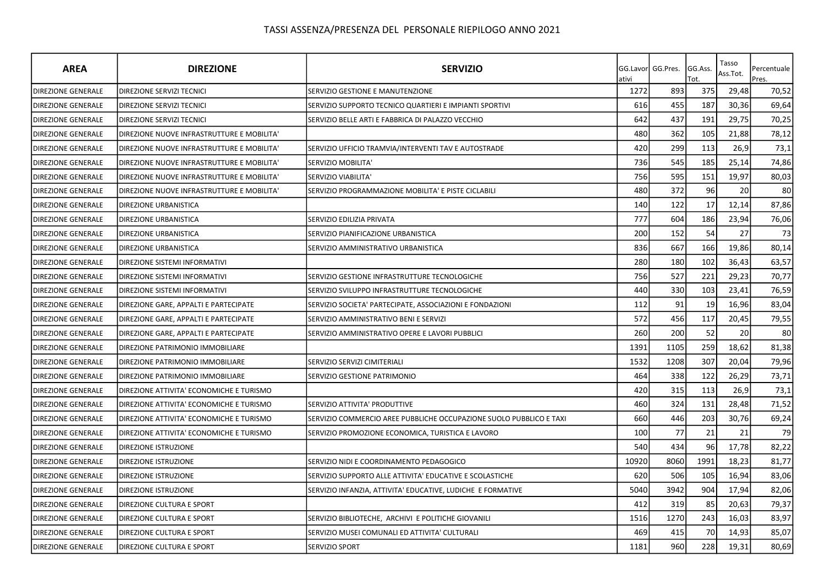| <b>AREA</b>               | <b>DIREZIONE</b>                           | <b>SERVIZIO</b>                                                     | GG.Lavor<br>ativi | GG.Pres. | GG.Ass.<br>Tot. | Tasso<br>Ass.Tot. | Percentuale<br>Pres. |
|---------------------------|--------------------------------------------|---------------------------------------------------------------------|-------------------|----------|-----------------|-------------------|----------------------|
| DIREZIONE GENERALE        | <b>DIREZIONE SERVIZI TECNICI</b>           | SERVIZIO GESTIONE E MANUTENZIONE                                    | 1272              | 893      | 375             | 29,48             | 70,52                |
| <b>DIREZIONE GENERALE</b> | DIREZIONE SERVIZI TECNICI                  | SERVIZIO SUPPORTO TECNICO QUARTIERI E IMPIANTI SPORTIVI             | 616               | 455      | 187             | 30,36             | 69,64                |
| <b>DIREZIONE GENERALE</b> | <b>DIREZIONE SERVIZI TECNICI</b>           | SERVIZIO BELLE ARTI E FABBRICA DI PALAZZO VECCHIO                   | 642               | 437      | 191             | 29,75             | 70,25                |
| <b>DIREZIONE GENERALE</b> | DIREZIONE NUOVE INFRASTRUTTURE E MOBILITA' |                                                                     | 480               | 362      | 105             | 21,88             | 78,12                |
| <b>DIREZIONE GENERALE</b> | DIREZIONE NUOVE INFRASTRUTTURE E MOBILITA' | SERVIZIO UFFICIO TRAMVIA/INTERVENTI TAV E AUTOSTRADE                | 420               | 299      | 113             | 26,9              | 73,1                 |
| <b>DIREZIONE GENERALE</b> | DIREZIONE NUOVE INFRASTRUTTURE E MOBILITA' | SERVIZIO MOBILITA'                                                  | 736               | 545      | 185             | 25,14             | 74,86                |
| <b>DIREZIONE GENERALE</b> | DIREZIONE NUOVE INFRASTRUTTURE E MOBILITA' | SERVIZIO VIABILITA'                                                 | 756               | 595      | 151             | 19,97             | 80,03                |
| <b>DIREZIONE GENERALE</b> | DIREZIONE NUOVE INFRASTRUTTURE E MOBILITA' | SERVIZIO PROGRAMMAZIONE MOBILITA' E PISTE CICLABILI                 | 480               | 372      | 96              | 20                | 80                   |
| <b>DIREZIONE GENERALE</b> | <b>DIREZIONE URBANISTICA</b>               |                                                                     | 140               | 122      | 17              | 12,14             | 87,86                |
| <b>DIREZIONE GENERALE</b> | <b>DIREZIONE URBANISTICA</b>               | SERVIZIO EDILIZIA PRIVATA                                           | 777               | 604      | 186             | 23,94             | 76,06                |
| DIREZIONE GENERALE        | DIREZIONE URBANISTICA                      | SERVIZIO PIANIFICAZIONE URBANISTICA                                 | 200               | 152      | 54              | 27                | 73                   |
| <b>DIREZIONE GENERALE</b> | DIREZIONE URBANISTICA                      | SERVIZIO AMMINISTRATIVO URBANISTICA                                 | 836               | 667      | 166             | 19,86             | 80,14                |
| <b>DIREZIONE GENERALE</b> | DIREZIONE SISTEMI INFORMATIVI              |                                                                     | 280               | 180      | 102             | 36,43             | 63,57                |
| <b>DIREZIONE GENERALE</b> | DIREZIONE SISTEMI INFORMATIVI              | SERVIZIO GESTIONE INFRASTRUTTURE TECNOLOGICHE                       | 756               | 527      | 221             | 29,23             | 70,77                |
| DIREZIONE GENERALE        | DIREZIONE SISTEMI INFORMATIVI              | SERVIZIO SVILUPPO INFRASTRUTTURE TECNOLOGICHE                       | 440               | 330      | 103             | 23,41             | 76,59                |
| <b>DIREZIONE GENERALE</b> | DIREZIONE GARE, APPALTI E PARTECIPATE      | SERVIZIO SOCIETA' PARTECIPATE, ASSOCIAZIONI E FONDAZIONI            | 112               | 91       | 19              | 16,96             | 83,04                |
| <b>DIREZIONE GENERALE</b> | DIREZIONE GARE, APPALTI E PARTECIPATE      | SERVIZIO AMMINISTRATIVO BENI E SERVIZI                              | 572               | 456      | 117             | 20,45             | 79,55                |
| <b>DIREZIONE GENERALE</b> | DIREZIONE GARE, APPALTI E PARTECIPATE      | SERVIZIO AMMINISTRATIVO OPERE E LAVORI PUBBLICI                     | 260               | 200      | 52              | 20                | 80                   |
| DIREZIONE GENERALE        | DIREZIONE PATRIMONIO IMMOBILIARE           |                                                                     | 1391              | 1105     | 259             | 18,62             | 81,38                |
| DIREZIONE GENERALE        | DIREZIONE PATRIMONIO IMMOBILIARE           | SERVIZIO SERVIZI CIMITERIALI                                        | 1532              | 1208     | 307             | 20,04             | 79,96                |
| <b>DIREZIONE GENERALE</b> | <b>DIREZIONE PATRIMONIO IMMOBILIARE</b>    | SERVIZIO GESTIONE PATRIMONIO                                        | 464               | 338      | 122             | 26,29             | 73,71                |
| <b>DIREZIONE GENERALE</b> | DIREZIONE ATTIVITA' ECONOMICHE E TURISMO   |                                                                     | 420               | 315      | 113             | 26,9              | 73,1                 |
| <b>DIREZIONE GENERALE</b> | DIREZIONE ATTIVITA' ECONOMICHE E TURISMO   | SERVIZIO ATTIVITA' PRODUTTIVE                                       | 460               | 324      | 131             | 28,48             | 71,52                |
| <b>DIREZIONE GENERALE</b> | DIREZIONE ATTIVITA' ECONOMICHE E TURISMO   | SERVIZIO COMMERCIO AREE PUBBLICHE OCCUPAZIONE SUOLO PUBBLICO E TAXI | 660               | 446      | 203             | 30,76             | 69,24                |
| <b>DIREZIONE GENERALE</b> | DIREZIONE ATTIVITA' ECONOMICHE E TURISMO   | SERVIZIO PROMOZIONE ECONOMICA, TURISTICA E LAVORO                   | 100               | 77       | 21              | 21                | 79                   |
| <b>DIREZIONE GENERALE</b> | <b>DIREZIONE ISTRUZIONE</b>                |                                                                     | 540               | 434      | 96              | 17,78             | 82,22                |
| <b>DIREZIONE GENERALE</b> | <b>DIREZIONE ISTRUZIONE</b>                | SERVIZIO NIDI E COORDINAMENTO PEDAGOGICO                            | 10920             | 8060     | 1991            | 18,23             | 81,77                |
| DIREZIONE GENERALE        | <b>DIREZIONE ISTRUZIONE</b>                | SERVIZIO SUPPORTO ALLE ATTIVITA' EDUCATIVE E SCOLASTICHE            | 620               | 506      | 105             | 16,94             | 83,06                |
| DIREZIONE GENERALE        | DIREZIONE ISTRUZIONE                       | SERVIZIO INFANZIA, ATTIVITA' EDUCATIVE, LUDICHE E FORMATIVE         | 5040              | 3942     | 904             | 17,94             | 82,06                |
| <b>DIREZIONE GENERALE</b> | DIREZIONE CULTURA E SPORT                  |                                                                     | 412               | 319      | 85              | 20,63             | 79,37                |
| <b>DIREZIONE GENERALE</b> | DIREZIONE CULTURA E SPORT                  | SERVIZIO BIBLIOTECHE, ARCHIVI E POLITICHE GIOVANILI                 | 1516              | 1270     | 243             | 16,03             | 83,97                |
| <b>DIREZIONE GENERALE</b> | DIREZIONE CULTURA E SPORT                  | SERVIZIO MUSEI COMUNALI ED ATTIVITA' CULTURALI                      | 469               | 415      | 70              | 14,93             | 85,07                |
| <b>DIREZIONE GENERALE</b> | <b>DIREZIONE CULTURA E SPORT</b>           | SERVIZIO SPORT                                                      | 1181              | 960      | 228             | 19,31             | 80,69                |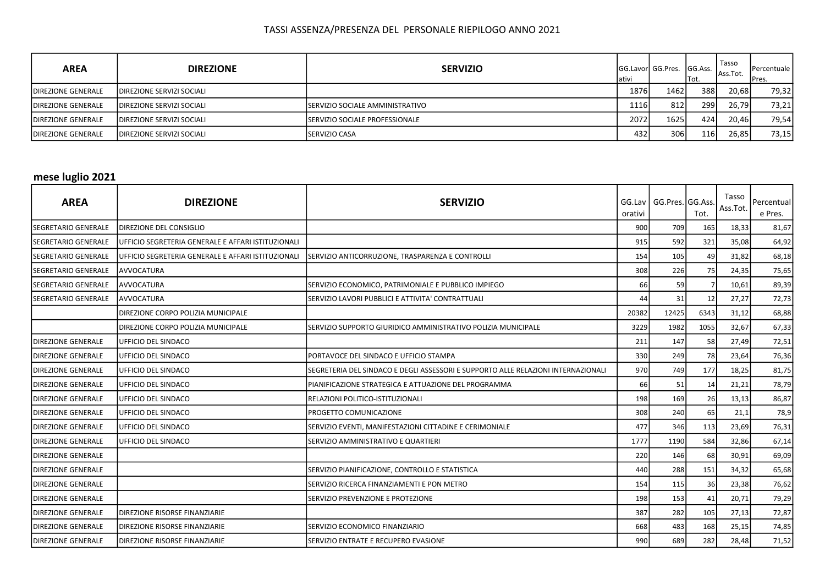| <b>AREA</b>                | <b>DIREZIONE</b>                  | <b>SERVIZIO</b>                        | ativi | <b>IGG.Lavorl GG.Pres.</b> | <b>GG.Ass.</b><br>'Tot. | Tasso<br>Ass.Tot. | <b>I</b> Percentuale<br>IPres. |
|----------------------------|-----------------------------------|----------------------------------------|-------|----------------------------|-------------------------|-------------------|--------------------------------|
| <b>IDIREZIONE GENERALE</b> | <b>IDIREZIONE SERVIZI SOCIALI</b> |                                        | 1876  | 1462                       | 388                     | 20,68             | 79,32                          |
| <b>IDIREZIONE GENERALE</b> | <b>IDIREZIONE SERVIZI SOCIALI</b> | <b>SERVIZIO SOCIALE AMMINISTRATIVO</b> | 1116  | 812                        | 299                     | 26,79             | 73,21                          |
| <b>IDIREZIONE GENERALE</b> | <b>IDIREZIONE SERVIZI SOCIALI</b> | <b>ISERVIZIO SOCIALE PROFESSIONALE</b> | 2072  | 16251                      | 424                     | 20,46             | 79,54                          |
| <b>DIREZIONE GENERALE</b>  | <b>IDIREZIONE SERVIZI SOCIALI</b> | <b>ISERVIZIO CASA</b>                  | 432   | 306                        | 116                     | 26,85             | 73,15                          |

## mese luglio 2021

| <b>AREA</b>                 | <b>DIREZIONE</b>                                   | <b>SERVIZIO</b>                                                                    | GG.Lav<br>orativi | GG.Pres. GG.Ass. | Tot. | Tasso<br>Ass.Tot. | Percentual<br>e Pres. |
|-----------------------------|----------------------------------------------------|------------------------------------------------------------------------------------|-------------------|------------------|------|-------------------|-----------------------|
| <b>SEGRETARIO GENERALE</b>  | <b>IDIREZIONE DEL CONSIGLIO</b>                    |                                                                                    | 900               | 709              | 165  | 18,33             | 81,67                 |
| <b>SEGRETARIO GENERALE</b>  | UFFICIO SEGRETERIA GENERALE E AFFARI ISTITUZIONALI |                                                                                    | 915               | 592              | 321  | 35,08             | 64,92                 |
| <b>SEGRETARIO GENERALE</b>  | UFFICIO SEGRETERIA GENERALE E AFFARI ISTITUZIONALI | SERVIZIO ANTICORRUZIONE, TRASPARENZA E CONTROLLI                                   | 154               | 105              | 49   | 31,82             | 68,18                 |
| <b>SEGRETARIO GENERALE</b>  | <b>AVVOCATURA</b>                                  |                                                                                    | 308               | 226              | 75   | 24,35             | 75,65                 |
| SEGRETARIO GENERALE         | AVVOCATURA                                         | SERVIZIO ECONOMICO, PATRIMONIALE E PUBBLICO IMPIEGO                                | 66                | 59               |      | 10,61             | 89,39                 |
| <b>ISEGRETARIO GENERALE</b> | <b>AVVOCATURA</b>                                  | SERVIZIO LAVORI PUBBLICI E ATTIVITA' CONTRATTUALI                                  | 44                | 31               | 12   | 27,27             | 72,73                 |
|                             | DIREZIONE CORPO POLIZIA MUNICIPALE                 |                                                                                    | 20382             | 12425            | 6343 | 31,12             | 68,88                 |
|                             | DIREZIONE CORPO POLIZIA MUNICIPALE                 | SERVIZIO SUPPORTO GIURIDICO AMMINISTRATIVO POLIZIA MUNICIPALE                      | 3229              | 1982             | 1055 | 32,67             | 67,33                 |
| <b>DIREZIONE GENERALE</b>   | <b>UFFICIO DEL SINDACO</b>                         |                                                                                    | 211               | 147              | 58   | 27,49             | 72,51                 |
| <b>DIREZIONE GENERALE</b>   | <b>UFFICIO DEL SINDACO</b>                         | PORTAVOCE DEL SINDACO E UFFICIO STAMPA                                             | 330               | 249              | 78   | 23,64             | 76,36                 |
| <b>DIREZIONE GENERALE</b>   | <b>UFFICIO DEL SINDACO</b>                         | ISEGRETERIA DEL SINDACO E DEGLI ASSESSORI E SUPPORTO ALLE RELAZIONI INTERNAZIONALI | 970               | 749              | 177  | 18,25             | 81,75                 |
| <b>DIREZIONE GENERALE</b>   | <b>UFFICIO DEL SINDACO</b>                         | PIANIFICAZIONE STRATEGICA E ATTUAZIONE DEL PROGRAMMA                               | 66                | 51               | 14   | 21,21             | 78,79                 |
| <b>DIREZIONE GENERALE</b>   | <b>UFFICIO DEL SINDACO</b>                         | RELAZIONI POLITICO-ISTITUZIONALI                                                   | 198               | 169              | 26   | 13,13             | 86,87                 |
| <b>DIREZIONE GENERALE</b>   | IUFFICIO DEL SINDACO                               | IPROGETTO COMUNICAZIONE                                                            | 308               | 240              | 65   | 21,1              | 78,9                  |
| <b>DIREZIONE GENERALE</b>   | UFFICIO DEL SINDACO                                | SERVIZIO EVENTI, MANIFESTAZIONI CITTADINE E CERIMONIALE                            | 477               | 346              | 113  | 23,69             | 76,31                 |
| <b>DIREZIONE GENERALE</b>   | IUFFICIO DEL SINDACO                               | SERVIZIO AMMINISTRATIVO E QUARTIERI                                                | 1777              | 1190             | 584  | 32,86             | 67,14                 |
| <b>DIREZIONE GENERALE</b>   |                                                    |                                                                                    | 220               | 146              | 68   | 30,91             | 69,09                 |
| <b>DIREZIONE GENERALE</b>   |                                                    | SERVIZIO PIANIFICAZIONE, CONTROLLO E STATISTICA                                    | 440               | 288              | 151  | 34,32             | 65,68                 |
| <b>DIREZIONE GENERALE</b>   |                                                    | SERVIZIO RICERCA FINANZIAMENTI E PON METRO                                         | 154               | 115              | 36   | 23,38             | 76,62                 |
| <b>DIREZIONE GENERALE</b>   |                                                    | SERVIZIO PREVENZIONE E PROTEZIONE                                                  | 198               | 153              | 41   | 20,71             | 79,29                 |
| <b>DIREZIONE GENERALE</b>   | <b>DIREZIONE RISORSE FINANZIARIE</b>               |                                                                                    | 387               | 282              | 105  | 27,13             | 72,87                 |
| <b>DIREZIONE GENERALE</b>   | <b>DIREZIONE RISORSE FINANZIARIE</b>               | SERVIZIO ECONOMICO FINANZIARIO                                                     | 668               | 483              | 168  | 25,15             | 74,85                 |
| <b>DIREZIONE GENERALE</b>   | <b>DIREZIONE RISORSE FINANZIARIE</b>               | SERVIZIO ENTRATE E RECUPERO EVASIONE                                               | 990               | 689              | 282  | 28,48             | 71,52                 |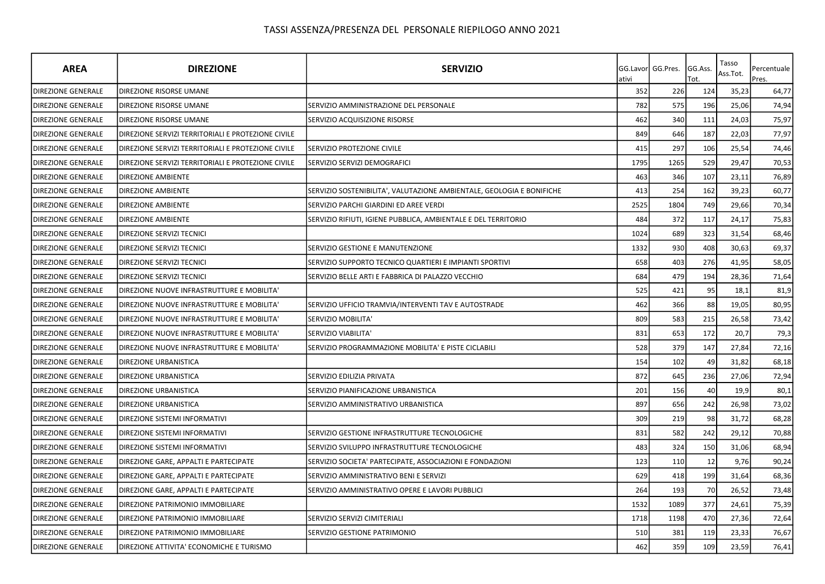| <b>AREA</b>               | <b>DIREZIONE</b>                                   | <b>SERVIZIO</b>                                                       | ativi | GG.Lavorl GG.Pres. | GG.Ass.<br>Tot. | Tasso<br>Ass.Tot. | Percentuale<br>Pres. |
|---------------------------|----------------------------------------------------|-----------------------------------------------------------------------|-------|--------------------|-----------------|-------------------|----------------------|
| DIREZIONE GENERALE        | <b>DIREZIONE RISORSE UMANE</b>                     |                                                                       | 352   | 226                | 124             | 35,23             | 64,77                |
| <b>DIREZIONE GENERALE</b> | DIREZIONE RISORSE UMANE                            | SERVIZIO AMMINISTRAZIONE DEL PERSONALE                                | 782   | 575                | 196             | 25,06             | 74,94                |
| <b>DIREZIONE GENERALE</b> | DIREZIONE RISORSE UMANE                            | SERVIZIO ACQUISIZIONE RISORSE                                         | 462   | 340                | 111             | 24,03             | 75,97                |
| <b>DIREZIONE GENERALE</b> | DIREZIONE SERVIZI TERRITORIALI E PROTEZIONE CIVILE |                                                                       | 849   | 646                | 187             | 22,03             | 77,97                |
| DIREZIONE GENERALE        | DIREZIONE SERVIZI TERRITORIALI E PROTEZIONE CIVILE | SERVIZIO PROTEZIONE CIVILE                                            | 415   | 297                | 106             | 25,54             | 74,46                |
| <b>DIREZIONE GENERALE</b> | DIREZIONE SERVIZI TERRITORIALI E PROTEZIONE CIVILE | SERVIZIO SERVIZI DEMOGRAFICI                                          | 1795  | 1265               | 529             | 29,47             | 70,53                |
| <b>DIREZIONE GENERALE</b> | <b>DIREZIONE AMBIENTE</b>                          |                                                                       | 463   | 346                | 107             | 23,11             | 76,89                |
| <b>DIREZIONE GENERALE</b> | <b>DIREZIONE AMBIENTE</b>                          | SERVIZIO SOSTENIBILITA', VALUTAZIONE AMBIENTALE, GEOLOGIA E BONIFICHE | 413   | 254                | 162             | 39,23             | 60,77                |
| <b>DIREZIONE GENERALE</b> | <b>DIREZIONE AMBIENTE</b>                          | SERVIZIO PARCHI GIARDINI ED AREE VERDI                                | 2525  | 1804               | 749             | 29,66             | 70,34                |
| <b>DIREZIONE GENERALE</b> | <b>DIREZIONE AMBIENTE</b>                          | SERVIZIO RIFIUTI, IGIENE PUBBLICA, AMBIENTALE E DEL TERRITORIO        | 484   | 372                | 117             | 24,17             | 75,83                |
| <b>DIREZIONE GENERALE</b> | DIREZIONE SERVIZI TECNICI                          |                                                                       | 1024  | 689                | 323             | 31,54             | 68,46                |
| <b>DIREZIONE GENERALE</b> | DIREZIONE SERVIZI TECNICI                          | SERVIZIO GESTIONE E MANUTENZIONE                                      | 1332  | 930                | 408             | 30,63             | 69,37                |
| <b>DIREZIONE GENERALE</b> | DIREZIONE SERVIZI TECNICI                          | SERVIZIO SUPPORTO TECNICO QUARTIERI E IMPIANTI SPORTIVI               | 658   | 403                | 276             | 41,95             | 58,05                |
| DIREZIONE GENERALE        | DIREZIONE SERVIZI TECNICI                          | SERVIZIO BELLE ARTI E FABBRICA DI PALAZZO VECCHIO                     | 684   | 479                | 194             | 28,36             | 71,64                |
| <b>DIREZIONE GENERALE</b> | DIREZIONE NUOVE INFRASTRUTTURE E MOBILITA'         |                                                                       | 525   | 421                | 95              | 18,1              | 81,9                 |
| <b>DIREZIONE GENERALE</b> | DIREZIONE NUOVE INFRASTRUTTURE E MOBILITA'         | SERVIZIO UFFICIO TRAMVIA/INTERVENTI TAV E AUTOSTRADE                  | 462   | 366                | 88              | 19,05             | 80,95                |
| <b>DIREZIONE GENERALE</b> | DIREZIONE NUOVE INFRASTRUTTURE E MOBILITA'         | SERVIZIO MOBILITA'                                                    | 809   | 583                | 215             | 26,58             | 73,42                |
| <b>DIREZIONE GENERALE</b> | DIREZIONE NUOVE INFRASTRUTTURE E MOBILITA'         | SERVIZIO VIABILITA'                                                   | 831   | 653                | 172             | 20,7              | 79,3                 |
| DIREZIONE GENERALE        | DIREZIONE NUOVE INFRASTRUTTURE E MOBILITA'         | SERVIZIO PROGRAMMAZIONE MOBILITA' E PISTE CICLABILI                   | 528   | 379                | 147             | 27,84             | 72,16                |
| <b>DIREZIONE GENERALE</b> | <b>DIREZIONE URBANISTICA</b>                       |                                                                       | 154   | 102                | 49              | 31,82             | 68,18                |
| <b>DIREZIONE GENERALE</b> | DIREZIONE URBANISTICA                              | SERVIZIO EDILIZIA PRIVATA                                             | 872   | 645                | 236             | 27,06             | 72,94                |
| <b>DIREZIONE GENERALE</b> | DIREZIONE URBANISTICA                              | SERVIZIO PIANIFICAZIONE URBANISTICA                                   | 201   | 156                | 40              | 19,9              | 80,1                 |
| <b>DIREZIONE GENERALE</b> | DIREZIONE URBANISTICA                              | SERVIZIO AMMINISTRATIVO URBANISTICA                                   | 897   | 656                | 242             | 26,98             | 73,02                |
| <b>DIREZIONE GENERALE</b> | <b>DIREZIONE SISTEMI INFORMATIVI</b>               |                                                                       | 309   | 219                | 98              | 31,72             | 68,28                |
| <b>DIREZIONE GENERALE</b> | DIREZIONE SISTEMI INFORMATIVI                      | SERVIZIO GESTIONE INFRASTRUTTURE TECNOLOGICHE                         | 831   | 582                | 242             | 29,12             | 70,88                |
| DIREZIONE GENERALE        | DIREZIONE SISTEMI INFORMATIVI                      | SERVIZIO SVILUPPO INFRASTRUTTURE TECNOLOGICHE                         | 483   | 324                | 150             | 31,06             | 68,94                |
| DIREZIONE GENERALE        | DIREZIONE GARE, APPALTI E PARTECIPATE              | SERVIZIO SOCIETA' PARTECIPATE, ASSOCIAZIONI E FONDAZIONI              | 123   | 110                | 12              | 9,76              | 90,24                |
| DIREZIONE GENERALE        | DIREZIONE GARE, APPALTI E PARTECIPATE              | SERVIZIO AMMINISTRATIVO BENI E SERVIZI                                | 629   | 418                | 199             | 31,64             | 68,36                |
| <b>DIREZIONE GENERALE</b> | DIREZIONE GARE, APPALTI E PARTECIPATE              | SERVIZIO AMMINISTRATIVO OPERE E LAVORI PUBBLICI                       | 264   | 193                | 70              | 26,52             | 73,48                |
| <b>DIREZIONE GENERALE</b> | DIREZIONE PATRIMONIO IMMOBILIARE                   |                                                                       | 1532  | 1089               | 377             | 24,61             | 75,39                |
| DIREZIONE GENERALE        | DIREZIONE PATRIMONIO IMMOBILIARE                   | SERVIZIO SERVIZI CIMITERIALI                                          | 1718  | 1198               | 470             | 27,36             | 72,64                |
| <b>DIREZIONE GENERALE</b> | DIREZIONE PATRIMONIO IMMOBILIARE                   | SERVIZIO GESTIONE PATRIMONIO                                          | 510   | 381                | 119             | 23,33             | 76,67                |
| <b>DIREZIONE GENERALE</b> | DIREZIONE ATTIVITA' ECONOMICHE E TURISMO           |                                                                       | 462   | 359                | 109             | 23,59             | 76,41                |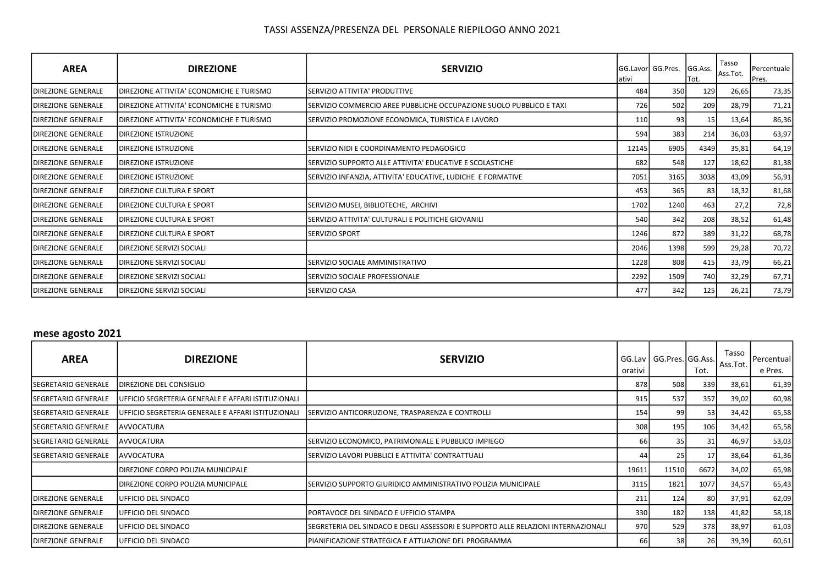| <b>AREA</b>                | <b>DIREZIONE</b>                         | <b>SERVIZIO</b>                                                      | lativi | GG.Lavor GG.Pres. | GG.Ass.<br>Tot. | Tasso<br>Ass.Tot. | Percentuale<br>Pres. |
|----------------------------|------------------------------------------|----------------------------------------------------------------------|--------|-------------------|-----------------|-------------------|----------------------|
| <b>DIREZIONE GENERALE</b>  | DIREZIONE ATTIVITA' ECONOMICHE E TURISMO | SERVIZIO ATTIVITA' PRODUTTIVE                                        | 484    | 350               | 129             | 26,65             | 73,35                |
| <b>DIREZIONE GENERALE</b>  | DIREZIONE ATTIVITA' ECONOMICHE E TURISMO | ISERVIZIO COMMERCIO AREE PUBBLICHE OCCUPAZIONE SUOLO PUBBLICO E TAXI | 726    | 502               | 209             | 28,79             | 71,21                |
| <b>DIREZIONE GENERALE</b>  | DIREZIONE ATTIVITA' ECONOMICHE E TURISMO | SERVIZIO PROMOZIONE ECONOMICA, TURISTICA E LAVORO                    | 110    | 93                | 15              | 13,64             | 86,36                |
| <b>IDIREZIONE GENERALE</b> | <b>DIREZIONE ISTRUZIONE</b>              |                                                                      | 594    | 383               | 214             | 36,03             | 63,97                |
| <b>DIREZIONE GENERALE</b>  | DIREZIONE ISTRUZIONE                     | SERVIZIO NIDI E COORDINAMENTO PEDAGOGICO                             | 12145  | 6905              | 4349            | 35,81             | 64,19                |
| <b>DIREZIONE GENERALE</b>  | DIREZIONE ISTRUZIONE                     | SERVIZIO SUPPORTO ALLE ATTIVITA' EDUCATIVE E SCOLASTICHE             | 682    | 548               | 127             | 18,62             | 81,38                |
| <b>IDIREZIONE GENERALE</b> | <b>DIREZIONE ISTRUZIONE</b>              | SERVIZIO INFANZIA, ATTIVITA' EDUCATIVE, LUDICHE E FORMATIVE          | 7051   | 3165              | 3038            | 43,09             | 56,91                |
| <b>DIREZIONE GENERALE</b>  | <b>DIREZIONE CULTURA E SPORT</b>         |                                                                      | 453    | 365               | 83              | 18,32             | 81,68                |
| <b>DIREZIONE GENERALE</b>  | DIREZIONE CULTURA E SPORT                | SERVIZIO MUSEI, BIBLIOTECHE, ARCHIVI                                 | 1702   | 1240              | 463             | 27,2              | 72,8                 |
| <b>DIREZIONE GENERALE</b>  | DIREZIONE CULTURA E SPORT                | SERVIZIO ATTIVITA' CULTURALI E POLITICHE GIOVANILI                   | 540    | 342               | 208             | 38,52             | 61,48                |
| <b>DIREZIONE GENERALE</b>  | DIREZIONE CULTURA E SPORT                | <b>SERVIZIO SPORT</b>                                                | 1246   | 872               | 389             | 31,22             | 68,78                |
| <b>IDIREZIONE GENERALE</b> | <b>DIREZIONE SERVIZI SOCIALI</b>         |                                                                      | 2046   | 1398              | 599             | 29,28             | 70,72                |
| <b>DIREZIONE GENERALE</b>  | <b>DIREZIONE SERVIZI SOCIALI</b>         | SERVIZIO SOCIALE AMMINISTRATIVO                                      | 1228   | 808               | 415             | 33,79             | 66,21                |
| <b>DIREZIONE GENERALE</b>  | DIREZIONE SERVIZI SOCIALI                | SERVIZIO SOCIALE PROFESSIONALE                                       | 2292   | 1509              | 740             | 32,29             | 67,71                |
| <b>DIREZIONE GENERALE</b>  | <b>DIREZIONE SERVIZI SOCIALI</b>         | <b>ISERVIZIO CASA</b>                                                | 477    | 342               | 125             | 26,21             | 73,79                |

### mese agosto 2021

| <b>AREA</b>                 | <b>DIREZIONE</b>                                           | <b>SERVIZIO</b>                                                                   | orativi | GG.Lav   GG.Pres. GG.Ass. | Tot.      | Tasso<br>Ass.Tot. | Percentual<br>e Pres. |
|-----------------------------|------------------------------------------------------------|-----------------------------------------------------------------------------------|---------|---------------------------|-----------|-------------------|-----------------------|
| <b>SEGRETARIO GENERALE</b>  | IDIREZIONE DEL CONSIGLIO                                   |                                                                                   | 878     | 508                       | 339       | 38,61             | 61,39                 |
| <b>SEGRETARIO GENERALE</b>  | <b>JUFFICIO SEGRETERIA GENERALE E AFFARI ISTITUZIONALI</b> |                                                                                   | 915     | 537                       | 357       | 39,02             | 60,98                 |
| <b>ISEGRETARIO GENERALE</b> | <b>JUFFICIO SEGRETERIA GENERALE E AFFARI ISTITUZIONALI</b> | SERVIZIO ANTICORRUZIONE, TRASPARENZA E CONTROLLI                                  | 154     | 99                        | 53        | 34,42             | 65,58                 |
| <b>SEGRETARIO GENERALE</b>  | <b>AVVOCATURA</b>                                          |                                                                                   | 308     | 195                       | 106       | 34,42             | 65,58                 |
| <b>ISEGRETARIO GENERALE</b> | <b>JAVVOCATURA</b>                                         | ISERVIZIO ECONOMICO, PATRIMONIALE E PUBBLICO IMPIEGO                              | 66 I    | 35                        | 31        | 46,97             | 53,03                 |
| ISEGRETARIO GENERALE        | <b>JAVVOCATURA</b>                                         | ISERVIZIO LAVORI PUBBLICI E ATTIVITA' CONTRATTUALI                                | 441     | 25 I                      | 17        | 38,64             | 61,36                 |
|                             | IDIREZIONE CORPO POLIZIA MUNICIPALE                        |                                                                                   | 19611   | 11510                     | 6672      | 34,02             | 65,98                 |
|                             | DIREZIONE CORPO POLIZIA MUNICIPALE                         | ISERVIZIO SUPPORTO GIURIDICO AMMINISTRATIVO POLIZIA MUNICIPALE                    | 3115    | 1821                      | 1077      | 34,57             | 65,43                 |
| <b>IDIREZIONE GENERALE</b>  | UFFICIO DEL SINDACO                                        |                                                                                   | 211     | 124                       | 80        | 37,91             | 62,09                 |
| <b>IDIREZIONE GENERALE</b>  | UFFICIO DEL SINDACO                                        | <b>IPORTAVOCE DEL SINDACO E UFFICIO STAMPA</b>                                    | 330     | 182                       | 138       | 41,82             | 58,18                 |
| <b>IDIREZIONE GENERALE</b>  | UFFICIO DEL SINDACO                                        | SEGRETERIA DEL SINDACO E DEGLI ASSESSORI E SUPPORTO ALLE RELAZIONI INTERNAZIONALI | 970     | 529                       | 378       | 38,97             | 61,03                 |
| <b>DIREZIONE GENERALE</b>   | <b>IUFFICIO DEL SINDACO</b>                                | IPIANIFICAZIONE STRATEGICA E ATTUAZIONE DEL PROGRAMMA                             | 66      | 38 I                      | <b>26</b> | 39,39             | 60,61                 |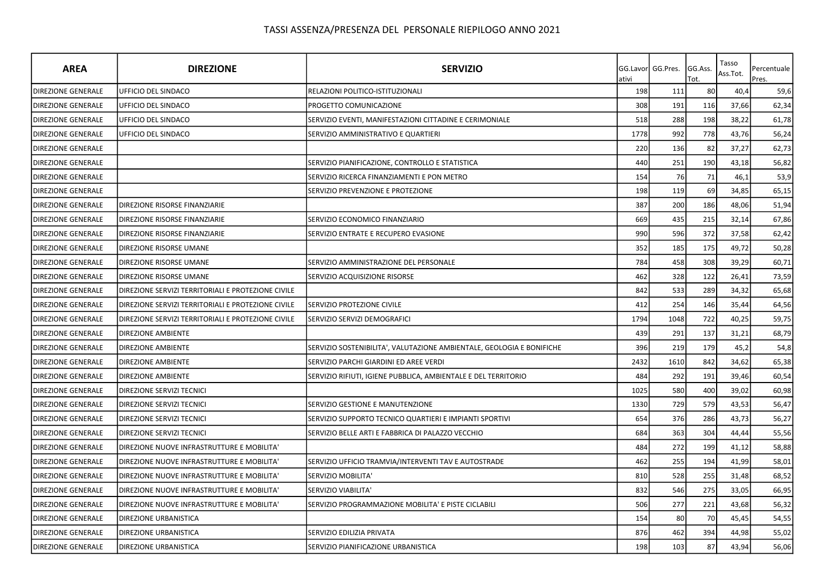| <b>AREA</b>               | <b>DIREZIONE</b>                                   | <b>SERVIZIO</b>                                                       | ativi | GG.Lavor GG.Pres. | GG.Ass.<br>Tot. | Tasso<br>Ass.Tot. | Percentuale<br>Pres. |
|---------------------------|----------------------------------------------------|-----------------------------------------------------------------------|-------|-------------------|-----------------|-------------------|----------------------|
| DIREZIONE GENERALE        | UFFICIO DEL SINDACO                                | RELAZIONI POLITICO-ISTITUZIONALI                                      | 198   | 111               | 80              | 40,4              | 59,6                 |
| <b>DIREZIONE GENERALE</b> | <b>UFFICIO DEL SINDACO</b>                         | PROGETTO COMUNICAZIONE                                                | 308   | 191               | 116             | 37,66             | 62,34                |
| <b>DIREZIONE GENERALE</b> | <b>UFFICIO DEL SINDACO</b>                         | SERVIZIO EVENTI, MANIFESTAZIONI CITTADINE E CERIMONIALE               | 518   | 288               | 198             | 38,22             | 61,78                |
| <b>DIREZIONE GENERALE</b> | UFFICIO DEL SINDACO                                | SERVIZIO AMMINISTRATIVO E QUARTIERI                                   | 1778  | 992               | 778             | 43,76             | 56,24                |
| <b>DIREZIONE GENERALE</b> |                                                    |                                                                       | 220   | 136               | 82              | 37,27             | 62,73                |
| DIREZIONE GENERALE        |                                                    | SERVIZIO PIANIFICAZIONE, CONTROLLO E STATISTICA                       | 440   | 251               | 190             | 43,18             | 56,82                |
| DIREZIONE GENERALE        |                                                    | SERVIZIO RICERCA FINANZIAMENTI E PON METRO                            | 154   | 76                | 71              | 46,1              | 53,9                 |
| <b>DIREZIONE GENERALE</b> |                                                    | SERVIZIO PREVENZIONE E PROTEZIONE                                     | 198   | 119               | 69              | 34,85             | 65,15                |
| <b>DIREZIONE GENERALE</b> | DIREZIONE RISORSE FINANZIARIE                      |                                                                       | 387   | 200               | 186             | 48,06             | 51,94                |
| <b>DIREZIONE GENERALE</b> | DIREZIONE RISORSE FINANZIARIE                      | SERVIZIO ECONOMICO FINANZIARIO                                        | 669   | 435               | 215             | 32,14             | 67,86                |
| DIREZIONE GENERALE        | DIREZIONE RISORSE FINANZIARIE                      | SERVIZIO ENTRATE E RECUPERO EVASIONE                                  | 990   | 596               | 372             | 37,58             | 62,42                |
| DIREZIONE GENERALE        | DIREZIONE RISORSE UMANE                            |                                                                       | 352   | 185               | 175             | 49,72             | 50,28                |
| <b>DIREZIONE GENERALE</b> | DIREZIONE RISORSE UMANE                            | SERVIZIO AMMINISTRAZIONE DEL PERSONALE                                | 784   | 458               | 308             | 39,29             | 60,71                |
| <b>DIREZIONE GENERALE</b> | DIREZIONE RISORSE UMANE                            | SERVIZIO ACQUISIZIONE RISORSE                                         | 462   | 328               | 122             | 26,41             | 73,59                |
| <b>DIREZIONE GENERALE</b> | DIREZIONE SERVIZI TERRITORIALI E PROTEZIONE CIVILE |                                                                       | 842   | 533               | 289             | 34,32             | 65,68                |
| <b>DIREZIONE GENERALE</b> | DIREZIONE SERVIZI TERRITORIALI E PROTEZIONE CIVILE | SERVIZIO PROTEZIONE CIVILE                                            | 412   | 254               | 146             | 35,44             | 64,56                |
| <b>DIREZIONE GENERALE</b> | DIREZIONE SERVIZI TERRITORIALI E PROTEZIONE CIVILE | SERVIZIO SERVIZI DEMOGRAFICI                                          | 1794  | 1048              | 722             | 40,25             | 59,75                |
| <b>DIREZIONE GENERALE</b> | <b>DIREZIONE AMBIENTE</b>                          |                                                                       | 439   | 291               | 137             | 31,21             | 68,79                |
| <b>DIREZIONE GENERALE</b> | <b>DIREZIONE AMBIENTE</b>                          | SERVIZIO SOSTENIBILITA', VALUTAZIONE AMBIENTALE, GEOLOGIA E BONIFICHE | 396   | 219               | 179             | 45,2              | 54,8                 |
| DIREZIONE GENERALE        | <b>DIREZIONE AMBIENTE</b>                          | SERVIZIO PARCHI GIARDINI ED AREE VERDI                                | 2432  | 1610              | 842             | 34,62             | 65,38                |
| <b>DIREZIONE GENERALE</b> | <b>DIREZIONE AMBIENTE</b>                          | SERVIZIO RIFIUTI, IGIENE PUBBLICA, AMBIENTALE E DEL TERRITORIO        | 484   | 292               | 191             | 39,46             | 60,54                |
| DIREZIONE GENERALE        | DIREZIONE SERVIZI TECNICI                          |                                                                       | 1025  | 580               | 400             | 39,02             | 60,98                |
| <b>DIREZIONE GENERALE</b> | DIREZIONE SERVIZI TECNICI                          | SERVIZIO GESTIONE E MANUTENZIONE                                      | 1330  | 729               | 579             | 43,53             | 56,47                |
| <b>DIREZIONE GENERALE</b> | DIREZIONE SERVIZI TECNICI                          | SERVIZIO SUPPORTO TECNICO QUARTIERI E IMPIANTI SPORTIVI               | 654   | 376               | 286             | 43,73             | 56,27                |
| <b>DIREZIONE GENERALE</b> | DIREZIONE SERVIZI TECNICI                          | SERVIZIO BELLE ARTI E FABBRICA DI PALAZZO VECCHIO                     | 684   | 363               | 304             | 44,44             | 55,56                |
| <b>DIREZIONE GENERALE</b> | DIREZIONE NUOVE INFRASTRUTTURE E MOBILITA'         |                                                                       | 484   | 272               | 199             | 41,12             | 58,88                |
| <b>DIREZIONE GENERALE</b> | DIREZIONE NUOVE INFRASTRUTTURE E MOBILITA'         | SERVIZIO UFFICIO TRAMVIA/INTERVENTI TAV E AUTOSTRADE                  | 462   | 255               | 194             | 41,99             | 58,01                |
| DIREZIONE GENERALE        | DIREZIONE NUOVE INFRASTRUTTURE E MOBILITA'         | SERVIZIO MOBILITA'                                                    | 810   | 528               | 255             | 31,48             | 68,52                |
| <b>DIREZIONE GENERALE</b> | DIREZIONE NUOVE INFRASTRUTTURE E MOBILITA'         | SERVIZIO VIABILITA'                                                   | 832   | 546               | 275             | 33,05             | 66,95                |
| <b>DIREZIONE GENERALE</b> | DIREZIONE NUOVE INFRASTRUTTURE E MOBILITA'         | SERVIZIO PROGRAMMAZIONE MOBILITA' E PISTE CICLABILI                   | 506   | 277               | 221             | 43,68             | 56,32                |
| <b>DIREZIONE GENERALE</b> | DIREZIONE URBANISTICA                              |                                                                       | 154   | 80                | 70              | 45,45             | 54,55                |
| DIREZIONE GENERALE        | DIREZIONE URBANISTICA                              | SERVIZIO EDILIZIA PRIVATA                                             | 876   | 462               | 394             | 44,98             | 55,02                |
| <b>DIREZIONE GENERALE</b> | DIREZIONE URBANISTICA                              | SERVIZIO PIANIFICAZIONE URBANISTICA                                   | 198   | 103               | 87              | 43,94             | 56,06                |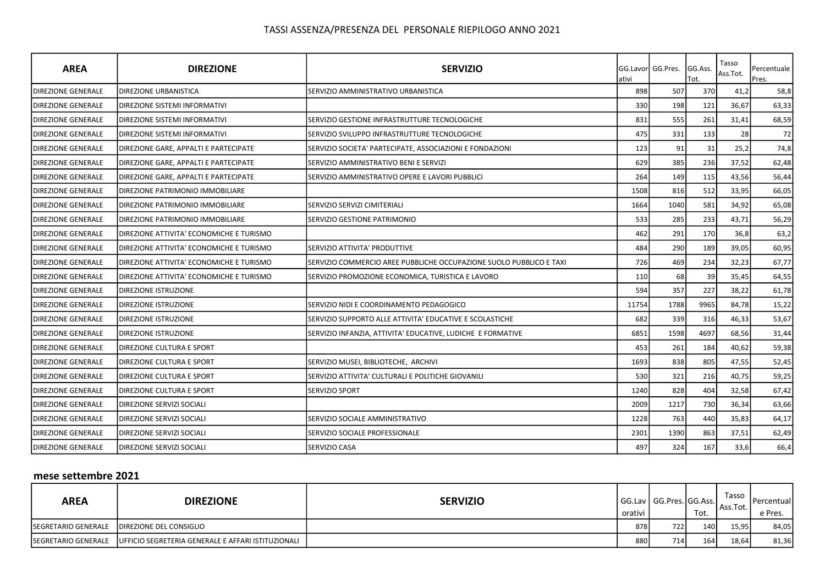| <b>AREA</b>               | <b>DIREZIONE</b>                         | <b>SERVIZIO</b>                                                     | ativi | GG.Lavor GG.Pres. | GG.Ass.<br>Tot. | Tasso<br>Ass.Tot. | Percentuale<br>Pres. |
|---------------------------|------------------------------------------|---------------------------------------------------------------------|-------|-------------------|-----------------|-------------------|----------------------|
| <b>DIREZIONE GENERALE</b> | <b>DIREZIONE URBANISTICA</b>             | SERVIZIO AMMINISTRATIVO URBANISTICA                                 | 898   | 507               | 370             | 41,2              | 58,8                 |
| <b>DIREZIONE GENERALE</b> | DIREZIONE SISTEMI INFORMATIVI            |                                                                     | 330   | 198               | 121             | 36,67             | 63,33                |
| <b>DIREZIONE GENERALE</b> | DIREZIONE SISTEMI INFORMATIVI            | SERVIZIO GESTIONE INFRASTRUTTURE TECNOLOGICHE                       | 831   | 555               | 261             | 31,41             | 68,59                |
| <b>DIREZIONE GENERALE</b> | DIREZIONE SISTEMI INFORMATIVI            | SERVIZIO SVILUPPO INFRASTRUTTURE TECNOLOGICHE                       | 475   | 331               | 133             | 28                | 72                   |
| <b>DIREZIONE GENERALE</b> | DIREZIONE GARE, APPALTI E PARTECIPATE    | SERVIZIO SOCIETA' PARTECIPATE, ASSOCIAZIONI E FONDAZIONI            | 123   | 91                | 31              | 25,2              | 74,8                 |
| <b>DIREZIONE GENERALE</b> | DIREZIONE GARE, APPALTI E PARTECIPATE    | SERVIZIO AMMINISTRATIVO BENI E SERVIZI                              | 629   | 385               | 236             | 37,52             | 62,48                |
| <b>DIREZIONE GENERALE</b> | DIREZIONE GARE, APPALTI E PARTECIPATE    | SERVIZIO AMMINISTRATIVO OPERE E LAVORI PUBBLICI                     | 264   | 149               | 115             | 43,56             | 56,44                |
| <b>DIREZIONE GENERALE</b> | DIREZIONE PATRIMONIO IMMOBILIARE         |                                                                     | 1508  | 816               | 512             | 33,95             | 66,05                |
| <b>DIREZIONE GENERALE</b> | DIREZIONE PATRIMONIO IMMOBILIARE         | SERVIZIO SERVIZI CIMITERIALI                                        | 1664  | 1040              | 581             | 34,92             | 65,08                |
| DIREZIONE GENERALE        | DIREZIONE PATRIMONIO IMMOBILIARE         | SERVIZIO GESTIONE PATRIMONIO                                        | 533   | 285               | 233             | 43,71             | 56,29                |
| <b>DIREZIONE GENERALE</b> | DIREZIONE ATTIVITA' ECONOMICHE E TURISMO |                                                                     | 462   | 291               | 170             | 36,8              | 63,2                 |
| <b>DIREZIONE GENERALE</b> | DIREZIONE ATTIVITA' ECONOMICHE E TURISMO | SERVIZIO ATTIVITA' PRODUTTIVE                                       | 484   | 290               | 189             | 39,05             | 60,95                |
| DIREZIONE GENERALE        | DIREZIONE ATTIVITA' ECONOMICHE E TURISMO | SERVIZIO COMMERCIO AREE PUBBLICHE OCCUPAZIONE SUOLO PUBBLICO E TAXI | 726   | 469               | 234             | 32,23             | 67,77                |
| <b>DIREZIONE GENERALE</b> | DIREZIONE ATTIVITA' ECONOMICHE E TURISMO | SERVIZIO PROMOZIONE ECONOMICA, TURISTICA E LAVORO                   | 110   | 68                | 39              | 35,45             | 64,55                |
| <b>DIREZIONE GENERALE</b> | DIREZIONE ISTRUZIONE                     |                                                                     | 594   | 357               | 227             | 38,22             | 61,78                |
| <b>DIREZIONE GENERALE</b> | DIREZIONE ISTRUZIONE                     | SERVIZIO NIDI E COORDINAMENTO PEDAGOGICO                            | 11754 | 1788              | 9965            | 84,78             | 15,22                |
| <b>DIREZIONE GENERALE</b> | DIREZIONE ISTRUZIONE                     | SERVIZIO SUPPORTO ALLE ATTIVITA' EDUCATIVE E SCOLASTICHE            | 682   | 339               | 316             | 46,33             | 53,67                |
| <b>DIREZIONE GENERALE</b> | <b>DIREZIONE ISTRUZIONE</b>              | SERVIZIO INFANZIA, ATTIVITA' EDUCATIVE, LUDICHE E FORMATIVE         | 6851  | 1598              | 4697            | 68,56             | 31,44                |
| <b>DIREZIONE GENERALE</b> | DIREZIONE CULTURA E SPORT                |                                                                     | 453   | 261               | 184             | 40,62             | 59,38                |
| <b>DIREZIONE GENERALE</b> | DIREZIONE CULTURA E SPORT                | SERVIZIO MUSEI, BIBLIOTECHE, ARCHIVI                                | 1693  | 838               | 805             | 47,55             | 52,45                |
| <b>DIREZIONE GENERALE</b> | DIREZIONE CULTURA E SPORT                | SERVIZIO ATTIVITA' CULTURALI E POLITICHE GIOVANILI                  | 530   | 321               | 216             | 40,75             | 59,25                |
| <b>DIREZIONE GENERALE</b> | DIREZIONE CULTURA E SPORT                | SERVIZIO SPORT                                                      | 1240  | 828               | 404             | 32,58             | 67,42                |
| <b>DIREZIONE GENERALE</b> | DIREZIONE SERVIZI SOCIALI                |                                                                     | 2009  | 1217              | 730             | 36,34             | 63,66                |
| <b>DIREZIONE GENERALE</b> | DIREZIONE SERVIZI SOCIALI                | SERVIZIO SOCIALE AMMINISTRATIVO                                     | 1228  | 763               | 440             | 35,83             | 64,17                |
| <b>DIREZIONE GENERALE</b> | DIREZIONE SERVIZI SOCIALI                | SERVIZIO SOCIALE PROFESSIONALE                                      | 2301  | 1390              | 863             | 37,51             | 62,49                |
| <b>DIREZIONE GENERALE</b> | DIREZIONE SERVIZI SOCIALI                | SERVIZIO CASA                                                       | 497   | 324               | 167             | 33,6              | 66,4                 |

### mese settembre 2021

| <b>AREA</b>                 | <b>DIREZIONE</b>                                                         | <b>SERVIZIO</b> | orativi | GG.Lav   GG.Pres. GG.Ass. | Tot. | Tasso<br>l Ass.Tot. | <b>I</b> Percentuall<br>e Pres. |
|-----------------------------|--------------------------------------------------------------------------|-----------------|---------|---------------------------|------|---------------------|---------------------------------|
| <b>ISEGRETARIO GENERALE</b> | <b>DIREZIONE DEL CONSIGLIO</b>                                           |                 | 878     | 722I                      | 140  | 15,95               | 84,05                           |
|                             | ISEGRETARIO GENERALE IUFFICIO SEGRETERIA GENERALE E AFFARI ISTITUZIONALI |                 | 880     | 7141                      | 164  | 18,64               | 81,36                           |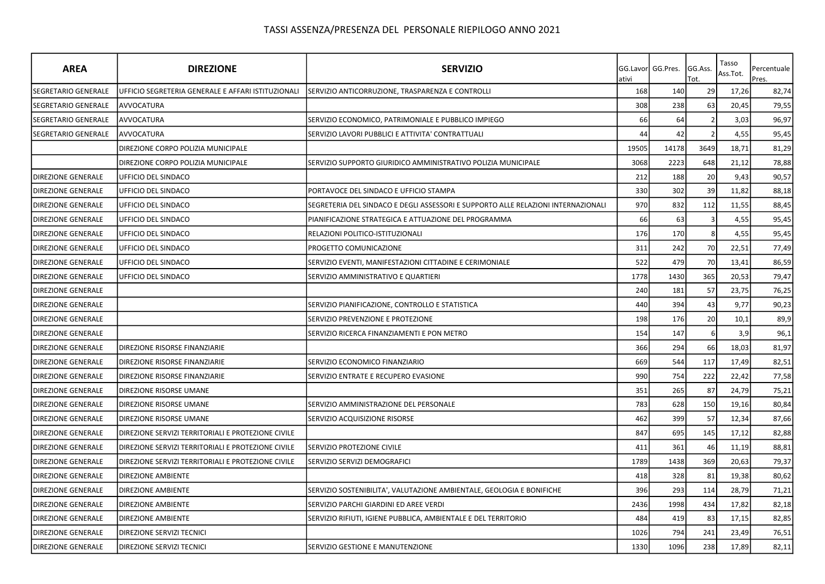| <b>AREA</b>                                                | <b>DIREZIONE</b>                                   | <b>SERVIZIO</b>                                                                   | GG.Lavor<br>ativi | GG.Pres. | GG.Ass.<br>Tot. | Tasso<br>Ass.Tot. | Percentuale<br>Pres. |
|------------------------------------------------------------|----------------------------------------------------|-----------------------------------------------------------------------------------|-------------------|----------|-----------------|-------------------|----------------------|
| <b>SEGRETARIO GENERALE</b>                                 | UFFICIO SEGRETERIA GENERALE E AFFARI ISTITUZIONALI | SERVIZIO ANTICORRUZIONE, TRASPARENZA E CONTROLLI                                  | 168               | 140      | 29              | 17,26             | 82,74                |
| <b>SEGRETARIO GENERALE</b><br>AVVOCATURA                   |                                                    |                                                                                   | 308               | 238      | 63              | 20,45             | 79,55                |
| SEGRETARIO GENERALE<br>AVVOCATURA                          |                                                    | SERVIZIO ECONOMICO, PATRIMONIALE E PUBBLICO IMPIEGO                               | 66                | 64       |                 | 3,03              | 96,97                |
| <b>AVVOCATURA</b><br>ISEGRETARIO GENERALE                  |                                                    | SERVIZIO LAVORI PUBBLICI E ATTIVITA' CONTRATTUALI                                 | 44                | 42       |                 | 4,55              | 95,45                |
|                                                            | DIREZIONE CORPO POLIZIA MUNICIPALE                 |                                                                                   | 19505             | 14178    | 3649            | 18,71             | 81,29                |
|                                                            | DIREZIONE CORPO POLIZIA MUNICIPALE                 | SERVIZIO SUPPORTO GIURIDICO AMMINISTRATIVO POLIZIA MUNICIPALE                     | 3068              | 2223     | 648             | 21,12             | 78,88                |
| <b>DIREZIONE GENERALE</b><br>UFFICIO DEL SINDACO           |                                                    |                                                                                   | 212               | 188      | 20              | 9,43              | 90,57                |
| UFFICIO DEL SINDACO<br><b>DIREZIONE GENERALE</b>           |                                                    | PORTAVOCE DEL SINDACO E UFFICIO STAMPA                                            | 330               | 302      | 39              | 11,82             | 88,18                |
| <b>DIREZIONE GENERALE</b><br>UFFICIO DEL SINDACO           |                                                    | SEGRETERIA DEL SINDACO E DEGLI ASSESSORI E SUPPORTO ALLE RELAZIONI INTERNAZIONALI | 970               | 832      | 112             | 11,55             | 88,45                |
| UFFICIO DEL SINDACO<br><b>DIREZIONE GENERALE</b>           |                                                    | PIANIFICAZIONE STRATEGICA E ATTUAZIONE DEL PROGRAMMA                              | 66                | 63       |                 | 4,55              | 95,45                |
| <b>UFFICIO DEL SINDACO</b><br><b>DIREZIONE GENERALE</b>    |                                                    | RELAZIONI POLITICO-ISTITUZIONALI                                                  | 176               | 170      |                 | 4,55              | 95,45                |
| <b>DIREZIONE GENERALE</b><br>UFFICIO DEL SINDACO           |                                                    | PROGETTO COMUNICAZIONE                                                            | 311               | 242      | 70              | 22,51             | 77,49                |
| <b>DIREZIONE GENERALE</b><br>UFFICIO DEL SINDACO           |                                                    | SERVIZIO EVENTI, MANIFESTAZIONI CITTADINE E CERIMONIALE                           | 522               | 479      | 70              | 13,41             | 86,59                |
| <b>DIREZIONE GENERALE</b><br>UFFICIO DEL SINDACO           |                                                    | SERVIZIO AMMINISTRATIVO E QUARTIERI                                               | 1778              | 1430     | 365             | 20,53             | 79,47                |
| <b>DIREZIONE GENERALE</b>                                  |                                                    |                                                                                   | 240               | 181      | 57              | 23,75             | 76,25                |
| <b>DIREZIONE GENERALE</b>                                  |                                                    | SERVIZIO PIANIFICAZIONE, CONTROLLO E STATISTICA                                   | 440               | 394      | 43              | 9,77              | 90,23                |
| <b>DIREZIONE GENERALE</b>                                  |                                                    | SERVIZIO PREVENZIONE E PROTEZIONE                                                 | 198               | 176      | 20              | 10,1              | 89,9                 |
| <b>DIREZIONE GENERALE</b>                                  |                                                    | SERVIZIO RICERCA FINANZIAMENTI E PON METRO                                        | 154               | 147      |                 | 3,9               | 96,1                 |
| DIREZIONE RISORSE FINANZIARIE<br><b>DIREZIONE GENERALE</b> |                                                    |                                                                                   | 366               | 294      | 66              | 18,03             | 81,97                |
| <b>DIREZIONE GENERALE</b><br>DIREZIONE RISORSE FINANZIARIE |                                                    | SERVIZIO ECONOMICO FINANZIARIO                                                    | 669               | 544      | 117             | 17,49             | 82,51                |
| DIREZIONE RISORSE FINANZIARIE<br><b>DIREZIONE GENERALE</b> |                                                    | SERVIZIO ENTRATE E RECUPERO EVASIONE                                              | 990               | 754      | 222             | 22,42             | 77,58                |
| <b>DIREZIONE GENERALE</b><br>DIREZIONE RISORSE UMANE       |                                                    |                                                                                   | 351               | 265      | 87              | 24,79             | 75,21                |
| <b>DIREZIONE GENERALE</b><br>DIREZIONE RISORSE UMANE       |                                                    | SERVIZIO AMMINISTRAZIONE DEL PERSONALE                                            | 783               | 628      | 150             | 19,16             | 80,84                |
| <b>DIREZIONE GENERALE</b><br>DIREZIONE RISORSE UMANE       |                                                    | SERVIZIO ACQUISIZIONE RISORSE                                                     | 462               | 399      | 57              | 12,34             | 87,66                |
| <b>DIREZIONE GENERALE</b>                                  | DIREZIONE SERVIZI TERRITORIALI E PROTEZIONE CIVILE |                                                                                   | 847               | 695      | 145             | 17,12             | 82,88                |
| <b>DIREZIONE GENERALE</b>                                  | DIREZIONE SERVIZI TERRITORIALI E PROTEZIONE CIVILE | SERVIZIO PROTEZIONE CIVILE                                                        | 411               | 361      | 46              | 11,19             | 88,81                |
| <b>DIREZIONE GENERALE</b>                                  | DIREZIONE SERVIZI TERRITORIALI E PROTEZIONE CIVILE | SERVIZIO SERVIZI DEMOGRAFICI                                                      | 1789              | 1438     | 369             | 20,63             | 79,37                |
| <b>DIREZIONE GENERALE</b><br><b>DIREZIONE AMBIENTE</b>     |                                                    |                                                                                   | 418               | 328      | 81              | 19,38             | 80,62                |
| <b>DIREZIONE GENERALE</b><br><b>DIREZIONE AMBIENTE</b>     |                                                    | SERVIZIO SOSTENIBILITA', VALUTAZIONE AMBIENTALE, GEOLOGIA E BONIFICHE             | 396               | 293      | 114             | 28,79             | 71,21                |
| <b>DIREZIONE GENERALE</b><br><b>DIREZIONE AMBIENTE</b>     |                                                    | SERVIZIO PARCHI GIARDINI ED AREE VERDI                                            | 2436              | 1998     | 434             | 17,82             | 82,18                |
| <b>DIREZIONE GENERALE</b><br><b>DIREZIONE AMBIENTE</b>     |                                                    | SERVIZIO RIFIUTI, IGIENE PUBBLICA, AMBIENTALE E DEL TERRITORIO                    | 484               | 419      | 83              | 17,15             | 82,85                |
| <b>DIREZIONE GENERALE</b><br>DIREZIONE SERVIZI TECNICI     |                                                    |                                                                                   | 1026              | 794      | 241             | 23,49             | 76,51                |
| <b>DIREZIONE GENERALE</b><br>DIREZIONE SERVIZI TECNICI     |                                                    | SERVIZIO GESTIONE E MANUTENZIONE                                                  | 1330              | 1096     | 238             | 17,89             | 82,11                |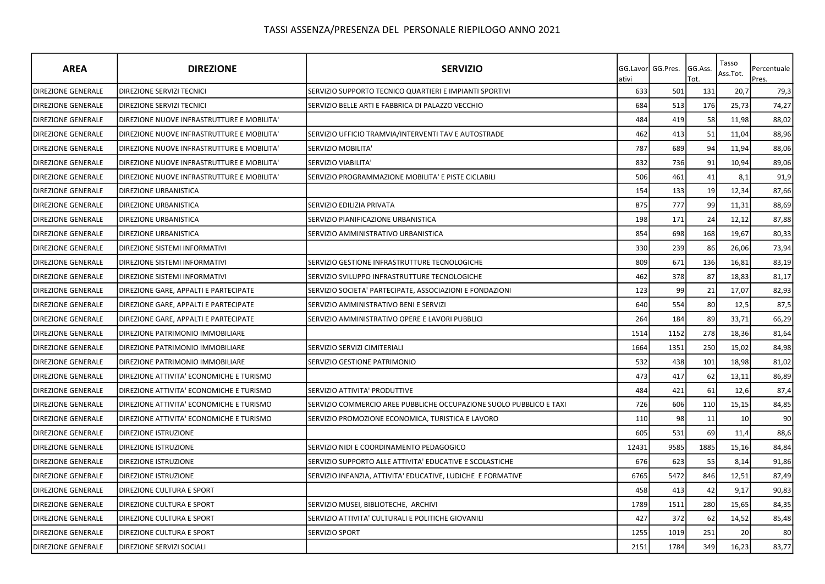| <b>AREA</b>               | <b>DIREZIONE</b>                           | <b>SERVIZIO</b>                                                     | ativi | GG.Lavor GG.Pres. | GG.Ass.<br>Tot. | Tasso<br>Ass.Tot. | Percentuale<br>Pres. |
|---------------------------|--------------------------------------------|---------------------------------------------------------------------|-------|-------------------|-----------------|-------------------|----------------------|
| <b>DIREZIONE GENERALE</b> | DIREZIONE SERVIZI TECNICI                  | SERVIZIO SUPPORTO TECNICO QUARTIERI E IMPIANTI SPORTIVI             | 633   | 501               | 131             | 20,7              | 79,3                 |
| <b>DIREZIONE GENERALE</b> | DIREZIONE SERVIZI TECNICI                  | SERVIZIO BELLE ARTI E FABBRICA DI PALAZZO VECCHIO                   | 684   | 513               | 176             | 25,73             | 74,27                |
| <b>DIREZIONE GENERALE</b> | DIREZIONE NUOVE INFRASTRUTTURE E MOBILITA' |                                                                     | 484   | 419               | 58              | 11,98             | 88,02                |
| <b>DIREZIONE GENERALE</b> | DIREZIONE NUOVE INFRASTRUTTURE E MOBILITA' | SERVIZIO UFFICIO TRAMVIA/INTERVENTI TAV E AUTOSTRADE                | 462   | 413               | 51              | 11,04             | 88,96                |
| <b>DIREZIONE GENERALE</b> | DIREZIONE NUOVE INFRASTRUTTURE E MOBILITA' | SERVIZIO MOBILITA'                                                  | 787   | 689               | 94              | 11,94             | 88,06                |
| <b>DIREZIONE GENERALE</b> | DIREZIONE NUOVE INFRASTRUTTURE E MOBILITA' | <b>SERVIZIO VIABILITA'</b>                                          | 832   | 736               | 91              | 10,94             | 89,06                |
| <b>DIREZIONE GENERALE</b> | DIREZIONE NUOVE INFRASTRUTTURE E MOBILITA' | SERVIZIO PROGRAMMAZIONE MOBILITA' E PISTE CICLABILI                 | 506   | 461               | 41              | 8,1               | 91,9                 |
| <b>DIREZIONE GENERALE</b> | DIREZIONE URBANISTICA                      |                                                                     | 154   | 133               | 19              | 12,34             | 87,66                |
| <b>DIREZIONE GENERALE</b> | DIREZIONE URBANISTICA                      | SERVIZIO EDILIZIA PRIVATA                                           | 875   | 777               | 99              | 11,31             | 88,69                |
| <b>DIREZIONE GENERALE</b> | <b>DIREZIONE URBANISTICA</b>               | SERVIZIO PIANIFICAZIONE URBANISTICA                                 | 198   | 171               | 24              | 12,12             | 87,88                |
| <b>DIREZIONE GENERALE</b> | DIREZIONE URBANISTICA                      | SERVIZIO AMMINISTRATIVO URBANISTICA                                 | 854   | 698               | 168             | 19,67             | 80,33                |
| <b>DIREZIONE GENERALE</b> | DIREZIONE SISTEMI INFORMATIVI              |                                                                     | 330   | 239               | 86              | 26,06             | 73,94                |
| <b>DIREZIONE GENERALE</b> | DIREZIONE SISTEMI INFORMATIVI              | SERVIZIO GESTIONE INFRASTRUTTURE TECNOLOGICHE                       | 809   | 671               | 136             | 16,81             | 83,19                |
| <b>DIREZIONE GENERALE</b> | DIREZIONE SISTEMI INFORMATIVI              | SERVIZIO SVILUPPO INFRASTRUTTURE TECNOLOGICHE                       | 462   | 378               | 87              | 18,83             | 81,17                |
| DIREZIONE GENERALE        | DIREZIONE GARE, APPALTI E PARTECIPATE      | SERVIZIO SOCIETA' PARTECIPATE, ASSOCIAZIONI E FONDAZIONI            | 123   | 99                | 21              | 17,07             | 82,93                |
| <b>DIREZIONE GENERALE</b> | DIREZIONE GARE, APPALTI E PARTECIPATE      | SERVIZIO AMMINISTRATIVO BENI E SERVIZI                              | 640   | 554               | 80              | 12,5              | 87,5                 |
| <b>DIREZIONE GENERALE</b> | DIREZIONE GARE, APPALTI E PARTECIPATE      | SERVIZIO AMMINISTRATIVO OPERE E LAVORI PUBBLICI                     | 264   | 184               | 89              | 33,71             | 66,29                |
| <b>DIREZIONE GENERALE</b> | DIREZIONE PATRIMONIO IMMOBILIARE           |                                                                     | 1514  | 1152              | 278             | 18,36             | 81,64                |
| DIREZIONE GENERALE        | DIREZIONE PATRIMONIO IMMOBILIARE           | SERVIZIO SERVIZI CIMITERIALI                                        | 1664  | 1351              | 250             | 15,02             | 84,98                |
| DIREZIONE GENERALE        | DIREZIONE PATRIMONIO IMMOBILIARE           | SERVIZIO GESTIONE PATRIMONIO                                        | 532   | 438               | 101             | 18,98             | 81,02                |
| DIREZIONE GENERALE        | DIREZIONE ATTIVITA' ECONOMICHE E TURISMO   |                                                                     | 473   | 417               | 62              | 13,11             | 86,89                |
| <b>DIREZIONE GENERALE</b> | DIREZIONE ATTIVITA' ECONOMICHE E TURISMO   | SERVIZIO ATTIVITA' PRODUTTIVE                                       | 484   | 421               | 61              | 12,6              | 87,4                 |
| <b>DIREZIONE GENERALE</b> | DIREZIONE ATTIVITA' ECONOMICHE E TURISMO   | SERVIZIO COMMERCIO AREE PUBBLICHE OCCUPAZIONE SUOLO PUBBLICO E TAXI | 726   | 606               | 110             | 15,15             | 84,85                |
| <b>DIREZIONE GENERALE</b> | DIREZIONE ATTIVITA' ECONOMICHE E TURISMO   | SERVIZIO PROMOZIONE ECONOMICA, TURISTICA E LAVORO                   | 110   | 98                | 11              | 10                | 90                   |
| <b>DIREZIONE GENERALE</b> | DIREZIONE ISTRUZIONE                       |                                                                     | 605   | 531               | 69              | 11,4              | 88,6                 |
| <b>DIREZIONE GENERALE</b> | DIREZIONE ISTRUZIONE                       | SERVIZIO NIDI E COORDINAMENTO PEDAGOGICO                            | 12431 | 9585              | 1885            | 15,16             | 84,84                |
| DIREZIONE GENERALE        | DIREZIONE ISTRUZIONE                       | SERVIZIO SUPPORTO ALLE ATTIVITA' EDUCATIVE E SCOLASTICHE            | 676   | 623               | 55              | 8,14              | 91,86                |
| <b>DIREZIONE GENERALE</b> | DIREZIONE ISTRUZIONE                       | SERVIZIO INFANZIA, ATTIVITA' EDUCATIVE, LUDICHE E FORMATIVE         | 6765  | 5472              | 846             | 12,51             | 87,49                |
| <b>DIREZIONE GENERALE</b> | DIREZIONE CULTURA E SPORT                  |                                                                     | 458   | 413               | 42              | 9,17              | 90,83                |
| <b>DIREZIONE GENERALE</b> | DIREZIONE CULTURA E SPORT                  | SERVIZIO MUSEI, BIBLIOTECHE, ARCHIVI                                | 1789  | 1511              | 280             | 15,65             | 84,35                |
| <b>DIREZIONE GENERALE</b> | DIREZIONE CULTURA E SPORT                  | SERVIZIO ATTIVITA' CULTURALI E POLITICHE GIOVANILI                  | 427   | 372               | 62              | 14,52             | 85,48                |
| <b>DIREZIONE GENERALE</b> | DIREZIONE CULTURA E SPORT                  | <b>SERVIZIO SPORT</b>                                               | 1255  | 1019              | 251             | 20                | 80                   |
| <b>DIREZIONE GENERALE</b> | DIREZIONE SERVIZI SOCIALI                  |                                                                     | 2151  | 1784              | 349             | 16,23             | 83,77                |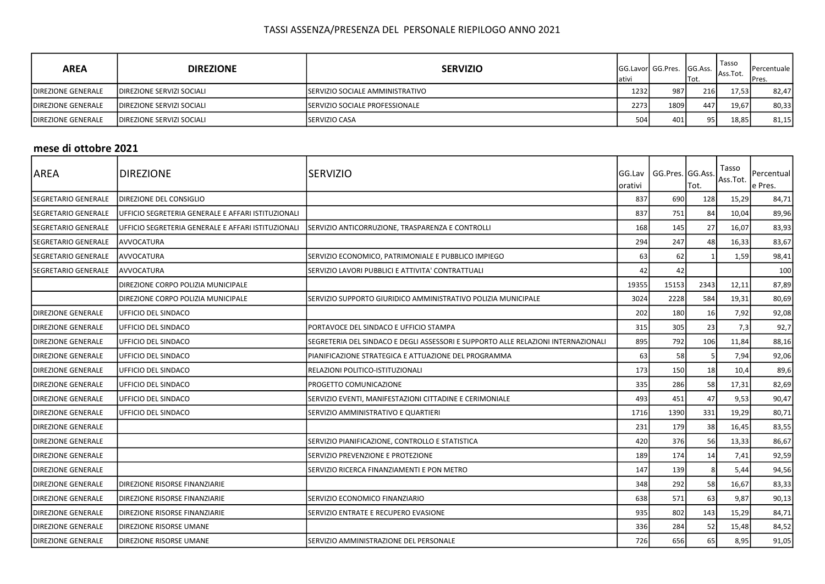| <b>AREA</b>                | <b>DIREZIONE</b>                  | <b>SERVIZIO</b>                         | lativi | <b>GG.Lavorl GG.Pres.</b> | <b>IGG.Ass.</b><br>ITot. | Tasso<br>Ass.Tot. | <b>IPercentuale I</b><br>IPres. |
|----------------------------|-----------------------------------|-----------------------------------------|--------|---------------------------|--------------------------|-------------------|---------------------------------|
| <b>IDIREZIONE GENERALE</b> | <b>IDIREZIONE SERVIZI SOCIALI</b> | <b>ISERVIZIO SOCIALE AMMINISTRATIVO</b> | 1232   | 987                       | 216                      | 17.53 l           | 82,47                           |
| <b>IDIREZIONE GENERALE</b> | <b>IDIREZIONE SERVIZI SOCIALI</b> | <b>ISERVIZIO SOCIALE PROFESSIONALE</b>  | 2273   | 1809                      | 447                      | 19.67             | 80,33                           |
| <b>DIREZIONE GENERALE</b>  | DIREZIONE SERVIZI SOCIALI         | <b>ISERVIZIO CASA</b>                   | 504    | 401                       | 951                      | 18.85             | 81,15                           |

#### mese di ottobre 2021

| AREA                       | <b>DIREZIONE</b>                                   | ISERVIZIO                                                                         | <b>GG.Lav</b><br>lorativi | GG.Pres. GG.Ass. | Tot. | Tasso<br>Ass.Tot. | Percentual<br>e Pres. |
|----------------------------|----------------------------------------------------|-----------------------------------------------------------------------------------|---------------------------|------------------|------|-------------------|-----------------------|
| SEGRETARIO GENERALE        | DIREZIONE DEL CONSIGLIO                            |                                                                                   | 837                       | 690              | 128  | 15,29             | 84,71                 |
| <b>SEGRETARIO GENERALE</b> | UFFICIO SEGRETERIA GENERALE E AFFARI ISTITUZIONALI |                                                                                   | 837                       | 751              | 84   | 10,04             | 89,96                 |
| SEGRETARIO GENERALE        | UFFICIO SEGRETERIA GENERALE E AFFARI ISTITUZIONALI | SERVIZIO ANTICORRUZIONE, TRASPARENZA E CONTROLLI                                  | 168                       | 145              | 27   | 16,07             | 83,93                 |
| <b>SEGRETARIO GENERALE</b> | <b>AVVOCATURA</b>                                  |                                                                                   | 294                       | 247              | 48   | 16,33             | 83,67                 |
| <b>SEGRETARIO GENERALE</b> | AVVOCATURA                                         | SERVIZIO ECONOMICO, PATRIMONIALE E PUBBLICO IMPIEGO                               | 63                        | 62               |      | 1,59              | 98,41                 |
| SEGRETARIO GENERALE        | <b>AVVOCATURA</b>                                  | SERVIZIO LAVORI PUBBLICI E ATTIVITA' CONTRATTUALI                                 | 42                        | 42               |      |                   | 100                   |
|                            | DIREZIONE CORPO POLIZIA MUNICIPALE                 |                                                                                   | 19355                     | 15153            | 2343 | 12,11             | 87,89                 |
|                            | DIREZIONE CORPO POLIZIA MUNICIPALE                 | SERVIZIO SUPPORTO GIURIDICO AMMINISTRATIVO POLIZIA MUNICIPALE                     | 3024                      | 2228             | 584  | 19,31             | 80,69                 |
| <b>DIREZIONE GENERALE</b>  | UFFICIO DEL SINDACO                                |                                                                                   | 202                       | 180              | 16   | 7,92              | 92,08                 |
| <b>DIREZIONE GENERALE</b>  | UFFICIO DEL SINDACO                                | PORTAVOCE DEL SINDACO E UFFICIO STAMPA                                            | 315                       | 305              | 23   | 7,3               | 92,7                  |
| <b>DIREZIONE GENERALE</b>  | UFFICIO DEL SINDACO                                | SEGRETERIA DEL SINDACO E DEGLI ASSESSORI E SUPPORTO ALLE RELAZIONI INTERNAZIONALI | 895                       | 792              | 106  | 11,84             | 88,16                 |
| <b>DIREZIONE GENERALE</b>  | UFFICIO DEL SINDACO                                | PIANIFICAZIONE STRATEGICA E ATTUAZIONE DEL PROGRAMMA                              | 63                        | 58               |      | 7,94              | 92,06                 |
| <b>DIREZIONE GENERALE</b>  | UFFICIO DEL SINDACO                                | RELAZIONI POLITICO-ISTITUZIONALI                                                  | 173                       | 150              | 18   | 10,4              | 89,6                  |
| <b>DIREZIONE GENERALE</b>  | UFFICIO DEL SINDACO                                | <b>PROGETTO COMUNICAZIONE</b>                                                     | 335                       | 286              | 58   | 17,31             | 82,69                 |
| <b>DIREZIONE GENERALE</b>  | UFFICIO DEL SINDACO                                | SERVIZIO EVENTI, MANIFESTAZIONI CITTADINE E CERIMONIALE                           | 493                       | 451              | 47   | 9,53              | 90,47                 |
| <b>DIREZIONE GENERALE</b>  | UFFICIO DEL SINDACO                                | SERVIZIO AMMINISTRATIVO E QUARTIERI                                               | 1716                      | 1390             | 331  | 19,29             | 80,71                 |
| <b>DIREZIONE GENERALE</b>  |                                                    |                                                                                   | 231                       | 179              | 38   | 16,45             | 83,55                 |
| <b>DIREZIONE GENERALE</b>  |                                                    | SERVIZIO PIANIFICAZIONE, CONTROLLO E STATISTICA                                   | 420                       | 376              | 56   | 13,33             | 86,67                 |
| <b>DIREZIONE GENERALE</b>  |                                                    | SERVIZIO PREVENZIONE E PROTEZIONE                                                 | 189                       | 174              | 14   | 7,41              | 92,59                 |
| <b>DIREZIONE GENERALE</b>  |                                                    | SERVIZIO RICERCA FINANZIAMENTI E PON METRO                                        | 147                       | 139              |      | 5,44              | 94,56                 |
| <b>DIREZIONE GENERALE</b>  | DIREZIONE RISORSE FINANZIARIE                      |                                                                                   | 348                       | 292              | 58   | 16,67             | 83,33                 |
| <b>DIREZIONE GENERALE</b>  | DIREZIONE RISORSE FINANZIARIE                      | SERVIZIO ECONOMICO FINANZIARIO                                                    | 638                       | 571              | 63   | 9,87              | 90,13                 |
| <b>DIREZIONE GENERALE</b>  | DIREZIONE RISORSE FINANZIARIE                      | SERVIZIO ENTRATE E RECUPERO EVASIONE                                              | 935                       | 802              | 143  | 15,29             | 84,71                 |
| <b>DIREZIONE GENERALE</b>  | DIREZIONE RISORSE UMANE                            |                                                                                   | 336                       | 284              | 52   | 15,48             | 84,52                 |
| <b>DIREZIONE GENERALE</b>  | DIREZIONE RISORSE UMANE                            | SERVIZIO AMMINISTRAZIONE DEL PERSONALE                                            | 726                       | 656              | 65   | 8,95              | 91,05                 |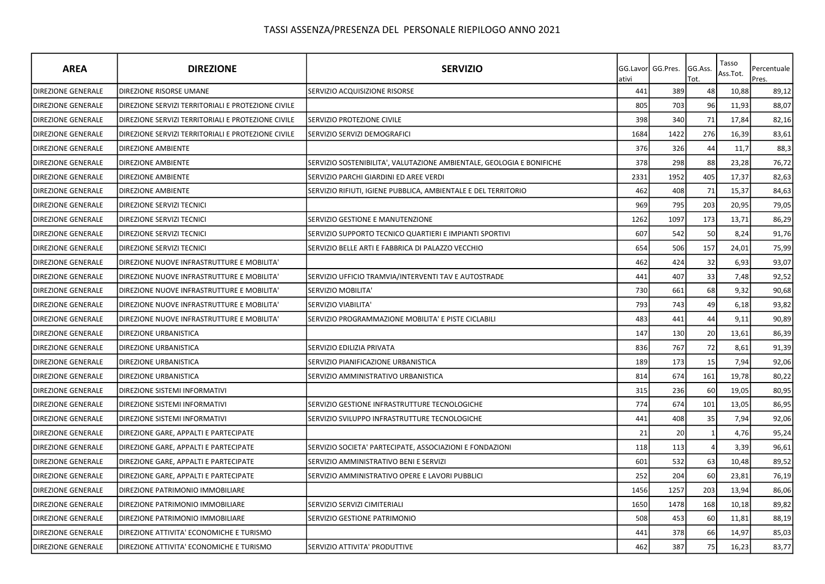| <b>AREA</b>               | <b>DIREZIONE</b>                                   | <b>SERVIZIO</b>                                                       | ativi | GG.Lavor GG.Pres. | GG.Ass.<br>Tot. | Tasso<br>Ass.Tot. | Percentuale<br>Pres. |
|---------------------------|----------------------------------------------------|-----------------------------------------------------------------------|-------|-------------------|-----------------|-------------------|----------------------|
| <b>DIREZIONE GENERALE</b> | DIREZIONE RISORSE UMANE                            | SERVIZIO ACQUISIZIONE RISORSE                                         | 441   | 389               | 48              | 10,88             | 89,12                |
| <b>DIREZIONE GENERALE</b> | DIREZIONE SERVIZI TERRITORIALI E PROTEZIONE CIVILE |                                                                       | 805   | 703               | 96              | 11,93             | 88,07                |
| <b>DIREZIONE GENERALE</b> | DIREZIONE SERVIZI TERRITORIALI E PROTEZIONE CIVILE | SERVIZIO PROTEZIONE CIVILE                                            | 398   | 340               | 71              | 17,84             | 82,16                |
| <b>DIREZIONE GENERALE</b> | DIREZIONE SERVIZI TERRITORIALI E PROTEZIONE CIVILE | SERVIZIO SERVIZI DEMOGRAFICI                                          | 1684  | 1422              | 276             | 16,39             | 83,61                |
| DIREZIONE GENERALE        | <b>DIREZIONE AMBIENTE</b>                          |                                                                       | 376   | 326               | 44              | 11,7              | 88,3                 |
| <b>DIREZIONE GENERALE</b> | <b>DIREZIONE AMBIENTE</b>                          | SERVIZIO SOSTENIBILITA', VALUTAZIONE AMBIENTALE, GEOLOGIA E BONIFICHE | 378   | 298               | 88              | 23,28             | 76,72                |
| <b>DIREZIONE GENERALE</b> | <b>DIREZIONE AMBIENTE</b>                          | SERVIZIO PARCHI GIARDINI ED AREE VERDI                                | 2331  | 1952              | 405             | 17,37             | 82,63                |
| <b>DIREZIONE GENERALE</b> | <b>DIREZIONE AMBIENTE</b>                          | SERVIZIO RIFIUTI, IGIENE PUBBLICA, AMBIENTALE E DEL TERRITORIO        | 462   | 408               | 71              | 15,37             | 84,63                |
| <b>DIREZIONE GENERALE</b> | DIREZIONE SERVIZI TECNICI                          |                                                                       | 969   | 795               | 203             | 20,95             | 79,05                |
| <b>DIREZIONE GENERALE</b> | <b>DIREZIONE SERVIZI TECNICI</b>                   | SERVIZIO GESTIONE E MANUTENZIONE                                      | 1262  | 1097              | 173             | 13,71             | 86,29                |
| <b>DIREZIONE GENERALE</b> | DIREZIONE SERVIZI TECNICI                          | SERVIZIO SUPPORTO TECNICO QUARTIERI E IMPIANTI SPORTIVI               | 607   | 542               | 50              | 8,24              | 91,76                |
| <b>DIREZIONE GENERALE</b> | DIREZIONE SERVIZI TECNICI                          | SERVIZIO BELLE ARTI E FABBRICA DI PALAZZO VECCHIO                     | 654   | 506               | 157             | 24,01             | 75,99                |
| DIREZIONE GENERALE        | DIREZIONE NUOVE INFRASTRUTTURE E MOBILITA'         |                                                                       | 462   | 424               | 32              | 6,93              | 93,07                |
| DIREZIONE GENERALE        | DIREZIONE NUOVE INFRASTRUTTURE E MOBILITA'         | SERVIZIO UFFICIO TRAMVIA/INTERVENTI TAV E AUTOSTRADE                  | 441   | 407               | 33              | 7,48              | 92,52                |
| <b>DIREZIONE GENERALE</b> | DIREZIONE NUOVE INFRASTRUTTURE E MOBILITA'         | SERVIZIO MOBILITA'                                                    | 730   | 661               | 68              | 9,32              | 90,68                |
| <b>DIREZIONE GENERALE</b> | DIREZIONE NUOVE INFRASTRUTTURE E MOBILITA'         | SERVIZIO VIABILITA'                                                   | 793   | 743               | 49              | 6,18              | 93,82                |
| <b>DIREZIONE GENERALE</b> | DIREZIONE NUOVE INFRASTRUTTURE E MOBILITA'         | SERVIZIO PROGRAMMAZIONE MOBILITA' E PISTE CICLABILI                   | 483   | 441               | 44              | 9,11              | 90,89                |
| <b>DIREZIONE GENERALE</b> | DIREZIONE URBANISTICA                              |                                                                       | 147   | 130               | 20              | 13,61             | 86,39                |
| <b>DIREZIONE GENERALE</b> | <b>DIREZIONE URBANISTICA</b>                       | SERVIZIO EDILIZIA PRIVATA                                             | 836   | 767               | 72              | 8,61              | 91,39                |
| DIREZIONE GENERALE        | DIREZIONE URBANISTICA                              | SERVIZIO PIANIFICAZIONE URBANISTICA                                   | 189   | 173               | 15              | 7,94              | 92,06                |
| DIREZIONE GENERALE        | DIREZIONE URBANISTICA                              | SERVIZIO AMMINISTRATIVO URBANISTICA                                   | 814   | 674               | 161             | 19,78             | 80,22                |
| DIREZIONE GENERALE        | DIREZIONE SISTEMI INFORMATIVI                      |                                                                       | 315   | 236               | 60              | 19,05             | 80,95                |
| <b>DIREZIONE GENERALE</b> | DIREZIONE SISTEMI INFORMATIVI                      | SERVIZIO GESTIONE INFRASTRUTTURE TECNOLOGICHE                         | 774   | 674               | 101             | 13,05             | 86,95                |
| <b>DIREZIONE GENERALE</b> | DIREZIONE SISTEMI INFORMATIVI                      | SERVIZIO SVILUPPO INFRASTRUTTURE TECNOLOGICHE                         | 441   | 408               | 35              | 7,94              | 92,06                |
| <b>DIREZIONE GENERALE</b> | DIREZIONE GARE, APPALTI E PARTECIPATE              |                                                                       | 21    | 20                |                 | 4,76              | 95,24                |
| <b>DIREZIONE GENERALE</b> | DIREZIONE GARE, APPALTI E PARTECIPATE              | SERVIZIO SOCIETA' PARTECIPATE, ASSOCIAZIONI E FONDAZIONI              | 118   | 113               |                 | 3,39              | 96,61                |
| <b>DIREZIONE GENERALE</b> | DIREZIONE GARE, APPALTI E PARTECIPATE              | SERVIZIO AMMINISTRATIVO BENI E SERVIZI                                | 601   | 532               | 63              | 10,48             | 89,52                |
| <b>DIREZIONE GENERALE</b> | DIREZIONE GARE, APPALTI E PARTECIPATE              | SERVIZIO AMMINISTRATIVO OPERE E LAVORI PUBBLICI                       | 252   | 204               | 60              | 23,81             | 76,19                |
| <b>DIREZIONE GENERALE</b> | DIREZIONE PATRIMONIO IMMOBILIARE                   |                                                                       | 1456  | 1257              | 203             | 13,94             | 86,06                |
| DIREZIONE GENERALE        | DIREZIONE PATRIMONIO IMMOBILIARE                   | SERVIZIO SERVIZI CIMITERIALI                                          | 1650  | 1478              | 168             | 10,18             | 89,82                |
| <b>DIREZIONE GENERALE</b> | DIREZIONE PATRIMONIO IMMOBILIARE                   | SERVIZIO GESTIONE PATRIMONIO                                          | 508   | 453               | 60              | 11,81             | 88,19                |
| <b>DIREZIONE GENERALE</b> | DIREZIONE ATTIVITA' ECONOMICHE E TURISMO           |                                                                       | 441   | 378               | 66              | 14,97             | 85,03                |
| <b>DIREZIONE GENERALE</b> | DIREZIONE ATTIVITA' ECONOMICHE E TURISMO           | SERVIZIO ATTIVITA' PRODUTTIVE                                         | 462   | 387               | 75              | 16,23             | 83,77                |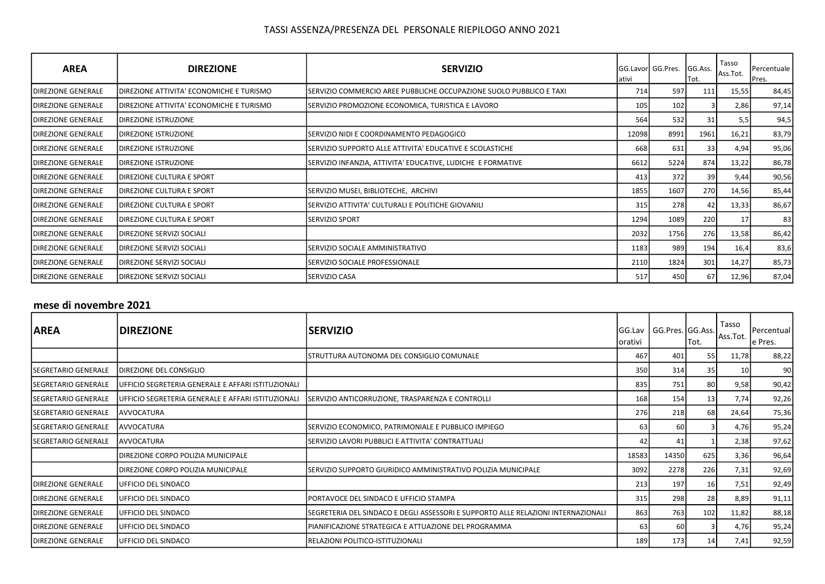| <b>AREA</b>                | <b>DIREZIONE</b>                         | <b>SERVIZIO</b>                                                     | lativi | GG.Lavor GG.Pres. | GG.Ass.<br>Tot. | Tasso<br>Ass.Tot. | Percentuale<br>Pres. |
|----------------------------|------------------------------------------|---------------------------------------------------------------------|--------|-------------------|-----------------|-------------------|----------------------|
| <b>DIREZIONE GENERALE</b>  | DIREZIONE ATTIVITA' ECONOMICHE E TURISMO | SERVIZIO COMMERCIO AREE PUBBLICHE OCCUPAZIONE SUOLO PUBBLICO E TAXI | 714    | 597               | 111             | 15,55             | 84,45                |
| <b>DIREZIONE GENERALE</b>  | DIREZIONE ATTIVITA' ECONOMICHE E TURISMO | SERVIZIO PROMOZIONE ECONOMICA, TURISTICA E LAVORO                   | 105    | 102               |                 | 2,86              | 97,14                |
| <b>DIREZIONE GENERALE</b>  | DIREZIONE ISTRUZIONE                     |                                                                     | 564    | 532               | 31              | 5,5               | 94,5                 |
| <b>DIREZIONE GENERALE</b>  | DIREZIONE ISTRUZIONE                     | SERVIZIO NIDI E COORDINAMENTO PEDAGOGICO                            | 12098  | 8991              | 1961            | 16,21             | 83,79                |
| <b>DIREZIONE GENERALE</b>  | DIREZIONE ISTRUZIONE                     | SERVIZIO SUPPORTO ALLE ATTIVITA' EDUCATIVE E SCOLASTICHE            | 668    | 631               | 33              | 4,94              | 95,06                |
| <b>IDIREZIONE GENERALE</b> | <b>DIREZIONE ISTRUZIONE</b>              | SERVIZIO INFANZIA, ATTIVITA' EDUCATIVE, LUDICHE E FORMATIVE         | 6612   | 5224              | 874             | 13,22             | 86,78                |
| <b>DIREZIONE GENERALE</b>  | <b>DIREZIONE CULTURA E SPORT</b>         |                                                                     | 413    | 372               | 39              | 9,44              | 90,56                |
| <b>DIREZIONE GENERALE</b>  | DIREZIONE CULTURA E SPORT                | SERVIZIO MUSEI, BIBLIOTECHE, ARCHIVI                                | 1855   | 1607              | 270             | 14,56             | 85,44                |
| <b>IDIREZIONE GENERALE</b> | DIREZIONE CULTURA E SPORT                | SERVIZIO ATTIVITA' CULTURALI E POLITICHE GIOVANILI                  | 315    | 278               | 42              | 13,33             | 86,67                |
| <b>DIREZIONE GENERALE</b>  | DIREZIONE CULTURA E SPORT                | <b>SERVIZIO SPORT</b>                                               | 1294   | 1089              | 220             | 17                | 83                   |
| <b>DIREZIONE GENERALE</b>  | DIREZIONE SERVIZI SOCIALI                |                                                                     | 2032   | 1756              | 276             | 13,58             | 86,42                |
| <b>IDIREZIONE GENERALE</b> | DIREZIONE SERVIZI SOCIALI                | ISERVIZIO SOCIALE AMMINISTRATIVO                                    | 1183   | 989               | 194             | 16,4              | 83,6                 |
| <b>DIREZIONE GENERALE</b>  | DIREZIONE SERVIZI SOCIALI                | SERVIZIO SOCIALE PROFESSIONALE                                      | 2110   | 1824              | 301             | 14,27             | 85,73                |
| <b>DIREZIONE GENERALE</b>  | DIREZIONE SERVIZI SOCIALI                | <b>SERVIZIO CASA</b>                                                | 517    | 450               | 67              | 12,96             | 87,04                |

## mese di novembre 2021

| AREA                         | <b>DIREZIONE</b>                                   | <b>ISERVIZIO</b>                                                                  | <b>IGG.Lav</b><br>Iorativi | GG.Pres. GG.Ass. | Tot.            | Tasso<br>Ass.Tot. | Percentual<br>le Pres. |
|------------------------------|----------------------------------------------------|-----------------------------------------------------------------------------------|----------------------------|------------------|-----------------|-------------------|------------------------|
|                              |                                                    | STRUTTURA AUTONOMA DEL CONSIGLIO COMUNALE                                         | 467                        | 401              | 55              | 11,78             | 88,22                  |
| SEGRETARIO GENERALE          | DIREZIONE DEL CONSIGLIO                            |                                                                                   | 350                        | 314              | 35              | 10 <sup>1</sup>   | 90                     |
| <b>I</b> SEGRETARIO GENERALE | UFFICIO SEGRETERIA GENERALE E AFFARI ISTITUZIONALI |                                                                                   | 835                        | 751              | 80              | 9,58              | 90,42                  |
| ISEGRETARIO GENERALE         | UFFICIO SEGRETERIA GENERALE E AFFARI ISTITUZIONALI | SERVIZIO ANTICORRUZIONE, TRASPARENZA E CONTROLLI                                  | 168                        | 154              | 13 <sup>1</sup> | 7,74              | 92,26                  |
| SEGRETARIO GENERALE          | <b>AVVOCATURA</b>                                  |                                                                                   | 276                        | 218              | 68 l            | 24,64             | 75,36                  |
| <b>ISEGRETARIO GENERALE</b>  | <b>JAVVOCATURA</b>                                 | SERVIZIO ECONOMICO, PATRIMONIALE E PUBBLICO IMPIEGO                               | 63                         | 60               |                 | 4,76              | 95,24                  |
| <b>ISEGRETARIO GENERALE</b>  | <b>JAVVOCATURA</b>                                 | SERVIZIO LAVORI PUBBLICI E ATTIVITA' CONTRATTUALI                                 | 42                         | 41               |                 | 2,38              | 97,62                  |
|                              | DIREZIONE CORPO POLIZIA MUNICIPALE                 |                                                                                   | 18583                      | 14350            | 625             | 3,36              | 96,64                  |
|                              | DIREZIONE CORPO POLIZIA MUNICIPALE                 | SERVIZIO SUPPORTO GIURIDICO AMMINISTRATIVO POLIZIA MUNICIPALE                     | 3092                       | 2278             | 226             | 7,31              | 92,69                  |
| <b>IDIREZIONE GENERALE</b>   | UFFICIO DEL SINDACO                                |                                                                                   | 213                        | 197              | 16 <sup>l</sup> | 7,51              | 92,49                  |
| <b>IDIREZIONE GENERALE</b>   | <b>IUFFICIO DEL SINDACO</b>                        | PORTAVOCE DEL SINDACO E UFFICIO STAMPA                                            | 315                        | 298              | 28              | 8,89              | 91,11                  |
| <b>IDIREZIONE GENERALE</b>   | UFFICIO DEL SINDACO                                | SEGRETERIA DEL SINDACO E DEGLI ASSESSORI E SUPPORTO ALLE RELAZIONI INTERNAZIONALI | 863                        | 763              | 102             | 11,82             | 88,18                  |
| <b>DIREZIONE GENERALE</b>    | <b>IUFFICIO DEL SINDACO</b>                        | IPIANIFICAZIONE STRATEGICA E ATTUAZIONE DEL PROGRAMMA                             | 63                         | 60               |                 | 4,76              | 95,24                  |
| <b>IDIREZIONE GENERALE</b>   | UFFICIO DEL SINDACO                                | RELAZIONI POLITICO-ISTITUZIONALI                                                  | 189                        | 173              | 14              | 7,41              | 92,59                  |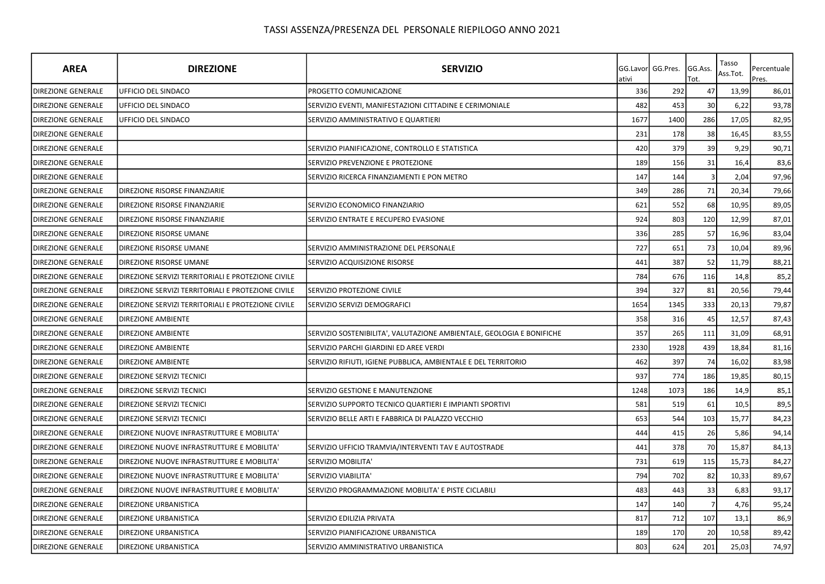| <b>AREA</b>               | <b>DIREZIONE</b>                                   | <b>SERVIZIO</b>                                                       | ativi | GG.Lavor GG.Pres. | GG.Ass.<br>Tot. | Tasso<br>Ass.Tot. | Percentuale<br>Pres. |
|---------------------------|----------------------------------------------------|-----------------------------------------------------------------------|-------|-------------------|-----------------|-------------------|----------------------|
| <b>DIREZIONE GENERALE</b> | UFFICIO DEL SINDACO                                | PROGETTO COMUNICAZIONE                                                | 336   | 292               | 47              | 13,99             | 86,01                |
| <b>DIREZIONE GENERALE</b> | <b>UFFICIO DEL SINDACO</b>                         | SERVIZIO EVENTI, MANIFESTAZIONI CITTADINE E CERIMONIALE               | 482   | 453               | 30              | 6,22              | 93,78                |
| DIREZIONE GENERALE        | UFFICIO DEL SINDACO                                | SERVIZIO AMMINISTRATIVO E QUARTIERI                                   | 1677  | 1400              | 286             | 17,05             | 82,95                |
| <b>DIREZIONE GENERALE</b> |                                                    |                                                                       | 231   | 178               | 38              | 16,45             | 83,55                |
| <b>DIREZIONE GENERALE</b> |                                                    | SERVIZIO PIANIFICAZIONE, CONTROLLO E STATISTICA                       | 420   | 379               | 39              | 9,29              | 90,71                |
| DIREZIONE GENERALE        |                                                    | SERVIZIO PREVENZIONE E PROTEZIONE                                     | 189   | 156               | 31              | 16,4              | 83,6                 |
| <b>DIREZIONE GENERALE</b> |                                                    | SERVIZIO RICERCA FINANZIAMENTI E PON METRO                            | 147   | 144               |                 | 2,04              | 97,96                |
| <b>DIREZIONE GENERALE</b> | DIREZIONE RISORSE FINANZIARIE                      |                                                                       | 349   | 286               | 71              | 20,34             | 79,66                |
| <b>DIREZIONE GENERALE</b> | DIREZIONE RISORSE FINANZIARIE                      | SERVIZIO ECONOMICO FINANZIARIO                                        | 621   | 552               | 68              | 10,95             | 89,05                |
| <b>DIREZIONE GENERALE</b> | DIREZIONE RISORSE FINANZIARIE                      | SERVIZIO ENTRATE E RECUPERO EVASIONE                                  | 924   | 803               | 120             | 12,99             | 87,01                |
| <b>DIREZIONE GENERALE</b> | DIREZIONE RISORSE UMANE                            |                                                                       | 336   | 285               | 57              | 16,96             | 83,04                |
| <b>DIREZIONE GENERALE</b> | DIREZIONE RISORSE UMANE                            | SERVIZIO AMMINISTRAZIONE DEL PERSONALE                                | 727   | 651               | 73              | 10,04             | 89,96                |
| <b>DIREZIONE GENERALE</b> | DIREZIONE RISORSE UMANE                            | SERVIZIO ACQUISIZIONE RISORSE                                         | 441   | 387               | 52              | 11,79             | 88,21                |
| <b>DIREZIONE GENERALE</b> | DIREZIONE SERVIZI TERRITORIALI E PROTEZIONE CIVILE |                                                                       | 784   | 676               | 116             | 14,8              | 85,2                 |
| DIREZIONE GENERALE        | DIREZIONE SERVIZI TERRITORIALI E PROTEZIONE CIVILE | SERVIZIO PROTEZIONE CIVILE                                            | 394   | 327               | 81              | 20,56             | 79,44                |
| <b>DIREZIONE GENERALE</b> | DIREZIONE SERVIZI TERRITORIALI E PROTEZIONE CIVILE | SERVIZIO SERVIZI DEMOGRAFICI                                          | 1654  | 1345              | 333             | 20,13             | 79,87                |
| <b>DIREZIONE GENERALE</b> | <b>DIREZIONE AMBIENTE</b>                          |                                                                       | 358   | 316               | 45              | 12,57             | 87,43                |
| <b>DIREZIONE GENERALE</b> | <b>DIREZIONE AMBIENTE</b>                          | SERVIZIO SOSTENIBILITA', VALUTAZIONE AMBIENTALE, GEOLOGIA E BONIFICHE | 357   | 265               | 111             | 31,09             | 68,91                |
| <b>DIREZIONE GENERALE</b> | <b>DIREZIONE AMBIENTE</b>                          | SERVIZIO PARCHI GIARDINI ED AREE VERDI                                | 2330  | 1928              | 439             | 18,84             | 81,16                |
| DIREZIONE GENERALE        | <b>DIREZIONE AMBIENTE</b>                          | SERVIZIO RIFIUTI, IGIENE PUBBLICA, AMBIENTALE E DEL TERRITORIO        | 462   | 397               | 74              | 16,02             | 83,98                |
| DIREZIONE GENERALE        | DIREZIONE SERVIZI TECNICI                          |                                                                       | 937   | 774               | 186             | 19,85             | 80,15                |
| <b>DIREZIONE GENERALE</b> | DIREZIONE SERVIZI TECNICI                          | SERVIZIO GESTIONE E MANUTENZIONE                                      | 1248  | 1073              | 186             | 14,9              | 85,1                 |
| <b>DIREZIONE GENERALE</b> | DIREZIONE SERVIZI TECNICI                          | SERVIZIO SUPPORTO TECNICO QUARTIERI E IMPIANTI SPORTIVI               | 581   | 519               | 61              | 10,5              | 89,5                 |
| <b>DIREZIONE GENERALE</b> | DIREZIONE SERVIZI TECNICI                          | SERVIZIO BELLE ARTI E FABBRICA DI PALAZZO VECCHIO                     | 653   | 544               | 103             | 15,77             | 84,23                |
| <b>DIREZIONE GENERALE</b> | DIREZIONE NUOVE INFRASTRUTTURE E MOBILITA'         |                                                                       | 444   | 415               | 26              | 5,86              | 94,14                |
| <b>DIREZIONE GENERALE</b> | DIREZIONE NUOVE INFRASTRUTTURE E MOBILITA'         | SERVIZIO UFFICIO TRAMVIA/INTERVENTI TAV E AUTOSTRADE                  | 441   | 378               | 70              | 15,87             | 84,13                |
| DIREZIONE GENERALE        | DIREZIONE NUOVE INFRASTRUTTURE E MOBILITA'         | SERVIZIO MOBILITA'                                                    | 731   | 619               | 115             | 15,73             | 84,27                |
| DIREZIONE GENERALE        | DIREZIONE NUOVE INFRASTRUTTURE E MOBILITA'         | SERVIZIO VIABILITA'                                                   | 794   | 702               | 82              | 10,33             | 89,67                |
| <b>DIREZIONE GENERALE</b> | DIREZIONE NUOVE INFRASTRUTTURE E MOBILITA'         | SERVIZIO PROGRAMMAZIONE MOBILITA' E PISTE CICLABILI                   | 483   | 443               | 33              | 6,83              | 93,17                |
| <b>DIREZIONE GENERALE</b> | DIREZIONE URBANISTICA                              |                                                                       | 147   | 140               | $\overline{7}$  | 4,76              | 95,24                |
| DIREZIONE GENERALE        | DIREZIONE URBANISTICA                              | SERVIZIO EDILIZIA PRIVATA                                             | 817   | 712               | 107             | 13,1              | 86,9                 |
| DIREZIONE GENERALE        | DIREZIONE URBANISTICA                              | SERVIZIO PIANIFICAZIONE URBANISTICA                                   | 189   | 170               | 20              | 10,58             | 89,42                |
| DIREZIONE GENERALE        | <b>DIREZIONE URBANISTICA</b>                       | SERVIZIO AMMINISTRATIVO URBANISTICA                                   | 803   | 624               | 201             | 25,03             | 74,97                |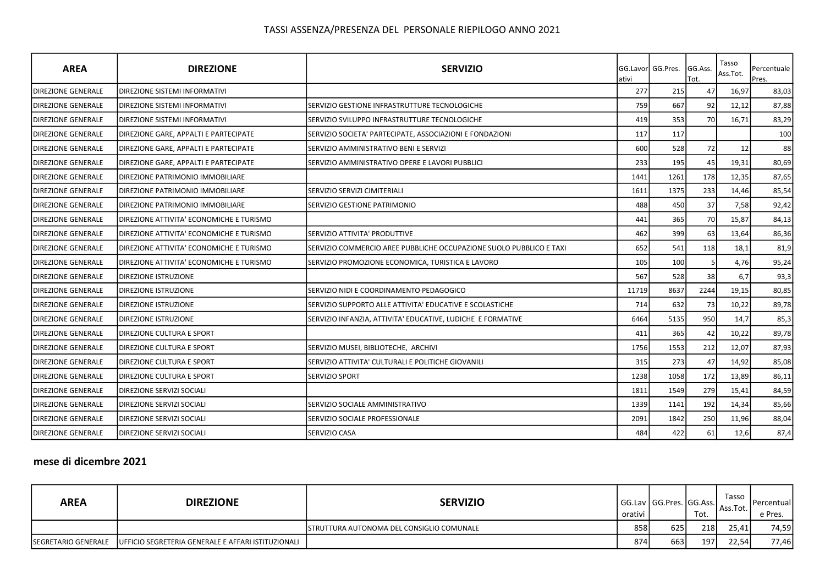| <b>AREA</b>               | <b>DIREZIONE</b>                         | <b>SERVIZIO</b>                                                     | ativi | <b>IGG.Lavorl GG.Pres.</b> | GG.Ass.<br>Гоt. | Tasso<br>Ass.Tot. | Percentuale<br>Pres. |
|---------------------------|------------------------------------------|---------------------------------------------------------------------|-------|----------------------------|-----------------|-------------------|----------------------|
| <b>DIREZIONE GENERALE</b> | <b>DIREZIONE SISTEMI INFORMATIVI</b>     |                                                                     | 277   | 215                        | 47              | 16,97             | 83,03                |
| <b>DIREZIONE GENERALE</b> | <b>DIREZIONE SISTEMI INFORMATIVI</b>     | SERVIZIO GESTIONE INFRASTRUTTURE TECNOLOGICHE                       | 759   | 667                        | 92              | 12,12             | 87,88                |
| <b>DIREZIONE GENERALE</b> | DIREZIONE SISTEMI INFORMATIVI            | SERVIZIO SVILUPPO INFRASTRUTTURE TECNOLOGICHE                       | 419   | 353                        | 70              | 16,71             | 83,29                |
| <b>DIREZIONE GENERALE</b> | DIREZIONE GARE, APPALTI E PARTECIPATE    | SERVIZIO SOCIETA' PARTECIPATE, ASSOCIAZIONI E FONDAZIONI            | 117   | 117                        |                 |                   | 100                  |
| <b>DIREZIONE GENERALE</b> | DIREZIONE GARE, APPALTI E PARTECIPATE    | SERVIZIO AMMINISTRATIVO BENI E SERVIZI                              | 600   | 528                        | 72              | 12                | 88                   |
| <b>DIREZIONE GENERALE</b> | DIREZIONE GARE, APPALTI E PARTECIPATE    | SERVIZIO AMMINISTRATIVO OPERE E LAVORI PUBBLICI                     | 233   | 195                        | 45              | 19,31             | 80,69                |
| <b>DIREZIONE GENERALE</b> | <b>DIREZIONE PATRIMONIO IMMOBILIARE</b>  |                                                                     | 1441  | 1261                       | 178             | 12,35             | 87,65                |
| <b>DIREZIONE GENERALE</b> | <b>DIREZIONE PATRIMONIO IMMOBILIARE</b>  | SERVIZIO SERVIZI CIMITERIALI                                        | 1611  | 1375                       | 233             | 14,46             | 85,54                |
| <b>DIREZIONE GENERALE</b> | <b>IDIREZIONE PATRIMONIO IMMOBILIARE</b> | ISERVIZIO GESTIONE PATRIMONIO                                       | 488   | 450                        | 37              | 7,58              | 92,42                |
| <b>DIREZIONE GENERALE</b> | DIREZIONE ATTIVITA' ECONOMICHE E TURISMO |                                                                     | 441   | 365                        | 70              | 15,87             | 84,13                |
| <b>DIREZIONE GENERALE</b> | DIREZIONE ATTIVITA' ECONOMICHE E TURISMO | SERVIZIO ATTIVITA' PRODUTTIVE                                       | 462   | 399                        | 63              | 13,64             | 86,36                |
| <b>DIREZIONE GENERALE</b> | DIREZIONE ATTIVITA' ECONOMICHE E TURISMO | SERVIZIO COMMERCIO AREE PUBBLICHE OCCUPAZIONE SUOLO PUBBLICO E TAXI | 652   | 541                        | 118             | 18,1              | 81,9                 |
| <b>DIREZIONE GENERALE</b> | DIREZIONE ATTIVITA' ECONOMICHE E TURISMO | SERVIZIO PROMOZIONE ECONOMICA, TURISTICA E LAVORO                   | 105   | 100                        |                 | 4,76              | 95,24                |
| <b>DIREZIONE GENERALE</b> | <b>DIREZIONE ISTRUZIONE</b>              |                                                                     | 567   | 528                        | 38              | 6,7               | 93,3                 |
| <b>DIREZIONE GENERALE</b> | <b>DIREZIONE ISTRUZIONE</b>              | SERVIZIO NIDI E COORDINAMENTO PEDAGOGICO                            | 11719 | 8637                       | 2244            | 19,15             | 80,85                |
| <b>DIREZIONE GENERALE</b> | <b>DIREZIONE ISTRUZIONE</b>              | SERVIZIO SUPPORTO ALLE ATTIVITA' EDUCATIVE E SCOLASTICHE            | 714   | 632                        | 73              | 10,22             | 89,78                |
| <b>DIREZIONE GENERALE</b> | <b>DIREZIONE ISTRUZIONE</b>              | SERVIZIO INFANZIA, ATTIVITA' EDUCATIVE, LUDICHE E FORMATIVE         | 6464  | 5135                       | 950             | 14,7              | 85,3                 |
| <b>DIREZIONE GENERALE</b> | <b>DIREZIONE CULTURA E SPORT</b>         |                                                                     | 411   | 365                        | 42              | 10,22             | 89,78                |
| <b>DIREZIONE GENERALE</b> | DIREZIONE CULTURA E SPORT                | SERVIZIO MUSEI, BIBLIOTECHE, ARCHIVI                                | 1756  | 1553                       | 212             | 12,07             | 87,93                |
| <b>DIREZIONE GENERALE</b> | <b>DIREZIONE CULTURA E SPORT</b>         | SERVIZIO ATTIVITA' CULTURALI E POLITICHE GIOVANILI                  | 315   | 273                        | 47              | 14,92             | 85,08                |
| <b>DIREZIONE GENERALE</b> | <b>DIREZIONE CULTURA E SPORT</b>         | <b>SERVIZIO SPORT</b>                                               | 1238  | 1058                       | 172             | 13,89             | 86,11                |
| <b>DIREZIONE GENERALE</b> | <b>DIREZIONE SERVIZI SOCIALI</b>         |                                                                     | 1811  | 1549                       | 279             | 15,41             | 84,59                |
| <b>DIREZIONE GENERALE</b> | DIREZIONE SERVIZI SOCIALI                | SERVIZIO SOCIALE AMMINISTRATIVO                                     | 1339  | 1141                       | 192             | 14,34             | 85,66                |
| <b>DIREZIONE GENERALE</b> | <b>DIREZIONE SERVIZI SOCIALI</b>         | SERVIZIO SOCIALE PROFESSIONALE                                      | 2091  | 1842                       | 250             | 11,96             | 88,04                |
| <b>DIREZIONE GENERALE</b> | <b>DIREZIONE SERVIZI SOCIALI</b>         | <b>SERVIZIO CASA</b>                                                | 484   | 422                        | 61              | 12,6              | 87,4                 |

## mese di dicembre 2021

| <b>AREA</b>                | <b>DIREZIONE</b>                                   | <b>SERVIZIO</b>                                   | orativi | l GG.Lav l GG.Pres. lGG.Ass.l | Tot. | Tasso<br>Ass.Tot. | <b>I</b> Percentuall<br>e Pres. |
|----------------------------|----------------------------------------------------|---------------------------------------------------|---------|-------------------------------|------|-------------------|---------------------------------|
|                            |                                                    | <b>ISTRUTTURA AUTONOMA DEL CONSIGLIO COMUNALE</b> | 858     | 625                           | 218  | 25.41             | 74,59                           |
| <b>SEGRETARIO GENERALE</b> | UFFICIO SEGRETERIA GENERALE E AFFARI ISTITUZIONALI |                                                   | 874     | 663                           | 197  | 22,54             | 77,46                           |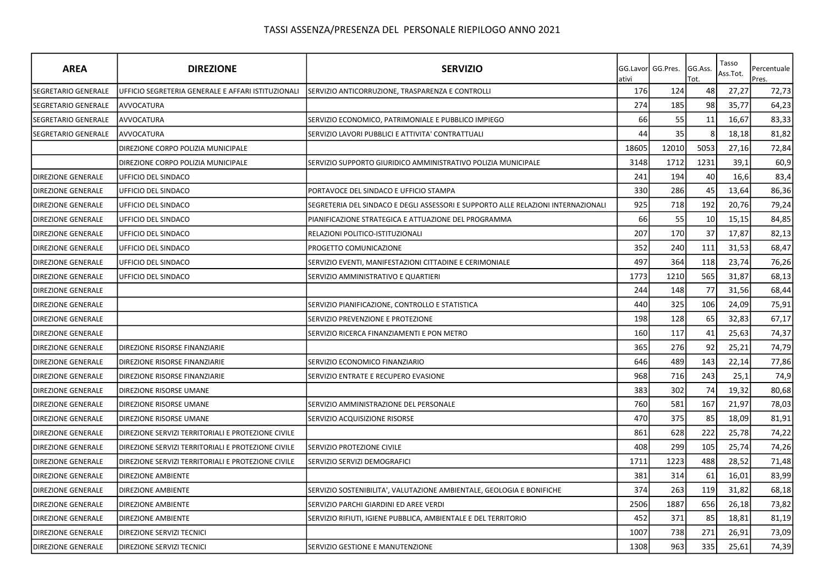| <b>AREA</b>                | <b>DIREZIONE</b>                                   | <b>SERVIZIO</b>                                                                   | ativi | GG.Lavor GG.Pres. | GG.Ass.<br>Tot. | Tasso<br>Ass.Tot. | Percentuale<br>Pres. |
|----------------------------|----------------------------------------------------|-----------------------------------------------------------------------------------|-------|-------------------|-----------------|-------------------|----------------------|
| SEGRETARIO GENERALE        | UFFICIO SEGRETERIA GENERALE E AFFARI ISTITUZIONALI | SERVIZIO ANTICORRUZIONE, TRASPARENZA E CONTROLLI                                  | 176   | 124               | 48              | 27,27             | 72,73                |
| <b>SEGRETARIO GENERALE</b> | AVVOCATURA                                         |                                                                                   | 274   | 185               | 98              | 35,77             | 64,23                |
| SEGRETARIO GENERALE        | AVVOCATURA                                         | SERVIZIO ECONOMICO, PATRIMONIALE E PUBBLICO IMPIEGO                               | 66    | 55                | 11              | 16,67             | 83,33                |
| SEGRETARIO GENERALE        | <b>AVVOCATURA</b>                                  | SERVIZIO LAVORI PUBBLICI E ATTIVITA' CONTRATTUALI                                 | 44    | 35                |                 | 18,18             | 81,82                |
|                            | DIREZIONE CORPO POLIZIA MUNICIPALE                 |                                                                                   | 18605 | 12010             | 5053            | 27,16             | 72,84                |
|                            | DIREZIONE CORPO POLIZIA MUNICIPALE                 | SERVIZIO SUPPORTO GIURIDICO AMMINISTRATIVO POLIZIA MUNICIPALE                     | 3148  | 1712              | 1231            | 39,1              | 60,9                 |
| <b>DIREZIONE GENERALE</b>  | UFFICIO DEL SINDACO                                |                                                                                   | 241   | 194               | 40              | 16,6              | 83,4                 |
| <b>DIREZIONE GENERALE</b>  | UFFICIO DEL SINDACO                                | PORTAVOCE DEL SINDACO E UFFICIO STAMPA                                            | 330   | 286               | 45              | 13,64             | 86,36                |
| <b>DIREZIONE GENERALE</b>  | UFFICIO DEL SINDACO                                | SEGRETERIA DEL SINDACO E DEGLI ASSESSORI E SUPPORTO ALLE RELAZIONI INTERNAZIONALI | 925   | 718               | 192             | 20,76             | 79,24                |
| <b>DIREZIONE GENERALE</b>  | UFFICIO DEL SINDACO                                | PIANIFICAZIONE STRATEGICA E ATTUAZIONE DEL PROGRAMMA                              | 66    | 55                | 10              | 15,15             | 84,85                |
| <b>DIREZIONE GENERALE</b>  | UFFICIO DEL SINDACO                                | RELAZIONI POLITICO-ISTITUZIONALI                                                  | 207   | 170               | 37              | 17,87             | 82,13                |
| <b>DIREZIONE GENERALE</b>  | UFFICIO DEL SINDACO                                | PROGETTO COMUNICAZIONE                                                            | 352   | 240               | 111             | 31,53             | 68,47                |
| <b>DIREZIONE GENERALE</b>  | UFFICIO DEL SINDACO                                | SERVIZIO EVENTI, MANIFESTAZIONI CITTADINE E CERIMONIALE                           | 497   | 364               | 118             | 23,74             | 76,26                |
| <b>DIREZIONE GENERALE</b>  | UFFICIO DEL SINDACO                                | SERVIZIO AMMINISTRATIVO E QUARTIERI                                               | 1773  | 1210              | 565             | 31,87             | 68,13                |
| <b>DIREZIONE GENERALE</b>  |                                                    |                                                                                   | 244   | 148               | 77              | 31,56             | 68,44                |
| <b>DIREZIONE GENERALE</b>  |                                                    | SERVIZIO PIANIFICAZIONE, CONTROLLO E STATISTICA                                   | 440   | 325               | 106             | 24,09             | 75,91                |
| <b>DIREZIONE GENERALE</b>  |                                                    | SERVIZIO PREVENZIONE E PROTEZIONE                                                 | 198   | 128               | 65              | 32,83             | 67,17                |
| <b>DIREZIONE GENERALE</b>  |                                                    | SERVIZIO RICERCA FINANZIAMENTI E PON METRO                                        | 160   | 117               | 41              | 25,63             | 74,37                |
| <b>DIREZIONE GENERALE</b>  | DIREZIONE RISORSE FINANZIARIE                      |                                                                                   | 365   | 276               | 92              | 25,21             | 74,79                |
| <b>DIREZIONE GENERALE</b>  | DIREZIONE RISORSE FINANZIARIE                      | SERVIZIO ECONOMICO FINANZIARIO                                                    | 646   | 489               | 143             | 22,14             | 77,86                |
| <b>DIREZIONE GENERALE</b>  | DIREZIONE RISORSE FINANZIARIE                      | SERVIZIO ENTRATE E RECUPERO EVASIONE                                              | 968   | 716               | 243             | 25,1              | 74,9                 |
| <b>DIREZIONE GENERALE</b>  | DIREZIONE RISORSE UMANE                            |                                                                                   | 383   | 302               | 74              | 19,32             | 80,68                |
| <b>DIREZIONE GENERALE</b>  | DIREZIONE RISORSE UMANE                            | SERVIZIO AMMINISTRAZIONE DEL PERSONALE                                            | 760   | 581               | 167             | 21,97             | 78,03                |
| <b>DIREZIONE GENERALE</b>  | DIREZIONE RISORSE UMANE                            | SERVIZIO ACQUISIZIONE RISORSE                                                     | 470   | 375               | 85              | 18,09             | 81,91                |
| <b>DIREZIONE GENERALE</b>  | DIREZIONE SERVIZI TERRITORIALI E PROTEZIONE CIVILE |                                                                                   | 861   | 628               | 222             | 25,78             | 74,22                |
| <b>DIREZIONE GENERALE</b>  | DIREZIONE SERVIZI TERRITORIALI E PROTEZIONE CIVILE | SERVIZIO PROTEZIONE CIVILE                                                        | 408   | 299               | 105             | 25,74             | 74,26                |
| <b>DIREZIONE GENERALE</b>  | DIREZIONE SERVIZI TERRITORIALI E PROTEZIONE CIVILE | SERVIZIO SERVIZI DEMOGRAFICI                                                      | 1711  | 1223              | 488             | 28,52             | 71,48                |
| <b>DIREZIONE GENERALE</b>  | <b>DIREZIONE AMBIENTE</b>                          |                                                                                   | 381   | 314               | 61              | 16,01             | 83,99                |
| <b>DIREZIONE GENERALE</b>  | <b>DIREZIONE AMBIENTE</b>                          | SERVIZIO SOSTENIBILITA', VALUTAZIONE AMBIENTALE, GEOLOGIA E BONIFICHE             | 374   | 263               | 119             | 31,82             | 68,18                |
| <b>DIREZIONE GENERALE</b>  | <b>DIREZIONE AMBIENTE</b>                          | SERVIZIO PARCHI GIARDINI ED AREE VERDI                                            | 2506  | 1887              | 656             | 26,18             | 73,82                |
| <b>DIREZIONE GENERALE</b>  | DIREZIONE AMBIENTE                                 | SERVIZIO RIFIUTI, IGIENE PUBBLICA, AMBIENTALE E DEL TERRITORIO                    | 452   | 371               | 85              | 18,81             | 81,19                |
| <b>DIREZIONE GENERALE</b>  | DIREZIONE SERVIZI TECNICI                          |                                                                                   | 1007  | 738               | 271             | 26,91             | 73,09                |
| <b>DIREZIONE GENERALE</b>  | DIREZIONE SERVIZI TECNICI                          | SERVIZIO GESTIONE E MANUTENZIONE                                                  | 1308  | 963               | 335             | 25,61             | 74,39                |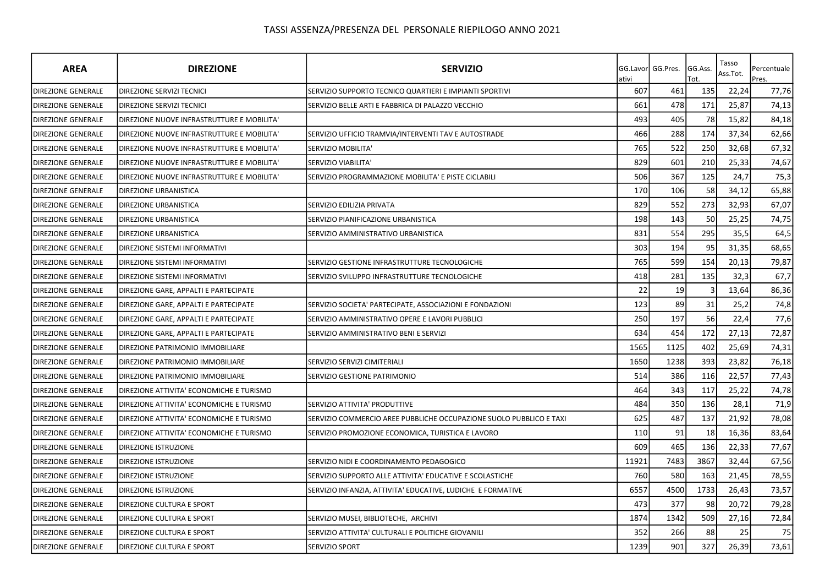| <b>AREA</b>               | <b>DIREZIONE</b>                           | <b>SERVIZIO</b>                                                     | ativi | GG.Lavor GG.Pres. | GG.Ass.<br>Tot. | Tasso<br>Ass.Tot. | Percentuale<br>Pres. |
|---------------------------|--------------------------------------------|---------------------------------------------------------------------|-------|-------------------|-----------------|-------------------|----------------------|
| <b>DIREZIONE GENERALE</b> | <b>DIREZIONE SERVIZI TECNICI</b>           | SERVIZIO SUPPORTO TECNICO QUARTIERI E IMPIANTI SPORTIVI             | 607   | 461               | 135             | 22,24             | 77,76                |
| DIREZIONE GENERALE        | DIREZIONE SERVIZI TECNICI                  | SERVIZIO BELLE ARTI E FABBRICA DI PALAZZO VECCHIO                   | 661   | 478               | 171             | 25,87             | 74,13                |
| <b>DIREZIONE GENERALE</b> | DIREZIONE NUOVE INFRASTRUTTURE E MOBILITA' |                                                                     | 493   | 405               | 78              | 15,82             | 84,18                |
| <b>DIREZIONE GENERALE</b> | DIREZIONE NUOVE INFRASTRUTTURE E MOBILITA' | SERVIZIO UFFICIO TRAMVIA/INTERVENTI TAV E AUTOSTRADE                | 466   | 288               | 174             | 37,34             | 62,66                |
| <b>DIREZIONE GENERALE</b> | DIREZIONE NUOVE INFRASTRUTTURE E MOBILITA' | SERVIZIO MOBILITA'                                                  | 765   | 522               | 250             | 32,68             | 67,32                |
| DIREZIONE GENERALE        | DIREZIONE NUOVE INFRASTRUTTURE E MOBILITA' | SERVIZIO VIABILITA'                                                 | 829   | 601               | 210             | 25,33             | 74,67                |
| <b>DIREZIONE GENERALE</b> | DIREZIONE NUOVE INFRASTRUTTURE E MOBILITA' | SERVIZIO PROGRAMMAZIONE MOBILITA' E PISTE CICLABILI                 | 506   | 367               | 125             | 24,7              | 75,3                 |
| <b>DIREZIONE GENERALE</b> | <b>DIREZIONE URBANISTICA</b>               |                                                                     | 170   | 106               | 58              | 34,12             | 65,88                |
| <b>DIREZIONE GENERALE</b> | <b>DIREZIONE URBANISTICA</b>               | SERVIZIO EDILIZIA PRIVATA                                           | 829   | 552               | 273             | 32,93             | 67,07                |
| DIREZIONE GENERALE        | <b>DIREZIONE URBANISTICA</b>               | SERVIZIO PIANIFICAZIONE URBANISTICA                                 | 198   | 143               | 50              | 25,25             | 74,75                |
| DIREZIONE GENERALE        | DIREZIONE URBANISTICA                      | SERVIZIO AMMINISTRATIVO URBANISTICA                                 | 831   | 554               | 295             | 35,5              | 64,5                 |
| DIREZIONE GENERALE        | DIREZIONE SISTEMI INFORMATIVI              |                                                                     | 303   | 194               | 95              | 31,35             | 68,65                |
| <b>DIREZIONE GENERALE</b> | DIREZIONE SISTEMI INFORMATIVI              | SERVIZIO GESTIONE INFRASTRUTTURE TECNOLOGICHE                       | 765   | 599               | 154             | 20,13             | 79,87                |
| DIREZIONE GENERALE        | DIREZIONE SISTEMI INFORMATIVI              | SERVIZIO SVILUPPO INFRASTRUTTURE TECNOLOGICHE                       | 418   | 281               | 135             | 32,3              | 67,7                 |
| <b>DIREZIONE GENERALE</b> | DIREZIONE GARE, APPALTI E PARTECIPATE      |                                                                     | 22    | 19                |                 | 13,64             | 86,36                |
| <b>DIREZIONE GENERALE</b> | DIREZIONE GARE, APPALTI E PARTECIPATE      | SERVIZIO SOCIETA' PARTECIPATE, ASSOCIAZIONI E FONDAZIONI            | 123   | 89                | 31              | 25,2              | 74,8                 |
| <b>DIREZIONE GENERALE</b> | DIREZIONE GARE, APPALTI E PARTECIPATE      | SERVIZIO AMMINISTRATIVO OPERE E LAVORI PUBBLICI                     | 250   | 197               | 56              | 22,4              | 77,6                 |
| <b>DIREZIONE GENERALE</b> | DIREZIONE GARE, APPALTI E PARTECIPATE      | SERVIZIO AMMINISTRATIVO BENI E SERVIZI                              | 634   | 454               | 172             | 27,13             | 72,87                |
| DIREZIONE GENERALE        | DIREZIONE PATRIMONIO IMMOBILIARE           |                                                                     | 1565  | 1125              | 402             | 25,69             | 74,31                |
| <b>DIREZIONE GENERALE</b> | DIREZIONE PATRIMONIO IMMOBILIARE           | SERVIZIO SERVIZI CIMITERIALI                                        | 1650  | 1238              | 393             | 23,82             | 76,18                |
| <b>DIREZIONE GENERALE</b> | DIREZIONE PATRIMONIO IMMOBILIARE           | SERVIZIO GESTIONE PATRIMONIO                                        | 514   | 386               | 116             | 22,57             | 77,43                |
| <b>DIREZIONE GENERALE</b> | DIREZIONE ATTIVITA' ECONOMICHE E TURISMO   |                                                                     | 464   | 343               | 117             | 25,22             | 74,78                |
| <b>DIREZIONE GENERALE</b> | DIREZIONE ATTIVITA' ECONOMICHE E TURISMO   | SERVIZIO ATTIVITA' PRODUTTIVE                                       | 484   | 350               | 136             | 28,1              | 71,9                 |
| <b>DIREZIONE GENERALE</b> | DIREZIONE ATTIVITA' ECONOMICHE E TURISMO   | SERVIZIO COMMERCIO AREE PUBBLICHE OCCUPAZIONE SUOLO PUBBLICO E TAXI | 625   | 487               | 137             | 21,92             | 78,08                |
| DIREZIONE GENERALE        | DIREZIONE ATTIVITA' ECONOMICHE E TURISMO   | SERVIZIO PROMOZIONE ECONOMICA, TURISTICA E LAVORO                   | 110   | 91                | 18              | 16,36             | 83,64                |
| <b>DIREZIONE GENERALE</b> | <b>DIREZIONE ISTRUZIONE</b>                |                                                                     | 609   | 465               | 136             | 22,33             | 77,67                |
| <b>DIREZIONE GENERALE</b> | <b>DIREZIONE ISTRUZIONE</b>                | SERVIZIO NIDI E COORDINAMENTO PEDAGOGICO                            | 11921 | 7483              | 3867            | 32,44             | 67,56                |
| <b>DIREZIONE GENERALE</b> | <b>DIREZIONE ISTRUZIONE</b>                | SERVIZIO SUPPORTO ALLE ATTIVITA' EDUCATIVE E SCOLASTICHE            | 760   | 580               | 163             | 21,45             | 78,55                |
| DIREZIONE GENERALE        | DIREZIONE ISTRUZIONE                       | SERVIZIO INFANZIA, ATTIVITA' EDUCATIVE, LUDICHE E FORMATIVE         | 6557  | 4500              | 1733            | 26,43             | 73,57                |
| DIREZIONE GENERALE        | DIREZIONE CULTURA E SPORT                  |                                                                     | 473   | 377               | 98              | 20,72             | 79,28                |
| <b>DIREZIONE GENERALE</b> | DIREZIONE CULTURA E SPORT                  | SERVIZIO MUSEI, BIBLIOTECHE, ARCHIVI                                | 1874  | 1342              | 509             | 27,16             | 72,84                |
| <b>DIREZIONE GENERALE</b> | DIREZIONE CULTURA E SPORT                  | SERVIZIO ATTIVITA' CULTURALI E POLITICHE GIOVANILI                  | 352   | 266               | 88              | 25                | 75                   |
| <b>DIREZIONE GENERALE</b> | <b>DIREZIONE CULTURA E SPORT</b>           | SERVIZIO SPORT                                                      | 1239  | 901               | 327             | 26,39             | 73,61                |